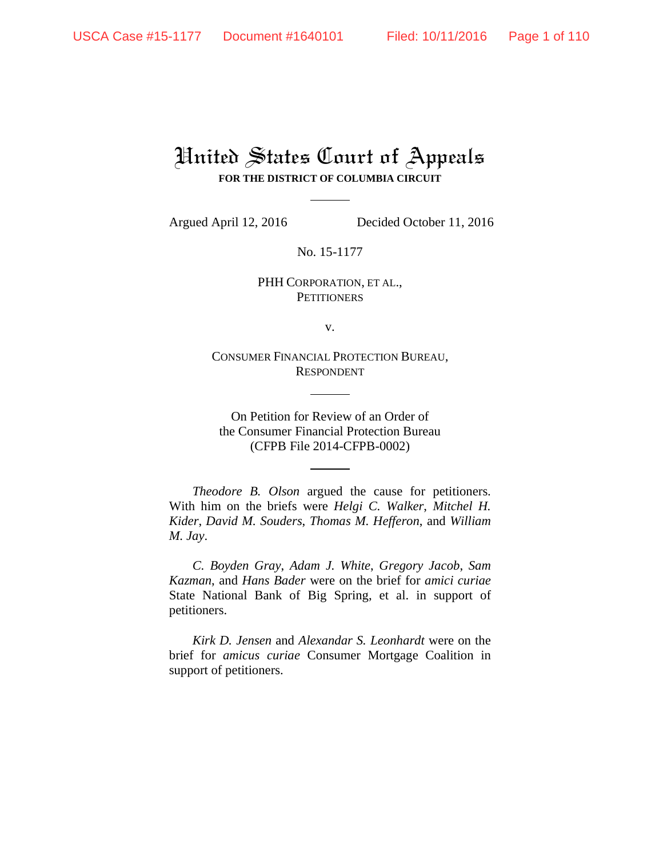# United States Court of Appeals **FOR THE DISTRICT OF COLUMBIA CIRCUIT**

Argued April 12, 2016 Decided October 11, 2016

No. 15-1177

PHH CORPORATION, ET AL., **PETITIONERS** 

v.

CONSUMER FINANCIAL PROTECTION BUREAU, RESPONDENT

On Petition for Review of an Order of the Consumer Financial Protection Bureau (CFPB File 2014-CFPB-0002)

*Theodore B. Olson* argued the cause for petitioners. With him on the briefs were *Helgi C. Walker*, *Mitchel H. Kider*, *David M. Souders*, *Thomas M. Hefferon*, and *William M. Jay*.

*C. Boyden Gray*, *Adam J. White*, *Gregory Jacob*, *Sam Kazman*, and *Hans Bader* were on the brief for *amici curiae* State National Bank of Big Spring, et al. in support of petitioners.

*Kirk D. Jensen* and *Alexandar S. Leonhardt* were on the brief for *amicus curiae* Consumer Mortgage Coalition in support of petitioners.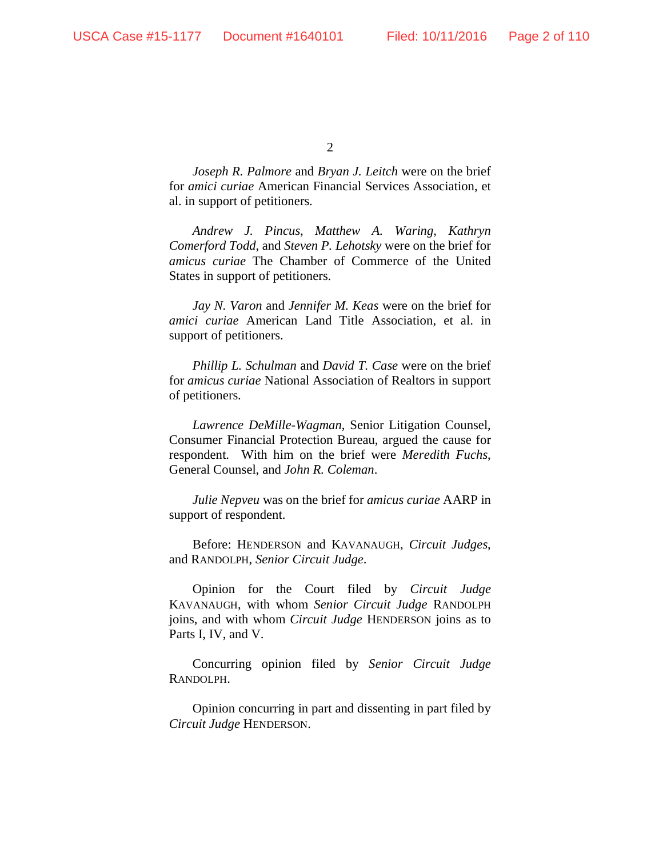*Joseph R. Palmore* and *Bryan J. Leitch* were on the brief for *amici curiae* American Financial Services Association, et al. in support of petitioners.

*Andrew J. Pincus*, *Matthew A. Waring*, *Kathryn Comerford Todd*, and *Steven P. Lehotsky* were on the brief for *amicus curiae* The Chamber of Commerce of the United States in support of petitioners.

*Jay N. Varon* and *Jennifer M. Keas* were on the brief for *amici curiae* American Land Title Association, et al. in support of petitioners.

*Phillip L. Schulman* and *David T. Case* were on the brief for *amicus curiae* National Association of Realtors in support of petitioners.

*Lawrence DeMille-Wagman*, Senior Litigation Counsel, Consumer Financial Protection Bureau, argued the cause for respondent. With him on the brief were *Meredith Fuchs*, General Counsel, and *John R. Coleman*.

*Julie Nepveu* was on the brief for *amicus curiae* AARP in support of respondent.

Before: HENDERSON and KAVANAUGH, *Circuit Judges*, and RANDOLPH, *Senior Circuit Judge*.

Opinion for the Court filed by *Circuit Judge* KAVANAUGH, with whom *Senior Circuit Judge* RANDOLPH joins, and with whom *Circuit Judge* HENDERSON joins as to Parts I, IV, and V.

Concurring opinion filed by *Senior Circuit Judge* RANDOLPH.

Opinion concurring in part and dissenting in part filed by *Circuit Judge* HENDERSON.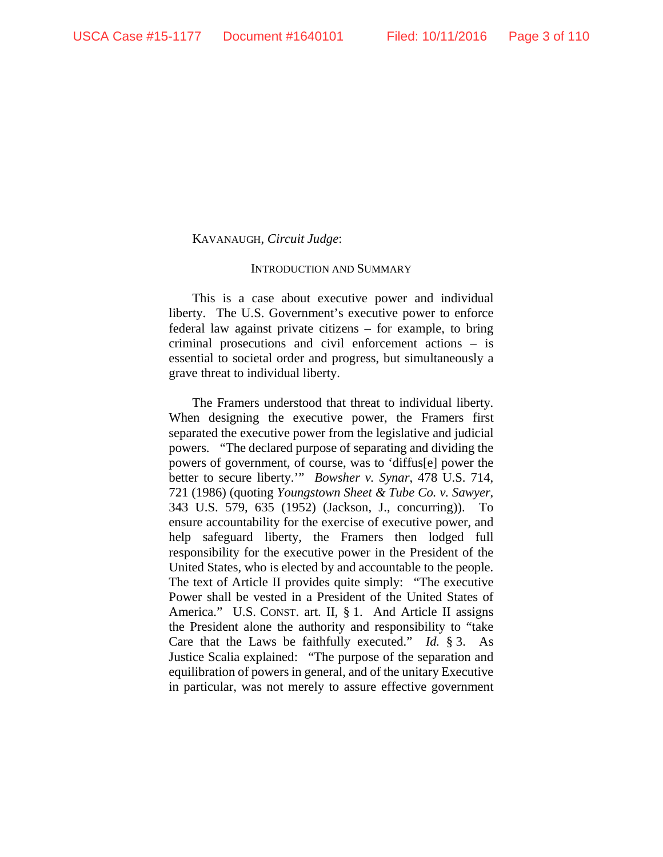#### KAVANAUGH, *Circuit Judge*:

#### INTRODUCTION AND SUMMARY

This is a case about executive power and individual liberty. The U.S. Government's executive power to enforce federal law against private citizens – for example, to bring criminal prosecutions and civil enforcement actions – is essential to societal order and progress, but simultaneously a grave threat to individual liberty.

The Framers understood that threat to individual liberty. When designing the executive power, the Framers first separated the executive power from the legislative and judicial powers. "The declared purpose of separating and dividing the powers of government, of course, was to 'diffus[e] power the better to secure liberty.'" *Bowsher v. Synar*, 478 U.S. 714, 721 (1986) (quoting *Youngstown Sheet & Tube Co. v. Sawyer*, 343 U.S. 579, 635 (1952) (Jackson, J., concurring)). To ensure accountability for the exercise of executive power, and help safeguard liberty, the Framers then lodged full responsibility for the executive power in the President of the United States, who is elected by and accountable to the people. The text of Article II provides quite simply: "The executive Power shall be vested in a President of the United States of America." U.S. CONST. art. II, § 1. And Article II assigns the President alone the authority and responsibility to "take Care that the Laws be faithfully executed." *Id.* § 3.As Justice Scalia explained: "The purpose of the separation and equilibration of powers in general, and of the unitary Executive in particular, was not merely to assure effective government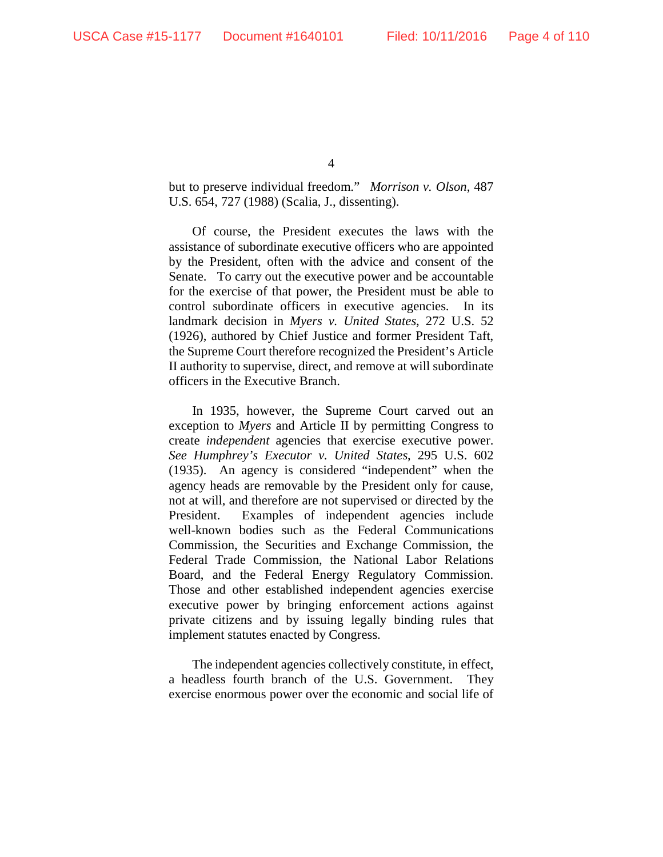but to preserve individual freedom." *Morrison v. Olson*, 487 U.S. 654, 727 (1988) (Scalia, J., dissenting).

Of course, the President executes the laws with the assistance of subordinate executive officers who are appointed by the President, often with the advice and consent of the Senate. To carry out the executive power and be accountable for the exercise of that power, the President must be able to control subordinate officers in executive agencies. In its landmark decision in *Myers v. United States*, 272 U.S. 52 (1926), authored by Chief Justice and former President Taft, the Supreme Court therefore recognized the President's Article II authority to supervise, direct, and remove at will subordinate officers in the Executive Branch.

In 1935, however, the Supreme Court carved out an exception to *Myers* and Article II by permitting Congress to create *independent* agencies that exercise executive power. *See Humphrey's Executor v. United States*, 295 U.S. 602 (1935). An agency is considered "independent" when the agency heads are removable by the President only for cause, not at will, and therefore are not supervised or directed by the President. Examples of independent agencies include well-known bodies such as the Federal Communications Commission, the Securities and Exchange Commission, the Federal Trade Commission, the National Labor Relations Board, and the Federal Energy Regulatory Commission. Those and other established independent agencies exercise executive power by bringing enforcement actions against private citizens and by issuing legally binding rules that implement statutes enacted by Congress.

The independent agencies collectively constitute, in effect, a headless fourth branch of the U.S. Government. They exercise enormous power over the economic and social life of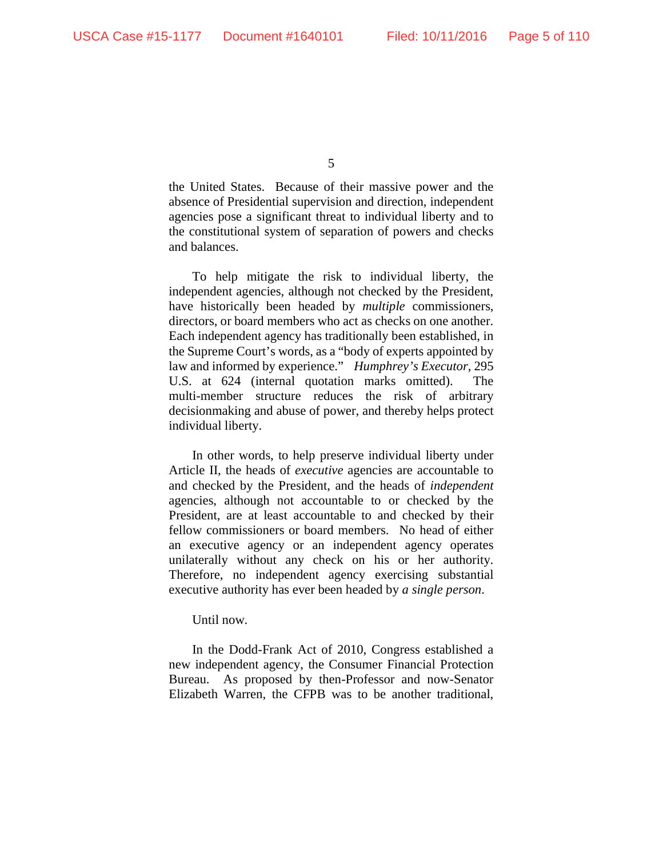the United States. Because of their massive power and the absence of Presidential supervision and direction, independent agencies pose a significant threat to individual liberty and to the constitutional system of separation of powers and checks and balances.

To help mitigate the risk to individual liberty, the independent agencies, although not checked by the President, have historically been headed by *multiple* commissioners, directors, or board members who act as checks on one another. Each independent agency has traditionally been established, in the Supreme Court's words, as a "body of experts appointed by law and informed by experience." *Humphrey's Executor*, 295 U.S. at 624 (internal quotation marks omitted). The multi-member structure reduces the risk of arbitrary decisionmaking and abuse of power, and thereby helps protect individual liberty.

In other words, to help preserve individual liberty under Article II, the heads of *executive* agencies are accountable to and checked by the President, and the heads of *independent* agencies, although not accountable to or checked by the President, are at least accountable to and checked by their fellow commissioners or board members. No head of either an executive agency or an independent agency operates unilaterally without any check on his or her authority. Therefore, no independent agency exercising substantial executive authority has ever been headed by *a single person*.

Until now.

In the Dodd-Frank Act of 2010, Congress established a new independent agency, the Consumer Financial Protection Bureau. As proposed by then-Professor and now-Senator Elizabeth Warren, the CFPB was to be another traditional,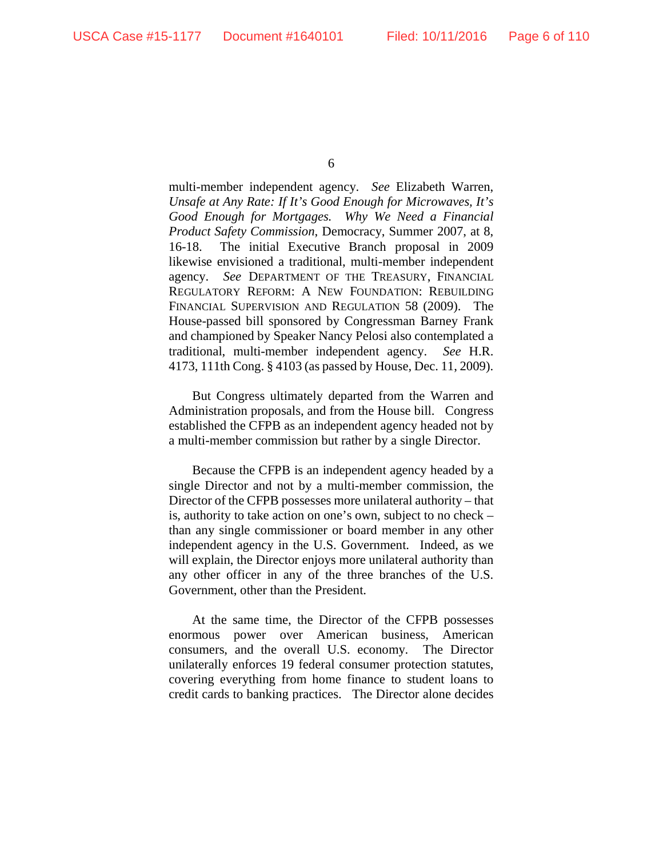multi-member independent agency. *See* Elizabeth Warren, *Unsafe at Any Rate: If It's Good Enough for Microwaves, It's Good Enough for Mortgages. Why We Need a Financial Product Safety Commission*, Democracy, Summer 2007, at 8, 16-18. The initial Executive Branch proposal in 2009 likewise envisioned a traditional, multi-member independent agency. *See* DEPARTMENT OF THE TREASURY, FINANCIAL REGULATORY REFORM: A NEW FOUNDATION: REBUILDING FINANCIAL SUPERVISION AND REGULATION 58 (2009). The House-passed bill sponsored by Congressman Barney Frank and championed by Speaker Nancy Pelosi also contemplated a traditional, multi-member independent agency. *See* H.R. 4173, 111th Cong. § 4103 (as passed by House, Dec. 11, 2009).

But Congress ultimately departed from the Warren and Administration proposals, and from the House bill. Congress established the CFPB as an independent agency headed not by a multi-member commission but rather by a single Director.

Because the CFPB is an independent agency headed by a single Director and not by a multi-member commission, the Director of the CFPB possesses more unilateral authority – that is, authority to take action on one's own, subject to no check – than any single commissioner or board member in any other independent agency in the U.S. Government. Indeed, as we will explain, the Director enjoys more unilateral authority than any other officer in any of the three branches of the U.S. Government, other than the President.

At the same time, the Director of the CFPB possesses enormous power over American business, American consumers, and the overall U.S. economy. The Director unilaterally enforces 19 federal consumer protection statutes, covering everything from home finance to student loans to credit cards to banking practices. The Director alone decides

<sup>6</sup>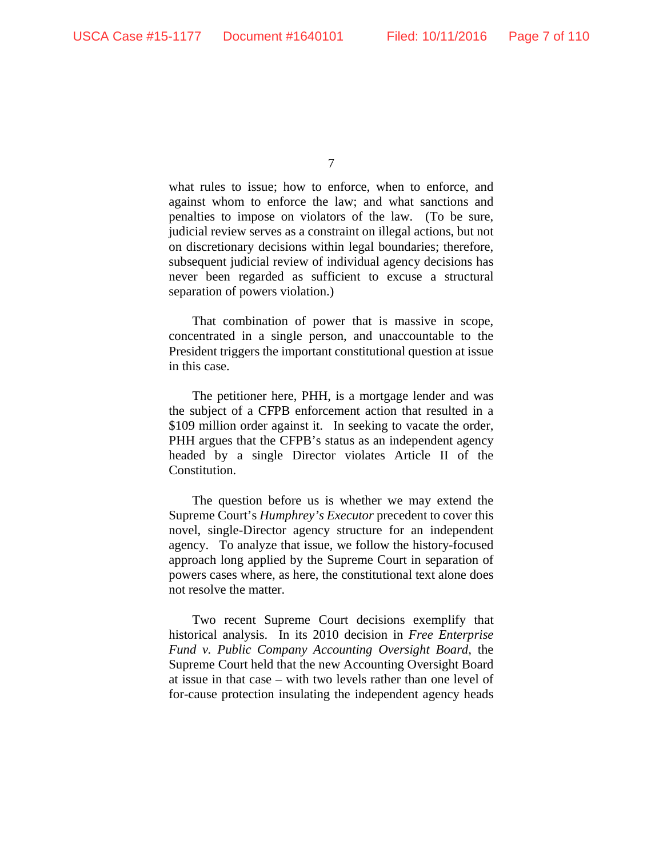what rules to issue; how to enforce, when to enforce, and against whom to enforce the law; and what sanctions and penalties to impose on violators of the law. (To be sure, judicial review serves as a constraint on illegal actions, but not on discretionary decisions within legal boundaries; therefore, subsequent judicial review of individual agency decisions has never been regarded as sufficient to excuse a structural separation of powers violation.)

That combination of power that is massive in scope, concentrated in a single person, and unaccountable to the President triggers the important constitutional question at issue in this case.

The petitioner here, PHH, is a mortgage lender and was the subject of a CFPB enforcement action that resulted in a \$109 million order against it. In seeking to vacate the order, PHH argues that the CFPB's status as an independent agency headed by a single Director violates Article II of the Constitution.

The question before us is whether we may extend the Supreme Court's *Humphrey's Executor* precedent to cover this novel, single-Director agency structure for an independent agency. To analyze that issue, we follow the history-focused approach long applied by the Supreme Court in separation of powers cases where, as here, the constitutional text alone does not resolve the matter.

Two recent Supreme Court decisions exemplify that historical analysis. In its 2010 decision in *Free Enterprise Fund v. Public Company Accounting Oversight Board*, the Supreme Court held that the new Accounting Oversight Board at issue in that case – with two levels rather than one level of for-cause protection insulating the independent agency heads

<sup>7</sup>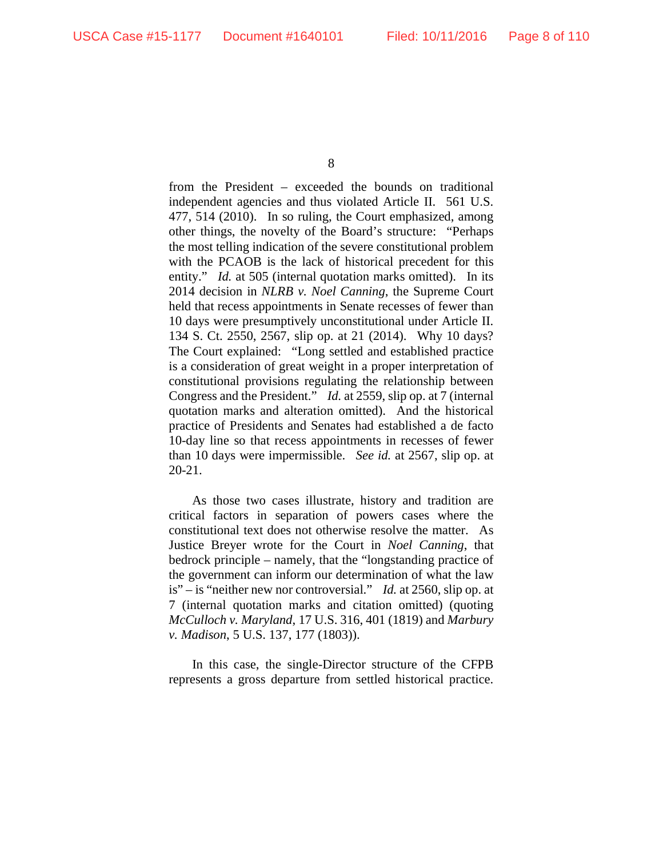from the President – exceeded the bounds on traditional independent agencies and thus violated Article II. 561 U.S. 477, 514 (2010). In so ruling, the Court emphasized, among other things, the novelty of the Board's structure: "Perhaps the most telling indication of the severe constitutional problem with the PCAOB is the lack of historical precedent for this entity." *Id.* at 505 (internal quotation marks omitted). In its 2014 decision in *NLRB v. Noel Canning*, the Supreme Court held that recess appointments in Senate recesses of fewer than 10 days were presumptively unconstitutional under Article II. 134 S. Ct. 2550, 2567, slip op. at 21 (2014). Why 10 days? The Court explained: "Long settled and established practice is a consideration of great weight in a proper interpretation of constitutional provisions regulating the relationship between Congress and the President." *Id.* at 2559, slip op. at 7 (internal quotation marks and alteration omitted). And the historical practice of Presidents and Senates had established a de facto 10-day line so that recess appointments in recesses of fewer than 10 days were impermissible. *See id.* at 2567, slip op. at 20-21.

As those two cases illustrate, history and tradition are critical factors in separation of powers cases where the constitutional text does not otherwise resolve the matter. As Justice Breyer wrote for the Court in *Noel Canning*, that bedrock principle – namely, that the "longstanding practice of the government can inform our determination of what the law is" – is "neither new nor controversial." *Id.* at 2560, slip op. at 7 (internal quotation marks and citation omitted) (quoting *McCulloch v. Maryland*, 17 U.S. 316, 401 (1819) and *Marbury v. Madison*, 5 U.S. 137, 177 (1803)).

In this case, the single-Director structure of the CFPB represents a gross departure from settled historical practice.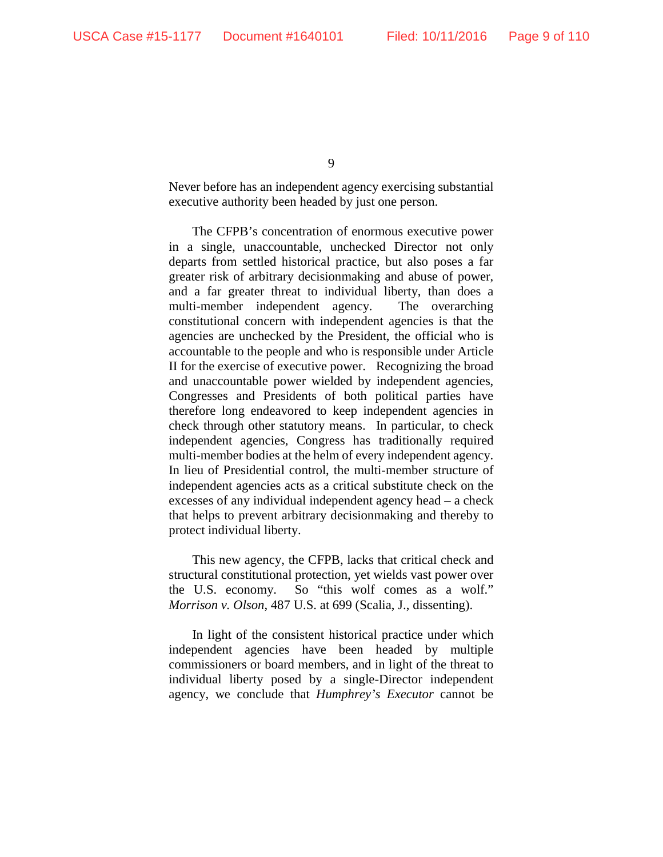Never before has an independent agency exercising substantial executive authority been headed by just one person.

The CFPB's concentration of enormous executive power in a single, unaccountable, unchecked Director not only departs from settled historical practice, but also poses a far greater risk of arbitrary decisionmaking and abuse of power, and a far greater threat to individual liberty, than does a multi-member independent agency. The overarching constitutional concern with independent agencies is that the agencies are unchecked by the President, the official who is accountable to the people and who is responsible under Article II for the exercise of executive power. Recognizing the broad and unaccountable power wielded by independent agencies, Congresses and Presidents of both political parties have therefore long endeavored to keep independent agencies in check through other statutory means. In particular, to check independent agencies, Congress has traditionally required multi-member bodies at the helm of every independent agency. In lieu of Presidential control, the multi-member structure of independent agencies acts as a critical substitute check on the excesses of any individual independent agency head – a check that helps to prevent arbitrary decisionmaking and thereby to protect individual liberty.

This new agency, the CFPB, lacks that critical check and structural constitutional protection, yet wields vast power over the U.S. economy. So "this wolf comes as a wolf." *Morrison v. Olson*, 487 U.S. at 699 (Scalia, J., dissenting).

In light of the consistent historical practice under which independent agencies have been headed by multiple commissioners or board members, and in light of the threat to individual liberty posed by a single-Director independent agency, we conclude that *Humphrey's Executor* cannot be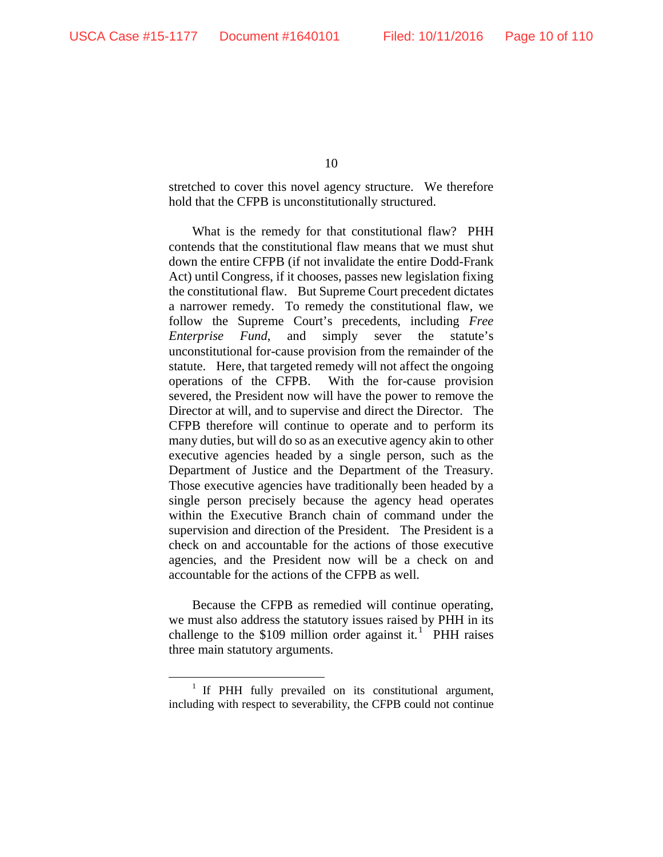stretched to cover this novel agency structure. We therefore hold that the CFPB is unconstitutionally structured.

What is the remedy for that constitutional flaw? PHH contends that the constitutional flaw means that we must shut down the entire CFPB (if not invalidate the entire Dodd-Frank Act) until Congress, if it chooses, passes new legislation fixing the constitutional flaw. But Supreme Court precedent dictates a narrower remedy. To remedy the constitutional flaw, we follow the Supreme Court's precedents, including *Free Enterprise Fund*, and simply sever the statute's unconstitutional for-cause provision from the remainder of the statute. Here, that targeted remedy will not affect the ongoing operations of the CFPB. With the for-cause provision severed, the President now will have the power to remove the Director at will, and to supervise and direct the Director. The CFPB therefore will continue to operate and to perform its many duties, but will do so as an executive agency akin to other executive agencies headed by a single person, such as the Department of Justice and the Department of the Treasury. Those executive agencies have traditionally been headed by a single person precisely because the agency head operates within the Executive Branch chain of command under the supervision and direction of the President. The President is a check on and accountable for the actions of those executive agencies, and the President now will be a check on and accountable for the actions of the CFPB as well.

Because the CFPB as remedied will continue operating, we must also address the statutory issues raised by PHH in its challenge to the \$[1](#page-9-0)09 million order against it.<sup>1</sup> PHH raises three main statutory arguments.

<span id="page-9-0"></span><sup>&</sup>lt;sup>1</sup> If PHH fully prevailed on its constitutional argument, including with respect to severability, the CFPB could not continue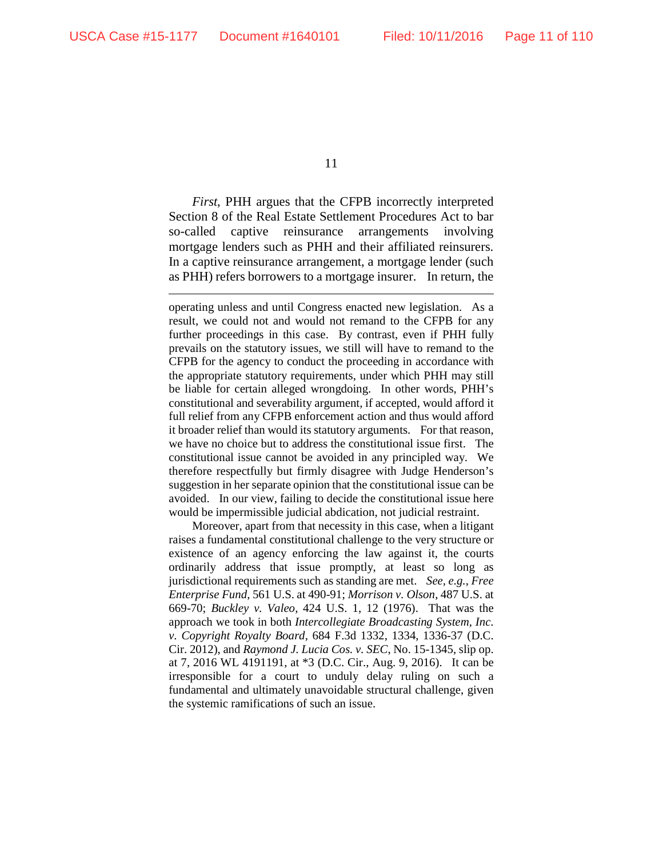$\overline{a}$ 

11

*First*, PHH argues that the CFPB incorrectly interpreted Section 8 of the Real Estate Settlement Procedures Act to bar so-called captive reinsurance arrangements involving mortgage lenders such as PHH and their affiliated reinsurers. In a captive reinsurance arrangement, a mortgage lender (such as PHH) refers borrowers to a mortgage insurer. In return, the

operating unless and until Congress enacted new legislation. As a result, we could not and would not remand to the CFPB for any further proceedings in this case. By contrast, even if PHH fully prevails on the statutory issues, we still will have to remand to the CFPB for the agency to conduct the proceeding in accordance with the appropriate statutory requirements, under which PHH may still be liable for certain alleged wrongdoing. In other words, PHH's constitutional and severability argument, if accepted, would afford it full relief from any CFPB enforcement action and thus would afford it broader relief than would its statutory arguments. For that reason, we have no choice but to address the constitutional issue first. The constitutional issue cannot be avoided in any principled way. We therefore respectfully but firmly disagree with Judge Henderson's suggestion in her separate opinion that the constitutional issue can be avoided. In our view, failing to decide the constitutional issue here would be impermissible judicial abdication, not judicial restraint.

Moreover, apart from that necessity in this case, when a litigant raises a fundamental constitutional challenge to the very structure or existence of an agency enforcing the law against it, the courts ordinarily address that issue promptly, at least so long as jurisdictional requirements such as standing are met. *See, e.g.*, *Free Enterprise Fund*, 561 U.S. at 490-91; *Morrison v. Olson*, 487 U.S. at 669-70; *Buckley v. Valeo*, 424 U.S. 1, 12 (1976). That was the approach we took in both *Intercollegiate Broadcasting System, Inc. v. Copyright Royalty Board*, 684 F.3d 1332, 1334, 1336-37 (D.C. Cir. 2012), and *Raymond J. Lucia Cos. v. SEC*, No. 15-1345, slip op. at 7, 2016 WL 4191191, at \*3 (D.C. Cir., Aug. 9, 2016).It can be irresponsible for a court to unduly delay ruling on such a fundamental and ultimately unavoidable structural challenge, given the systemic ramifications of such an issue.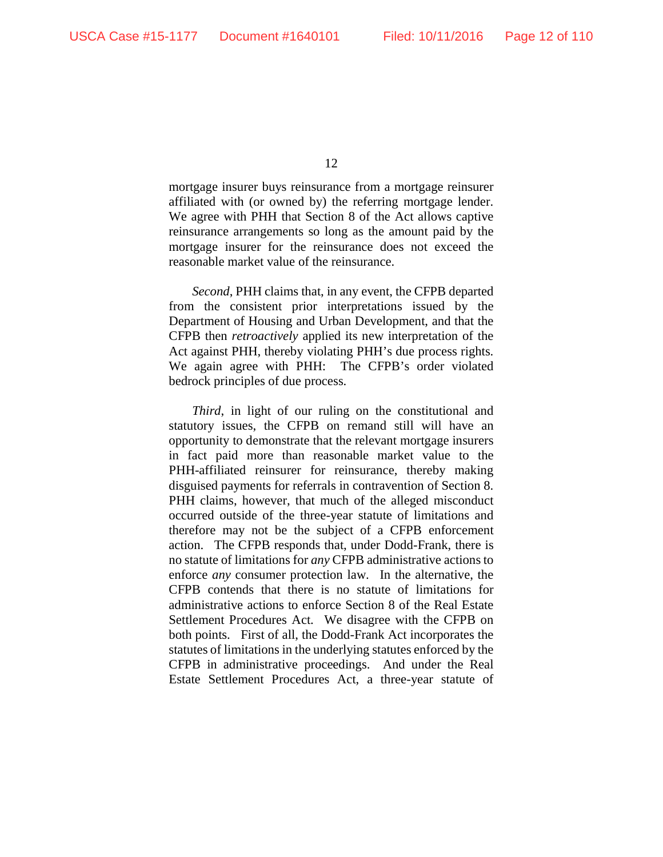mortgage insurer buys reinsurance from a mortgage reinsurer affiliated with (or owned by) the referring mortgage lender. We agree with PHH that Section 8 of the Act allows captive reinsurance arrangements so long as the amount paid by the mortgage insurer for the reinsurance does not exceed the reasonable market value of the reinsurance.

*Second*, PHH claims that, in any event, the CFPB departed from the consistent prior interpretations issued by the Department of Housing and Urban Development, and that the CFPB then *retroactively* applied its new interpretation of the Act against PHH, thereby violating PHH's due process rights. We again agree with PHH: The CFPB's order violated bedrock principles of due process.

*Third*, in light of our ruling on the constitutional and statutory issues, the CFPB on remand still will have an opportunity to demonstrate that the relevant mortgage insurers in fact paid more than reasonable market value to the PHH-affiliated reinsurer for reinsurance, thereby making disguised payments for referrals in contravention of Section 8. PHH claims, however, that much of the alleged misconduct occurred outside of the three-year statute of limitations and therefore may not be the subject of a CFPB enforcement action. The CFPB responds that, under Dodd-Frank, there is no statute of limitations for *any* CFPB administrative actions to enforce *any* consumer protection law. In the alternative, the CFPB contends that there is no statute of limitations for administrative actions to enforce Section 8 of the Real Estate Settlement Procedures Act. We disagree with the CFPB on both points. First of all, the Dodd-Frank Act incorporates the statutes of limitations in the underlying statutes enforced by the CFPB in administrative proceedings. And under the Real Estate Settlement Procedures Act, a three-year statute of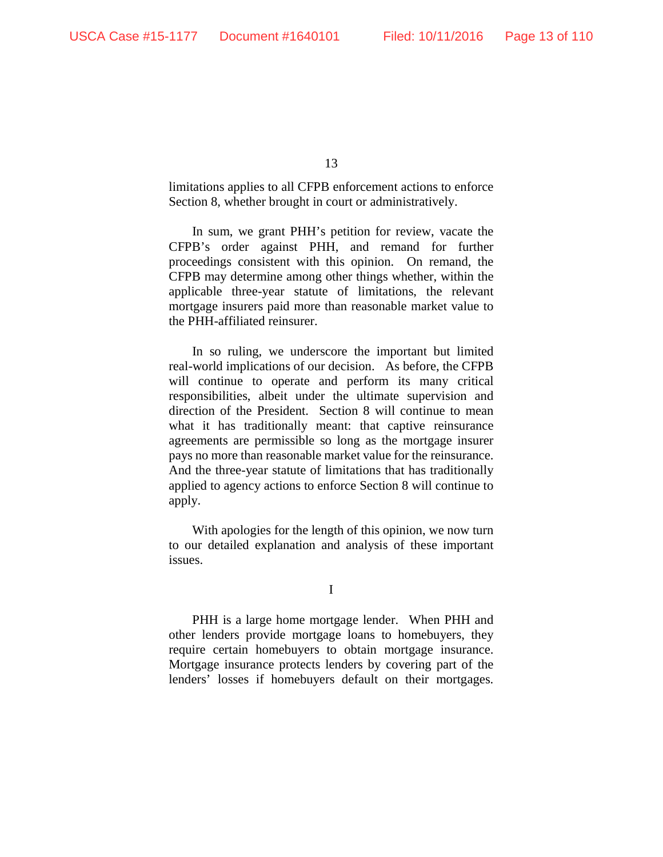limitations applies to all CFPB enforcement actions to enforce Section 8, whether brought in court or administratively.

In sum, we grant PHH's petition for review, vacate the CFPB's order against PHH, and remand for further proceedings consistent with this opinion. On remand, the CFPB may determine among other things whether, within the applicable three-year statute of limitations, the relevant mortgage insurers paid more than reasonable market value to the PHH-affiliated reinsurer.

In so ruling, we underscore the important but limited real-world implications of our decision. As before, the CFPB will continue to operate and perform its many critical responsibilities, albeit under the ultimate supervision and direction of the President. Section 8 will continue to mean what it has traditionally meant: that captive reinsurance agreements are permissible so long as the mortgage insurer pays no more than reasonable market value for the reinsurance. And the three-year statute of limitations that has traditionally applied to agency actions to enforce Section 8 will continue to apply.

With apologies for the length of this opinion, we now turn to our detailed explanation and analysis of these important issues.

I

PHH is a large home mortgage lender. When PHH and other lenders provide mortgage loans to homebuyers, they require certain homebuyers to obtain mortgage insurance. Mortgage insurance protects lenders by covering part of the lenders' losses if homebuyers default on their mortgages.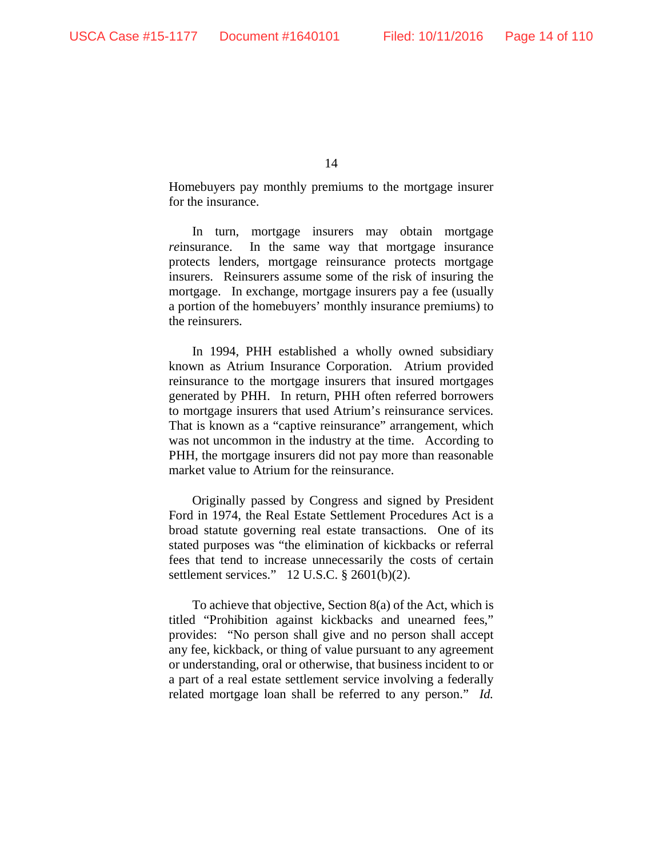Homebuyers pay monthly premiums to the mortgage insurer for the insurance.

In turn, mortgage insurers may obtain mortgage *re*insurance. In the same way that mortgage insurance protects lenders, mortgage reinsurance protects mortgage insurers. Reinsurers assume some of the risk of insuring the mortgage. In exchange, mortgage insurers pay a fee (usually a portion of the homebuyers' monthly insurance premiums) to the reinsurers.

In 1994, PHH established a wholly owned subsidiary known as Atrium Insurance Corporation. Atrium provided reinsurance to the mortgage insurers that insured mortgages generated by PHH. In return, PHH often referred borrowers to mortgage insurers that used Atrium's reinsurance services. That is known as a "captive reinsurance" arrangement, which was not uncommon in the industry at the time. According to PHH, the mortgage insurers did not pay more than reasonable market value to Atrium for the reinsurance.

Originally passed by Congress and signed by President Ford in 1974, the Real Estate Settlement Procedures Act is a broad statute governing real estate transactions. One of its stated purposes was "the elimination of kickbacks or referral fees that tend to increase unnecessarily the costs of certain settlement services." 12 U.S.C. § 2601(b)(2).

To achieve that objective, Section 8(a) of the Act, which is titled "Prohibition against kickbacks and unearned fees," provides: "No person shall give and no person shall accept any fee, kickback, or thing of value pursuant to any agreement or understanding, oral or otherwise, that business incident to or a part of a real estate settlement service involving a federally related mortgage loan shall be referred to any person." *Id.*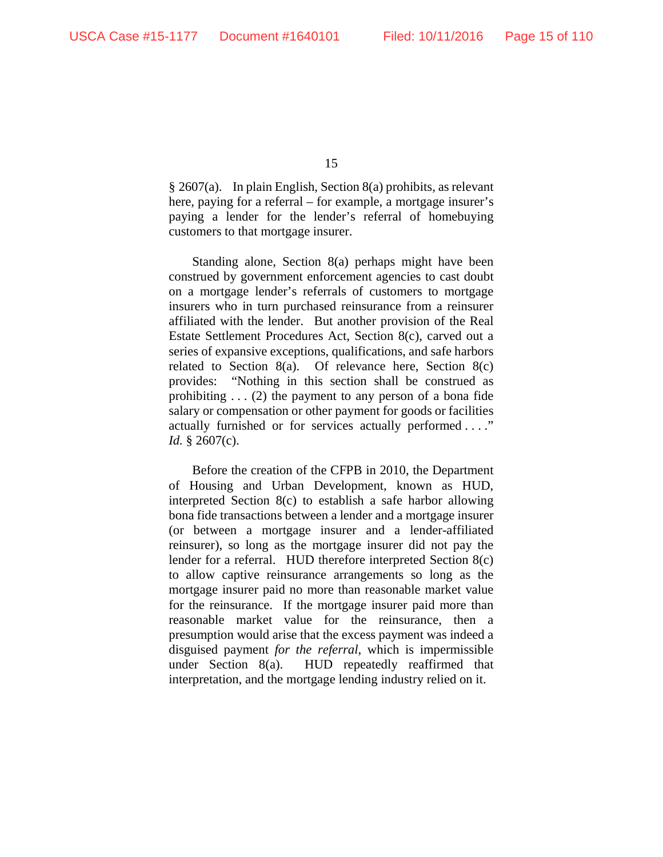§ 2607(a). In plain English, Section 8(a) prohibits, as relevant here, paying for a referral – for example, a mortgage insurer's paying a lender for the lender's referral of homebuying customers to that mortgage insurer.

Standing alone, Section 8(a) perhaps might have been construed by government enforcement agencies to cast doubt on a mortgage lender's referrals of customers to mortgage insurers who in turn purchased reinsurance from a reinsurer affiliated with the lender. But another provision of the Real Estate Settlement Procedures Act, Section 8(c), carved out a series of expansive exceptions, qualifications, and safe harbors related to Section 8(a). Of relevance here, Section 8(c) provides: "Nothing in this section shall be construed as prohibiting . . . (2) the payment to any person of a bona fide salary or compensation or other payment for goods or facilities actually furnished or for services actually performed . . . ." *Id.* § 2607(c).

Before the creation of the CFPB in 2010, the Department of Housing and Urban Development, known as HUD, interpreted Section 8(c) to establish a safe harbor allowing bona fide transactions between a lender and a mortgage insurer (or between a mortgage insurer and a lender-affiliated reinsurer), so long as the mortgage insurer did not pay the lender for a referral. HUD therefore interpreted Section 8(c) to allow captive reinsurance arrangements so long as the mortgage insurer paid no more than reasonable market value for the reinsurance. If the mortgage insurer paid more than reasonable market value for the reinsurance, then a presumption would arise that the excess payment was indeed a disguised payment *for the referral*, which is impermissible under Section 8(a). HUD repeatedly reaffirmed that interpretation, and the mortgage lending industry relied on it.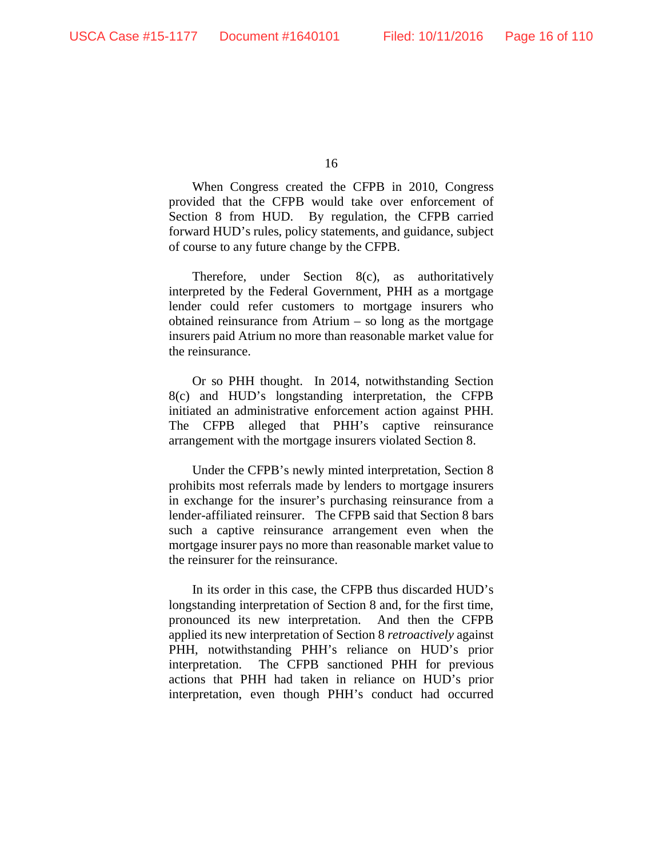When Congress created the CFPB in 2010, Congress provided that the CFPB would take over enforcement of Section 8 from HUD. By regulation, the CFPB carried forward HUD's rules, policy statements, and guidance, subject of course to any future change by the CFPB.

Therefore, under Section 8(c), as authoritatively interpreted by the Federal Government, PHH as a mortgage lender could refer customers to mortgage insurers who obtained reinsurance from Atrium – so long as the mortgage insurers paid Atrium no more than reasonable market value for the reinsurance.

Or so PHH thought. In 2014, notwithstanding Section 8(c) and HUD's longstanding interpretation, the CFPB initiated an administrative enforcement action against PHH. The CFPB alleged that PHH's captive reinsurance arrangement with the mortgage insurers violated Section 8.

Under the CFPB's newly minted interpretation, Section 8 prohibits most referrals made by lenders to mortgage insurers in exchange for the insurer's purchasing reinsurance from a lender-affiliated reinsurer. The CFPB said that Section 8 bars such a captive reinsurance arrangement even when the mortgage insurer pays no more than reasonable market value to the reinsurer for the reinsurance.

In its order in this case, the CFPB thus discarded HUD's longstanding interpretation of Section 8 and, for the first time, pronounced its new interpretation. And then the CFPB applied its new interpretation of Section 8 *retroactively* against PHH, notwithstanding PHH's reliance on HUD's prior interpretation. The CFPB sanctioned PHH for previous actions that PHH had taken in reliance on HUD's prior interpretation, even though PHH's conduct had occurred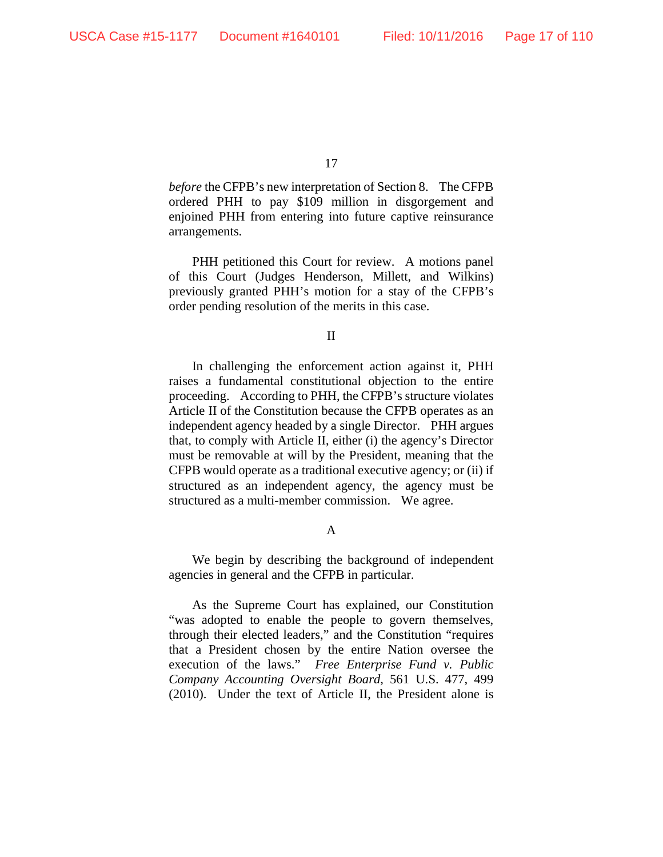*before* the CFPB's new interpretation of Section 8. The CFPB ordered PHH to pay \$109 million in disgorgement and enjoined PHH from entering into future captive reinsurance arrangements.

PHH petitioned this Court for review. A motions panel of this Court (Judges Henderson, Millett, and Wilkins) previously granted PHH's motion for a stay of the CFPB's order pending resolution of the merits in this case.

II

In challenging the enforcement action against it, PHH raises a fundamental constitutional objection to the entire proceeding. According to PHH, the CFPB's structure violates Article II of the Constitution because the CFPB operates as an independent agency headed by a single Director. PHH argues that, to comply with Article II, either (i) the agency's Director must be removable at will by the President, meaning that the CFPB would operate as a traditional executive agency; or (ii) if structured as an independent agency, the agency must be structured as a multi-member commission. We agree.

A

We begin by describing the background of independent agencies in general and the CFPB in particular.

As the Supreme Court has explained, our Constitution "was adopted to enable the people to govern themselves, through their elected leaders," and the Constitution "requires that a President chosen by the entire Nation oversee the execution of the laws." *Free Enterprise Fund v. Public Company Accounting Oversight Board*, 561 U.S. 477, 499 (2010). Under the text of Article II, the President alone is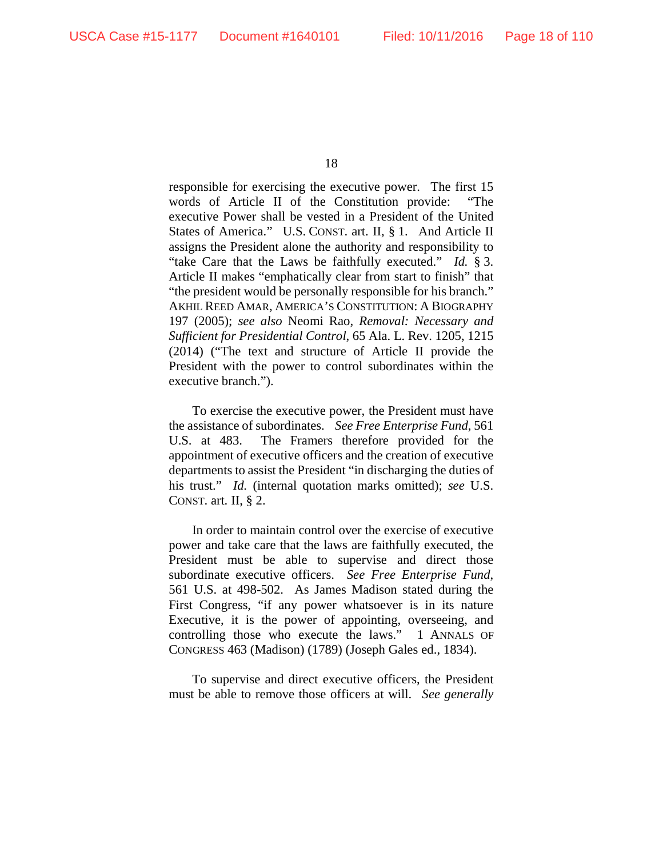responsible for exercising the executive power. The first 15 words of Article II of the Constitution provide: "The executive Power shall be vested in a President of the United States of America." U.S. CONST. art. II, § 1. And Article II assigns the President alone the authority and responsibility to "take Care that the Laws be faithfully executed." *Id.* § 3. Article II makes "emphatically clear from start to finish" that "the president would be personally responsible for his branch." AKHIL REED AMAR, AMERICA'S CONSTITUTION: A BIOGRAPHY 197 (2005); *see also* Neomi Rao, *Removal: Necessary and Sufficient for Presidential Control*, 65 Ala. L. Rev. 1205, 1215 (2014) ("The text and structure of Article II provide the President with the power to control subordinates within the executive branch.").

To exercise the executive power, the President must have the assistance of subordinates. *See Free Enterprise Fund*, 561 U.S. at 483. The Framers therefore provided for the appointment of executive officers and the creation of executive departments to assist the President "in discharging the duties of his trust." *Id.* (internal quotation marks omitted); *see* U.S. CONST. art. II, § 2.

In order to maintain control over the exercise of executive power and take care that the laws are faithfully executed, the President must be able to supervise and direct those subordinate executive officers. *See Free Enterprise Fund*, 561 U.S. at 498-502. As James Madison stated during the First Congress, "if any power whatsoever is in its nature Executive, it is the power of appointing, overseeing, and controlling those who execute the laws." 1 ANNALS OF CONGRESS 463 (Madison) (1789) (Joseph Gales ed., 1834).

To supervise and direct executive officers, the President must be able to remove those officers at will. *See generally*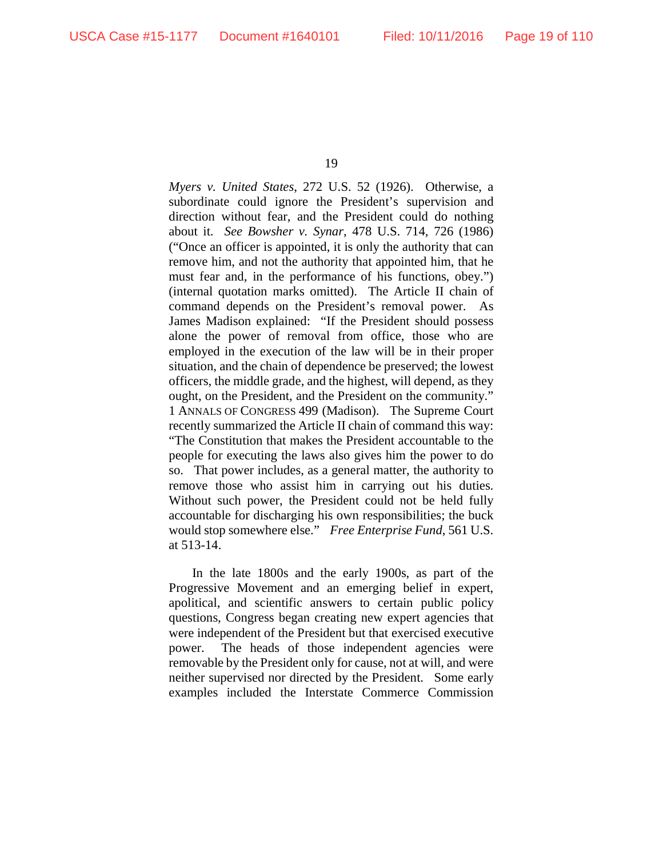*Myers v. United States*, 272 U.S. 52 (1926). Otherwise, a subordinate could ignore the President's supervision and direction without fear, and the President could do nothing about it. *See Bowsher v. Synar*, 478 U.S. 714, 726 (1986) ("Once an officer is appointed, it is only the authority that can remove him, and not the authority that appointed him, that he must fear and, in the performance of his functions, obey.") (internal quotation marks omitted). The Article II chain of command depends on the President's removal power. As James Madison explained: "If the President should possess alone the power of removal from office, those who are employed in the execution of the law will be in their proper situation, and the chain of dependence be preserved; the lowest officers, the middle grade, and the highest, will depend, as they ought, on the President, and the President on the community." 1 ANNALS OF CONGRESS 499 (Madison). The Supreme Court recently summarized the Article II chain of command this way: "The Constitution that makes the President accountable to the people for executing the laws also gives him the power to do so. That power includes, as a general matter, the authority to remove those who assist him in carrying out his duties. Without such power, the President could not be held fully accountable for discharging his own responsibilities; the buck would stop somewhere else." *Free Enterprise Fund*, 561 U.S. at 513-14.

In the late 1800s and the early 1900s, as part of the Progressive Movement and an emerging belief in expert, apolitical, and scientific answers to certain public policy questions, Congress began creating new expert agencies that were independent of the President but that exercised executive power. The heads of those independent agencies were removable by the President only for cause, not at will, and were neither supervised nor directed by the President. Some early examples included the Interstate Commerce Commission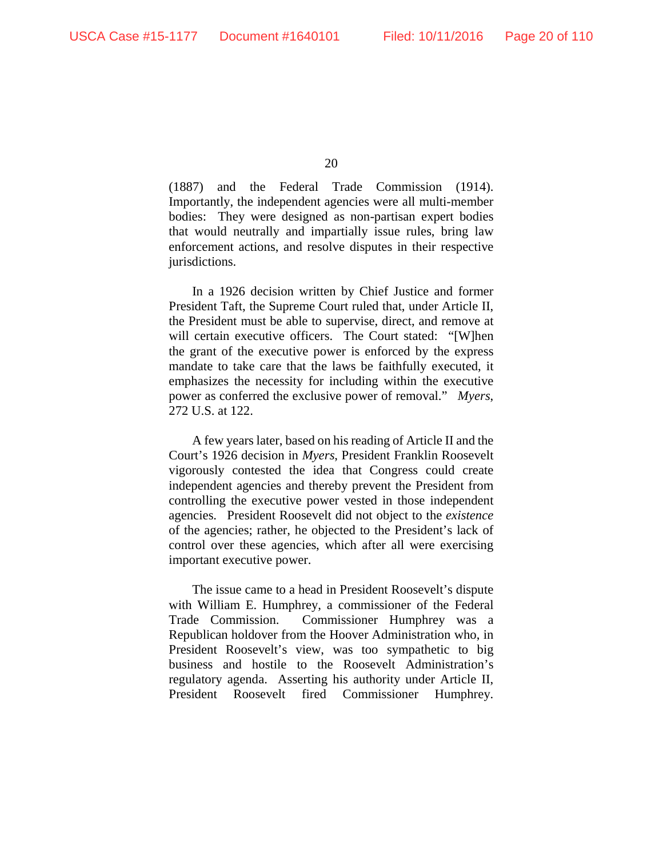(1887) and the Federal Trade Commission (1914). Importantly, the independent agencies were all multi-member bodies: They were designed as non-partisan expert bodies that would neutrally and impartially issue rules, bring law enforcement actions, and resolve disputes in their respective jurisdictions.

In a 1926 decision written by Chief Justice and former President Taft, the Supreme Court ruled that, under Article II, the President must be able to supervise, direct, and remove at will certain executive officers. The Court stated: "[W]hen the grant of the executive power is enforced by the express mandate to take care that the laws be faithfully executed, it emphasizes the necessity for including within the executive power as conferred the exclusive power of removal." *Myers*, 272 U.S. at 122.

A few years later, based on his reading of Article II and the Court's 1926 decision in *Myers*, President Franklin Roosevelt vigorously contested the idea that Congress could create independent agencies and thereby prevent the President from controlling the executive power vested in those independent agencies. President Roosevelt did not object to the *existence* of the agencies; rather, he objected to the President's lack of control over these agencies, which after all were exercising important executive power.

The issue came to a head in President Roosevelt's dispute with William E. Humphrey, a commissioner of the Federal Trade Commission. Commissioner Humphrey was a Republican holdover from the Hoover Administration who, in President Roosevelt's view, was too sympathetic to big business and hostile to the Roosevelt Administration's regulatory agenda. Asserting his authority under Article II, President Roosevelt fired Commissioner Humphrey.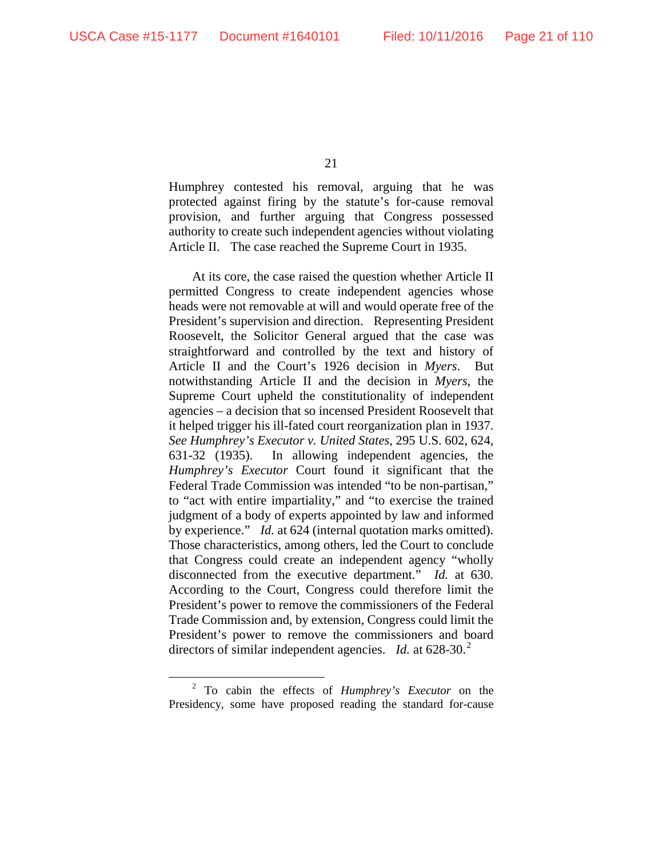Humphrey contested his removal, arguing that he was protected against firing by the statute's for-cause removal provision, and further arguing that Congress possessed authority to create such independent agencies without violating Article II. The case reached the Supreme Court in 1935.

At its core, the case raised the question whether Article II permitted Congress to create independent agencies whose heads were not removable at will and would operate free of the President's supervision and direction. Representing President Roosevelt, the Solicitor General argued that the case was straightforward and controlled by the text and history of Article II and the Court's 1926 decision in *Myers*. But notwithstanding Article II and the decision in *Myers*, the Supreme Court upheld the constitutionality of independent agencies – a decision that so incensed President Roosevelt that it helped trigger his ill-fated court reorganization plan in 1937. *See Humphrey's Executor v. United States*, 295 U.S. 602, 624, 631-32 (1935). In allowing independent agencies, the *Humphrey's Executor* Court found it significant that the Federal Trade Commission was intended "to be non-partisan," to "act with entire impartiality," and "to exercise the trained judgment of a body of experts appointed by law and informed by experience." *Id.* at 624 (internal quotation marks omitted). Those characteristics, among others, led the Court to conclude that Congress could create an independent agency "wholly disconnected from the executive department." *Id.* at 630. According to the Court, Congress could therefore limit the President's power to remove the commissioners of the Federal Trade Commission and, by extension, Congress could limit the President's power to remove the commissioners and board directors of similar independent agencies. *Id.* at 6[2](#page-20-0)8-30.<sup>2</sup>

<span id="page-20-0"></span> <sup>2</sup> To cabin the effects of *Humphrey's Executor* on the Presidency, some have proposed reading the standard for-cause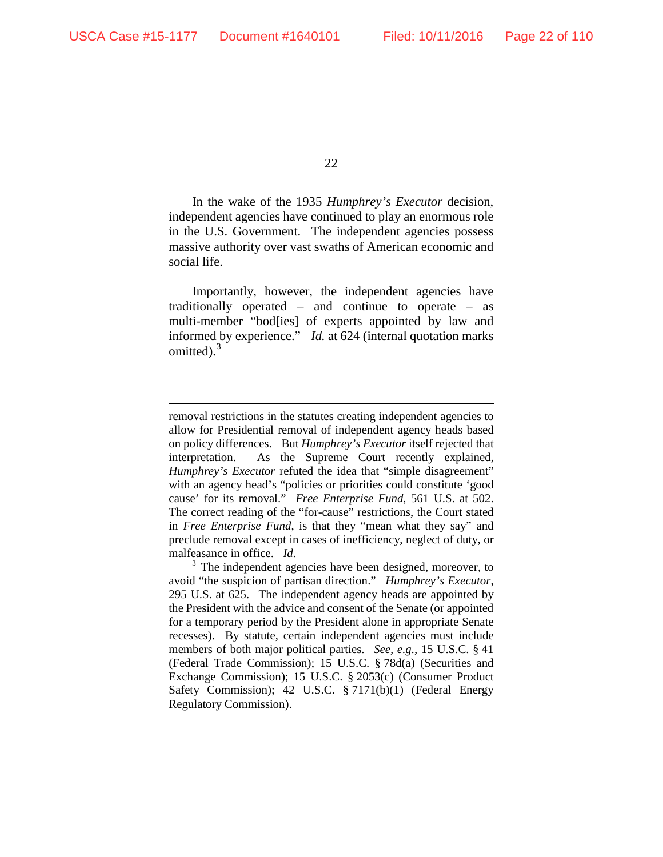$\overline{a}$ 

22

In the wake of the 1935 *Humphrey's Executor* decision, independent agencies have continued to play an enormous role in the U.S. Government. The independent agencies possess massive authority over vast swaths of American economic and social life.

Importantly, however, the independent agencies have traditionally operated – and continue to operate – as multi-member "bod[ies] of experts appointed by law and informed by experience." *Id.* at 624 (internal quotation marks omitted).<sup>[3](#page-21-0)</sup>

removal restrictions in the statutes creating independent agencies to allow for Presidential removal of independent agency heads based on policy differences. But *Humphrey's Executor* itself rejected that interpretation. As the Supreme Court recently explained, *Humphrey's Executor* refuted the idea that "simple disagreement" with an agency head's "policies or priorities could constitute 'good cause' for its removal." *Free Enterprise Fund*, 561 U.S. at 502. The correct reading of the "for-cause" restrictions, the Court stated in *Free Enterprise Fund*, is that they "mean what they say" and preclude removal except in cases of inefficiency, neglect of duty, or malfeasance in office. *Id.*

<span id="page-21-0"></span><sup>&</sup>lt;sup>3</sup> The independent agencies have been designed, moreover, to avoid "the suspicion of partisan direction." *Humphrey's Executor*, 295 U.S. at 625. The independent agency heads are appointed by the President with the advice and consent of the Senate (or appointed for a temporary period by the President alone in appropriate Senate recesses). By statute, certain independent agencies must include members of both major political parties. *See, e.g.*, 15 U.S.C. § 41 (Federal Trade Commission); 15 U.S.C. § 78d(a) (Securities and Exchange Commission); 15 U.S.C. § 2053(c) (Consumer Product Safety Commission); 42 U.S.C. § 7171(b)(1) (Federal Energy Regulatory Commission).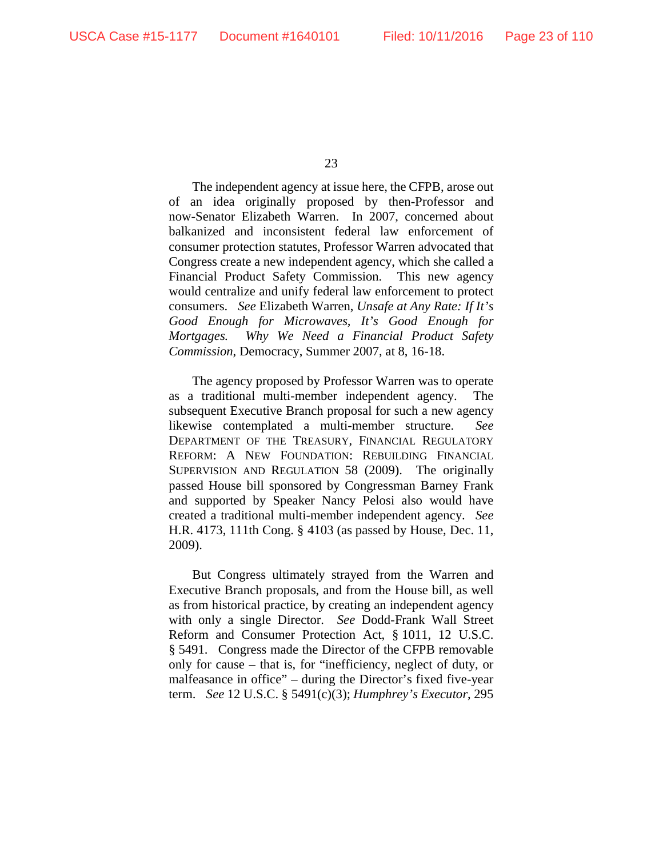The independent agency at issue here, the CFPB, arose out of an idea originally proposed by then-Professor and now-Senator Elizabeth Warren. In 2007, concerned about balkanized and inconsistent federal law enforcement of consumer protection statutes, Professor Warren advocated that Congress create a new independent agency, which she called a Financial Product Safety Commission. This new agency would centralize and unify federal law enforcement to protect consumers. *See* Elizabeth Warren, *Unsafe at Any Rate: If It's Good Enough for Microwaves, It's Good Enough for Mortgages. Why We Need a Financial Product Safety Commission*, Democracy, Summer 2007, at 8, 16-18.

The agency proposed by Professor Warren was to operate as a traditional multi-member independent agency. The subsequent Executive Branch proposal for such a new agency likewise contemplated a multi-member structure. *See*  DEPARTMENT OF THE TREASURY, FINANCIAL REGULATORY REFORM: A NEW FOUNDATION: REBUILDING FINANCIAL SUPERVISION AND REGULATION 58 (2009). The originally passed House bill sponsored by Congressman Barney Frank and supported by Speaker Nancy Pelosi also would have created a traditional multi-member independent agency. *See*  H.R. 4173, 111th Cong. § 4103 (as passed by House, Dec. 11, 2009).

But Congress ultimately strayed from the Warren and Executive Branch proposals, and from the House bill, as well as from historical practice, by creating an independent agency with only a single Director. *See* Dodd-Frank Wall Street Reform and Consumer Protection Act, § 1011, 12 U.S.C. § 5491. Congress made the Director of the CFPB removable only for cause – that is, for "inefficiency, neglect of duty, or malfeasance in office" – during the Director's fixed five-year term. *See* 12 U.S.C. § 5491(c)(3); *Humphrey's Executor*, 295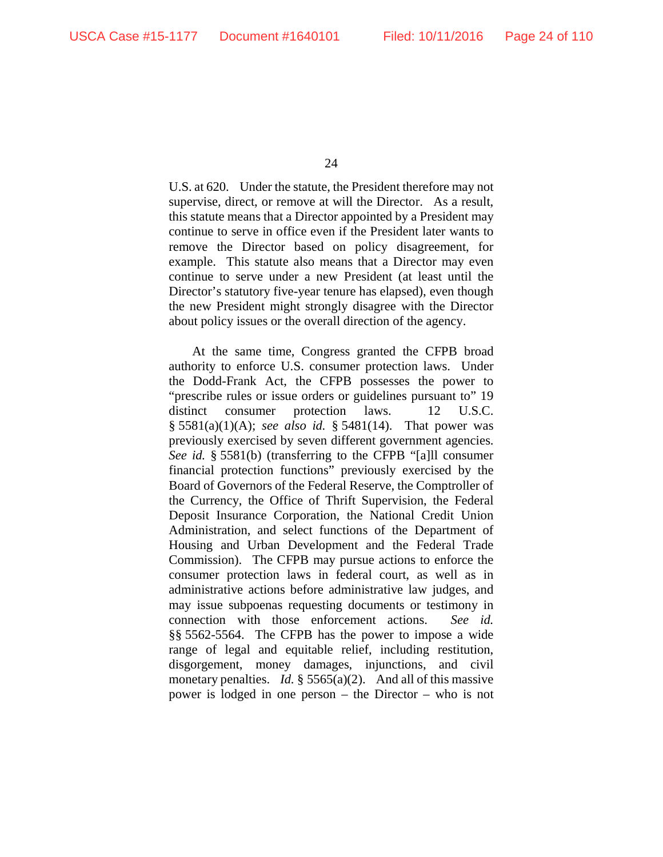U.S. at 620. Under the statute, the President therefore may not supervise, direct, or remove at will the Director. As a result, this statute means that a Director appointed by a President may continue to serve in office even if the President later wants to remove the Director based on policy disagreement, for example. This statute also means that a Director may even continue to serve under a new President (at least until the Director's statutory five-year tenure has elapsed), even though the new President might strongly disagree with the Director about policy issues or the overall direction of the agency.

At the same time, Congress granted the CFPB broad authority to enforce U.S. consumer protection laws. Under the Dodd-Frank Act, the CFPB possesses the power to "prescribe rules or issue orders or guidelines pursuant to" 19 distinct consumer protection laws. 12 U.S.C. § 5581(a)(1)(A); *see also id.* § 5481(14). That power was previously exercised by seven different government agencies. *See id.* § 5581(b) (transferring to the CFPB "[a]ll consumer financial protection functions" previously exercised by the Board of Governors of the Federal Reserve, the Comptroller of the Currency, the Office of Thrift Supervision, the Federal Deposit Insurance Corporation, the National Credit Union Administration, and select functions of the Department of Housing and Urban Development and the Federal Trade Commission). The CFPB may pursue actions to enforce the consumer protection laws in federal court, as well as in administrative actions before administrative law judges, and may issue subpoenas requesting documents or testimony in connection with those enforcement actions. *See id.*  §§ 5562-5564. The CFPB has the power to impose a wide range of legal and equitable relief, including restitution, disgorgement, money damages, injunctions, and civil monetary penalties. *Id.* § 5565(a)(2). And all of this massive power is lodged in one person – the Director – who is not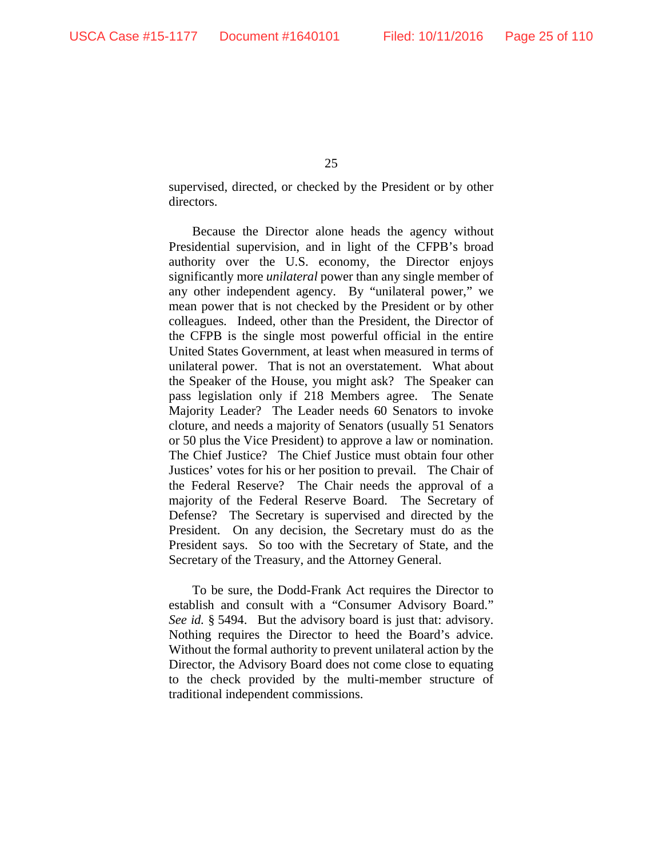supervised, directed, or checked by the President or by other directors.

Because the Director alone heads the agency without Presidential supervision, and in light of the CFPB's broad authority over the U.S. economy, the Director enjoys significantly more *unilateral* power than any single member of any other independent agency. By "unilateral power," we mean power that is not checked by the President or by other colleagues. Indeed, other than the President, the Director of the CFPB is the single most powerful official in the entire United States Government, at least when measured in terms of unilateral power. That is not an overstatement. What about the Speaker of the House, you might ask? The Speaker can pass legislation only if 218 Members agree. The Senate Majority Leader? The Leader needs 60 Senators to invoke cloture, and needs a majority of Senators (usually 51 Senators or 50 plus the Vice President) to approve a law or nomination. The Chief Justice? The Chief Justice must obtain four other Justices' votes for his or her position to prevail. The Chair of the Federal Reserve? The Chair needs the approval of a majority of the Federal Reserve Board. The Secretary of Defense? The Secretary is supervised and directed by the President. On any decision, the Secretary must do as the President says. So too with the Secretary of State, and the Secretary of the Treasury, and the Attorney General.

To be sure, the Dodd-Frank Act requires the Director to establish and consult with a "Consumer Advisory Board." *See id.* § 5494. But the advisory board is just that: advisory. Nothing requires the Director to heed the Board's advice. Without the formal authority to prevent unilateral action by the Director, the Advisory Board does not come close to equating to the check provided by the multi-member structure of traditional independent commissions.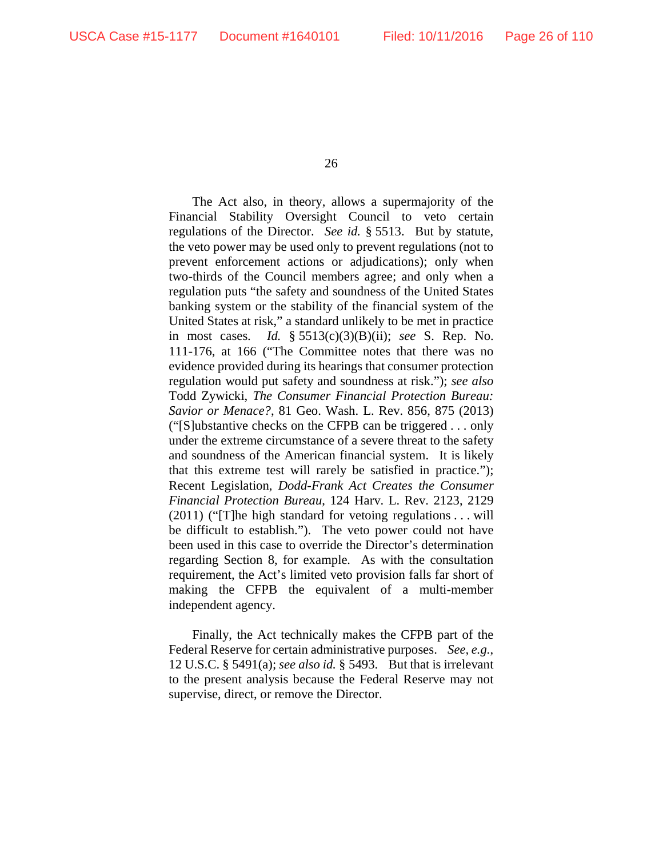The Act also, in theory, allows a supermajority of the Financial Stability Oversight Council to veto certain regulations of the Director. *See id.* § 5513. But by statute, the veto power may be used only to prevent regulations (not to prevent enforcement actions or adjudications); only when two-thirds of the Council members agree; and only when a regulation puts "the safety and soundness of the United States banking system or the stability of the financial system of the United States at risk," a standard unlikely to be met in practice in most cases. *Id.* § 5513(c)(3)(B)(ii); *see* S. Rep. No. 111-176, at 166 ("The Committee notes that there was no evidence provided during its hearings that consumer protection regulation would put safety and soundness at risk."); *see also* Todd Zywicki, *The Consumer Financial Protection Bureau: Savior or Menace?*, 81 Geo. Wash. L. Rev. 856, 875 (2013) ("[S]ubstantive checks on the CFPB can be triggered . . . only under the extreme circumstance of a severe threat to the safety and soundness of the American financial system. It is likely that this extreme test will rarely be satisfied in practice."); Recent Legislation, *Dodd-Frank Act Creates the Consumer Financial Protection Bureau*, 124 Harv. L. Rev. 2123, 2129 (2011) ("[T]he high standard for vetoing regulations . . . will be difficult to establish."). The veto power could not have been used in this case to override the Director's determination regarding Section 8, for example. As with the consultation requirement, the Act's limited veto provision falls far short of making the CFPB the equivalent of a multi-member independent agency.

Finally, the Act technically makes the CFPB part of the Federal Reserve for certain administrative purposes. *See, e.g.*, 12 U.S.C. § 5491(a); *see also id.* § 5493. But that is irrelevant to the present analysis because the Federal Reserve may not supervise, direct, or remove the Director.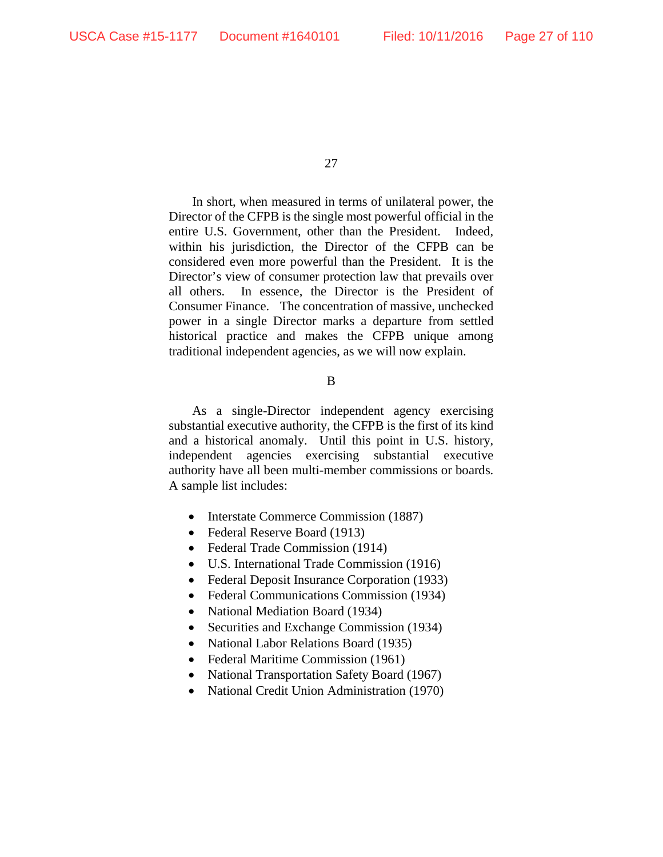In short, when measured in terms of unilateral power, the Director of the CFPB is the single most powerful official in the entire U.S. Government, other than the President. Indeed, within his jurisdiction, the Director of the CFPB can be considered even more powerful than the President. It is the Director's view of consumer protection law that prevails over all others. In essence, the Director is the President of Consumer Finance. The concentration of massive, unchecked power in a single Director marks a departure from settled historical practice and makes the CFPB unique among traditional independent agencies, as we will now explain.

### B

As a single-Director independent agency exercising substantial executive authority, the CFPB is the first of its kind and a historical anomaly. Until this point in U.S. history, independent agencies exercising substantial executive authority have all been multi-member commissions or boards. A sample list includes:

- Interstate Commerce Commission (1887)
- Federal Reserve Board (1913)
- Federal Trade Commission (1914)
- U.S. International Trade Commission (1916)
- Federal Deposit Insurance Corporation (1933)
- Federal Communications Commission (1934)
- National Mediation Board (1934)
- Securities and Exchange Commission (1934)
- National Labor Relations Board (1935)
- Federal Maritime Commission (1961)
- National Transportation Safety Board (1967)
- National Credit Union Administration (1970)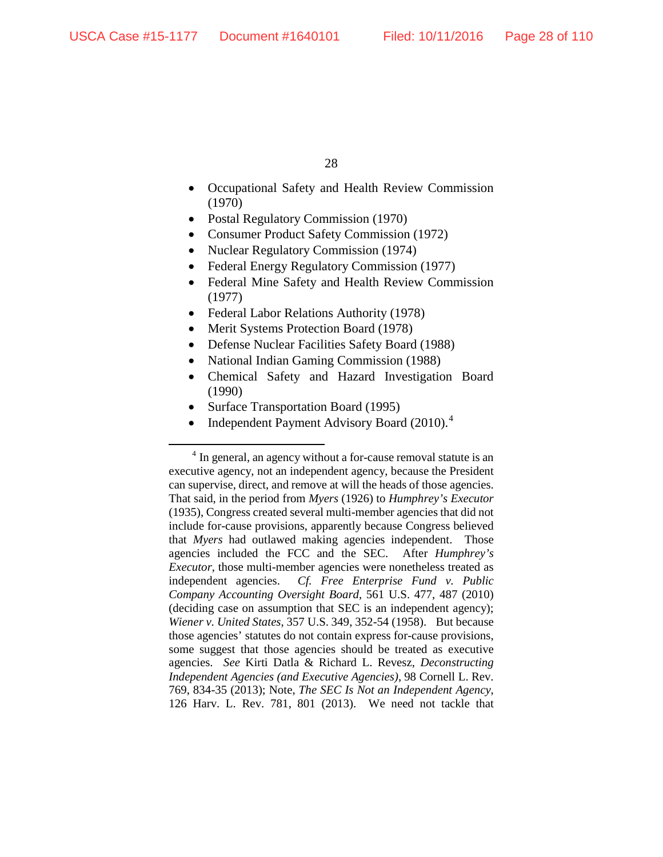- Occupational Safety and Health Review Commission (1970)
- Postal Regulatory Commission (1970)
- Consumer Product Safety Commission (1972)
- Nuclear Regulatory Commission (1974)
- Federal Energy Regulatory Commission (1977)
- Federal Mine Safety and Health Review Commission (1977)
- Federal Labor Relations Authority (1978)
- Merit Systems Protection Board (1978)
- Defense Nuclear Facilities Safety Board (1988)
- National Indian Gaming Commission (1988)
- Chemical Safety and Hazard Investigation Board (1990)
- Surface Transportation Board (1995)
- Independent Payment Advisory Board (2010).<sup>[4](#page-27-0)</sup>

<span id="page-27-0"></span><sup>&</sup>lt;sup>4</sup> In general, an agency without a for-cause removal statute is an executive agency, not an independent agency, because the President can supervise, direct, and remove at will the heads of those agencies. That said, in the period from *Myers* (1926) to *Humphrey's Executor*  (1935), Congress created several multi-member agencies that did not include for-cause provisions, apparently because Congress believed that *Myers* had outlawed making agencies independent. Those agencies included the FCC and the SEC. After *Humphrey's Executor*, those multi-member agencies were nonetheless treated as independent agencies. *Cf. Free Enterprise Fund v. Public Company Accounting Oversight Board*, 561 U.S. 477, 487 (2010) (deciding case on assumption that SEC is an independent agency); *Wiener v. United States*, 357 U.S. 349, 352-54 (1958). But because those agencies' statutes do not contain express for-cause provisions, some suggest that those agencies should be treated as executive agencies. *See* Kirti Datla & Richard L. Revesz, *Deconstructing Independent Agencies (and Executive Agencies)*, 98 Cornell L. Rev. 769, 834-35 (2013); Note, *The SEC Is Not an Independent Agency*, 126 Harv. L. Rev. 781, 801 (2013). We need not tackle that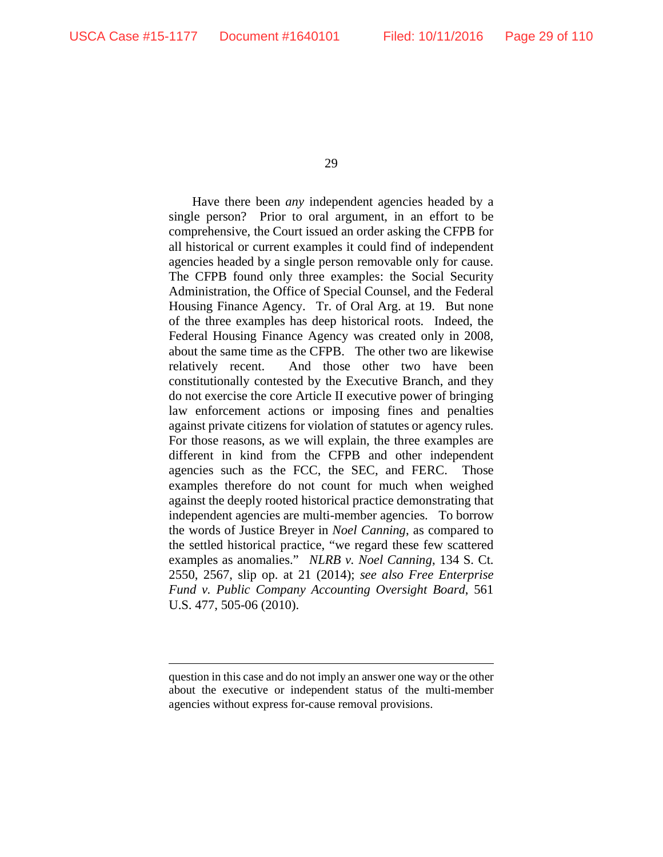$\overline{a}$ 

29

Have there been *any* independent agencies headed by a single person? Prior to oral argument, in an effort to be comprehensive, the Court issued an order asking the CFPB for all historical or current examples it could find of independent agencies headed by a single person removable only for cause. The CFPB found only three examples: the Social Security Administration, the Office of Special Counsel, and the Federal Housing Finance Agency. Tr. of Oral Arg. at 19. But none of the three examples has deep historical roots. Indeed, the Federal Housing Finance Agency was created only in 2008, about the same time as the CFPB. The other two are likewise relatively recent. And those other two have been constitutionally contested by the Executive Branch, and they do not exercise the core Article II executive power of bringing law enforcement actions or imposing fines and penalties against private citizens for violation of statutes or agency rules. For those reasons, as we will explain, the three examples are different in kind from the CFPB and other independent agencies such as the FCC, the SEC, and FERC. Those examples therefore do not count for much when weighed against the deeply rooted historical practice demonstrating that independent agencies are multi-member agencies. To borrow the words of Justice Breyer in *Noel Canning*, as compared to the settled historical practice, "we regard these few scattered examples as anomalies." *NLRB v. Noel Canning*, 134 S. Ct. 2550, 2567, slip op. at 21 (2014); *see also Free Enterprise Fund v. Public Company Accounting Oversight Board*, 561 U.S. 477, 505-06 (2010).

question in this case and do not imply an answer one way or the other about the executive or independent status of the multi-member agencies without express for-cause removal provisions.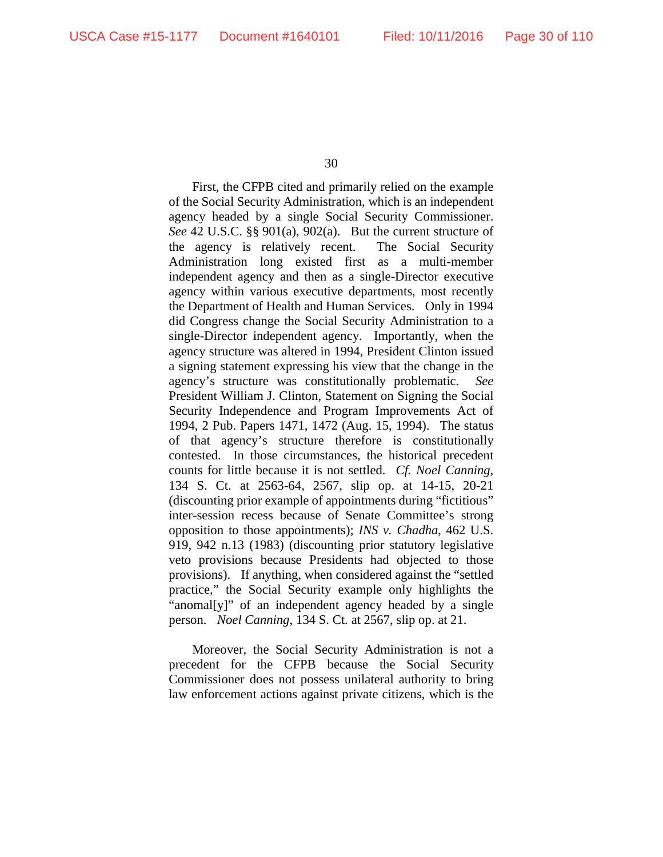First, the CFPB cited and primarily relied on the example of the Social Security Administration, which is an independent agency headed by a single Social Security Commissioner. *See* 42 U.S.C. §§ 901(a), 902(a). But the current structure of the agency is relatively recent. The Social Security Administration long existed first as a multi-member independent agency and then as a single-Director executive agency within various executive departments, most recently the Department of Health and Human Services. Only in 1994 did Congress change the Social Security Administration to a single-Director independent agency. Importantly, when the agency structure was altered in 1994, President Clinton issued a signing statement expressing his view that the change in the agency's structure was constitutionally problematic. *See* President William J. Clinton, Statement on Signing the Social Security Independence and Program Improvements Act of 1994, 2 Pub. Papers 1471, 1472 (Aug. 15, 1994). The status of that agency's structure therefore is constitutionally contested. In those circumstances, the historical precedent counts for little because it is not settled. *Cf. Noel Canning*, 134 S. Ct. at 2563-64, 2567, slip op. at 14-15, 20-21 (discounting prior example of appointments during "fictitious" inter-session recess because of Senate Committee's strong opposition to those appointments); *INS v. Chadha*, 462 U.S. 919, 942 n.13 (1983) (discounting prior statutory legislative veto provisions because Presidents had objected to those provisions). If anything, when considered against the "settled practice," the Social Security example only highlights the "anomal[y]" of an independent agency headed by a single person. *Noel Canning*, 134 S. Ct. at 2567, slip op. at 21.

Moreover, the Social Security Administration is not a precedent for the CFPB because the Social Security Commissioner does not possess unilateral authority to bring law enforcement actions against private citizens, which is the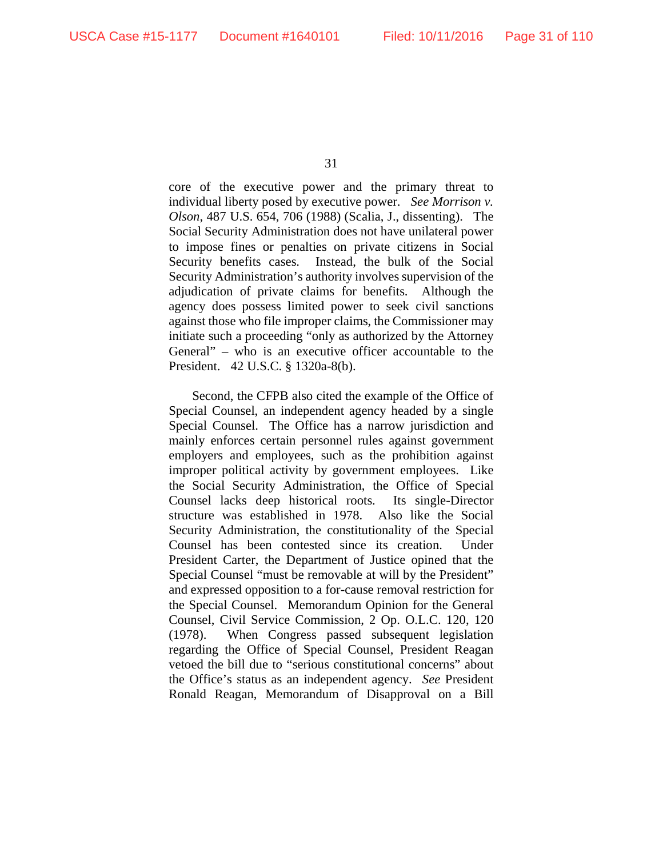core of the executive power and the primary threat to individual liberty posed by executive power. *See Morrison v. Olson*, 487 U.S. 654, 706 (1988) (Scalia, J., dissenting). The Social Security Administration does not have unilateral power to impose fines or penalties on private citizens in Social Security benefits cases. Instead, the bulk of the Social Security Administration's authority involves supervision of the adjudication of private claims for benefits. Although the agency does possess limited power to seek civil sanctions against those who file improper claims, the Commissioner may initiate such a proceeding "only as authorized by the Attorney General" – who is an executive officer accountable to the President. 42 U.S.C. § 1320a-8(b).

Second, the CFPB also cited the example of the Office of Special Counsel, an independent agency headed by a single Special Counsel. The Office has a narrow jurisdiction and mainly enforces certain personnel rules against government employers and employees, such as the prohibition against improper political activity by government employees. Like the Social Security Administration, the Office of Special Counsel lacks deep historical roots. Its single-Director structure was established in 1978. Also like the Social Security Administration, the constitutionality of the Special Counsel has been contested since its creation. Under President Carter, the Department of Justice opined that the Special Counsel "must be removable at will by the President" and expressed opposition to a for-cause removal restriction for the Special Counsel. Memorandum Opinion for the General Counsel, Civil Service Commission, 2 Op. O.L.C. 120, 120 (1978). When Congress passed subsequent legislation regarding the Office of Special Counsel, President Reagan vetoed the bill due to "serious constitutional concerns" about the Office's status as an independent agency. *See* President Ronald Reagan, Memorandum of Disapproval on a Bill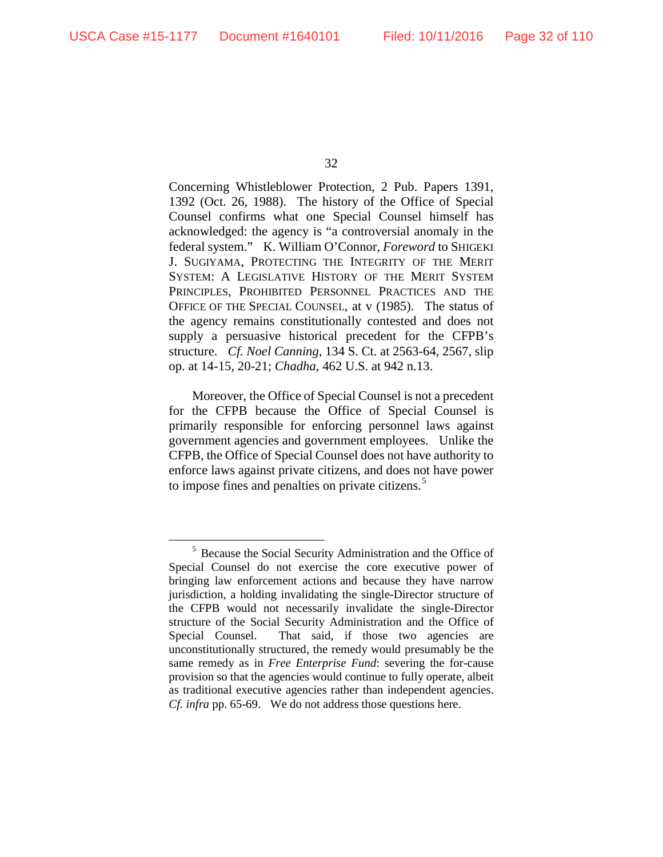Concerning Whistleblower Protection, 2 Pub. Papers 1391, 1392 (Oct. 26, 1988). The history of the Office of Special Counsel confirms what one Special Counsel himself has acknowledged: the agency is "a controversial anomaly in the federal system." K. William O'Connor, *Foreword* to SHIGEKI J. SUGIYAMA, PROTECTING THE INTEGRITY OF THE MERIT SYSTEM: A LEGISLATIVE HISTORY OF THE MERIT SYSTEM PRINCIPLES, PROHIBITED PERSONNEL PRACTICES AND THE OFFICE OF THE SPECIAL COUNSEL, at v (1985). The status of the agency remains constitutionally contested and does not supply a persuasive historical precedent for the CFPB's structure. *Cf. Noel Canning*, 134 S. Ct. at 2563-64, 2567, slip op. at 14-15, 20-21; *Chadha*, 462 U.S. at 942 n.13.

Moreover, the Office of Special Counsel is not a precedent for the CFPB because the Office of Special Counsel is primarily responsible for enforcing personnel laws against government agencies and government employees. Unlike the CFPB, the Office of Special Counsel does not have authority to enforce laws against private citizens, and does not have power to impose fines and penalties on private citizens.<sup>[5](#page-31-0)</sup>

<span id="page-31-0"></span> <sup>5</sup> Because the Social Security Administration and the Office of Special Counsel do not exercise the core executive power of bringing law enforcement actions and because they have narrow jurisdiction, a holding invalidating the single-Director structure of the CFPB would not necessarily invalidate the single-Director structure of the Social Security Administration and the Office of Special Counsel. That said, if those two agencies are unconstitutionally structured, the remedy would presumably be the same remedy as in *Free Enterprise Fund*: severing the for-cause provision so that the agencies would continue to fully operate, albeit as traditional executive agencies rather than independent agencies. *Cf. infra* pp. 65-69. We do not address those questions here.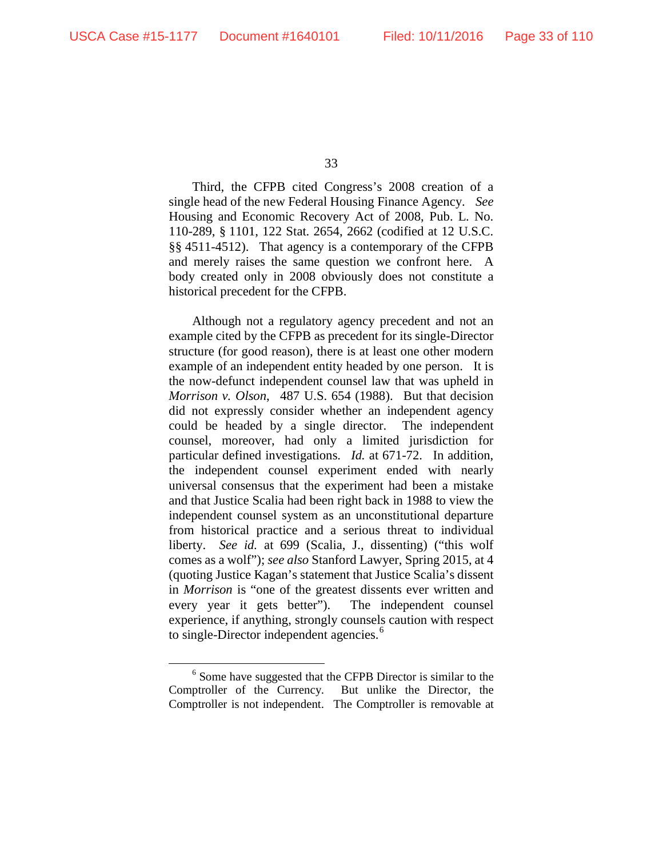Third, the CFPB cited Congress's 2008 creation of a single head of the new Federal Housing Finance Agency. *See*  Housing and Economic Recovery Act of 2008, Pub. L. No. 110-289, § 1101, 122 Stat. 2654, 2662 (codified at 12 U.S.C. §§ 4511-4512). That agency is a contemporary of the CFPB and merely raises the same question we confront here. A body created only in 2008 obviously does not constitute a historical precedent for the CFPB.

Although not a regulatory agency precedent and not an example cited by the CFPB as precedent for its single-Director structure (for good reason), there is at least one other modern example of an independent entity headed by one person. It is the now-defunct independent counsel law that was upheld in *Morrison v. Olson*, 487 U.S. 654 (1988). But that decision did not expressly consider whether an independent agency could be headed by a single director. The independent counsel, moreover, had only a limited jurisdiction for particular defined investigations. *Id.* at 671-72. In addition, the independent counsel experiment ended with nearly universal consensus that the experiment had been a mistake and that Justice Scalia had been right back in 1988 to view the independent counsel system as an unconstitutional departure from historical practice and a serious threat to individual liberty. *See id.* at 699 (Scalia, J., dissenting) ("this wolf comes as a wolf"); *see also* Stanford Lawyer, Spring 2015, at 4 (quoting Justice Kagan's statement that Justice Scalia's dissent in *Morrison* is "one of the greatest dissents ever written and every year it gets better"). The independent counsel experience, if anything, strongly counsels caution with respect to single-Director independent agencies.<sup>[6](#page-32-0)</sup>

<span id="page-32-0"></span><sup>&</sup>lt;sup>6</sup> Some have suggested that the CFPB Director is similar to the Comptroller of the Currency. But unlike the Director, the Comptroller is not independent. The Comptroller is removable at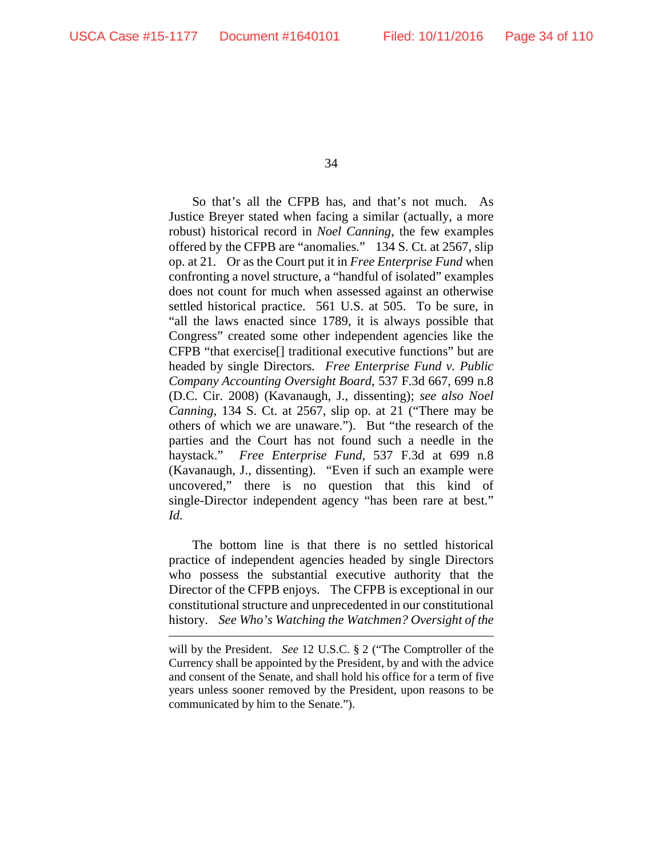$\overline{a}$ 

34

So that's all the CFPB has, and that's not much. As Justice Breyer stated when facing a similar (actually, a more robust) historical record in *Noel Canning*, the few examples offered by the CFPB are "anomalies." 134 S. Ct. at 2567, slip op. at 21. Or as the Court put it in *Free Enterprise Fund* when confronting a novel structure, a "handful of isolated" examples does not count for much when assessed against an otherwise settled historical practice. 561 U.S. at 505. To be sure, in "all the laws enacted since 1789, it is always possible that Congress" created some other independent agencies like the CFPB "that exercise[] traditional executive functions" but are headed by single Directors. *Free Enterprise Fund v. Public Company Accounting Oversight Board*, 537 F.3d 667, 699 n.8 (D.C. Cir. 2008) (Kavanaugh, J., dissenting); *see also Noel Canning*, 134 S. Ct. at 2567, slip op. at 21 ("There may be others of which we are unaware."). But "the research of the parties and the Court has not found such a needle in the haystack." *Free Enterprise Fund*, 537 F.3d at 699 n.8 (Kavanaugh, J., dissenting). "Even if such an example were uncovered," there is no question that this kind of single-Director independent agency "has been rare at best." *Id.* 

The bottom line is that there is no settled historical practice of independent agencies headed by single Directors who possess the substantial executive authority that the Director of the CFPB enjoys. The CFPB is exceptional in our constitutional structure and unprecedented in our constitutional history. *See Who's Watching the Watchmen? Oversight of the* 

will by the President. *See* 12 U.S.C. § 2 ("The Comptroller of the Currency shall be appointed by the President, by and with the advice and consent of the Senate, and shall hold his office for a term of five years unless sooner removed by the President, upon reasons to be communicated by him to the Senate.").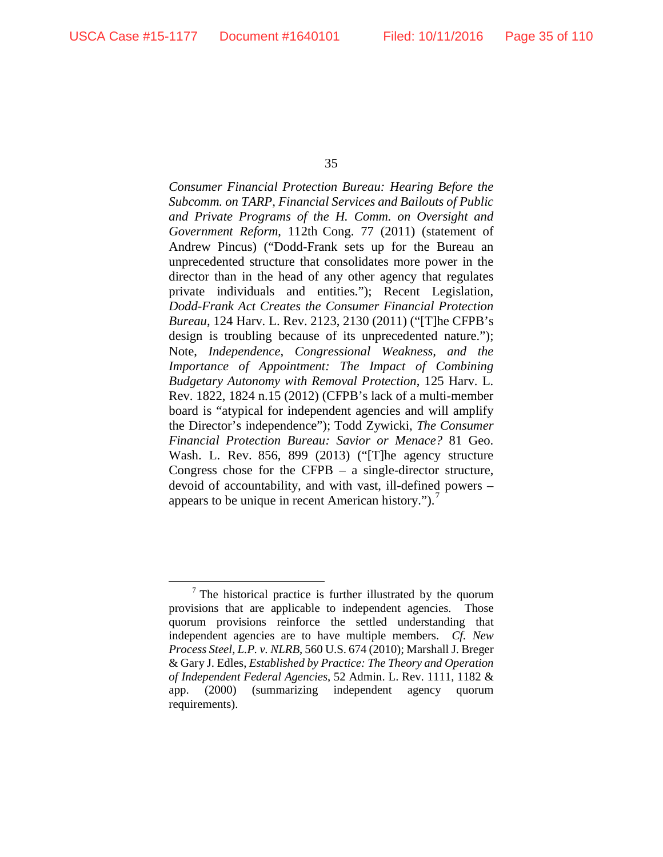*Consumer Financial Protection Bureau: Hearing Before the Subcomm. on TARP, Financial Services and Bailouts of Public and Private Programs of the H. Comm. on Oversight and Government Reform*, 112th Cong. 77 (2011) (statement of Andrew Pincus) ("Dodd-Frank sets up for the Bureau an unprecedented structure that consolidates more power in the director than in the head of any other agency that regulates private individuals and entities."); Recent Legislation, *Dodd-Frank Act Creates the Consumer Financial Protection Bureau*, 124 Harv. L. Rev. 2123, 2130 (2011) ("[T]he CFPB's design is troubling because of its unprecedented nature."); Note, *Independence, Congressional Weakness, and the Importance of Appointment: The Impact of Combining Budgetary Autonomy with Removal Protection*, 125 Harv. L. Rev. 1822, 1824 n.15 (2012) (CFPB's lack of a multi-member board is "atypical for independent agencies and will amplify the Director's independence"); Todd Zywicki, *The Consumer Financial Protection Bureau: Savior or Menace?* 81 Geo. Wash. L. Rev. 856, 899 (2013) ("[T]he agency structure Congress chose for the CFPB – a single-director structure, devoid of accountability, and with vast, ill-defined powers – appears to be unique in recent American history." $)$ .<sup>[7](#page-34-0)</sup>

<span id="page-34-0"></span> $<sup>7</sup>$  The historical practice is further illustrated by the quorum</sup> provisions that are applicable to independent agencies. Those quorum provisions reinforce the settled understanding that independent agencies are to have multiple members. *Cf. New Process Steel, L.P. v. NLRB*, 560 U.S. 674 (2010); Marshall J. Breger & Gary J. Edles, *Established by Practice: The Theory and Operation of Independent Federal Agencies*, 52 Admin. L. Rev. 1111, 1182 & app. (2000) (summarizing independent agency quorum requirements).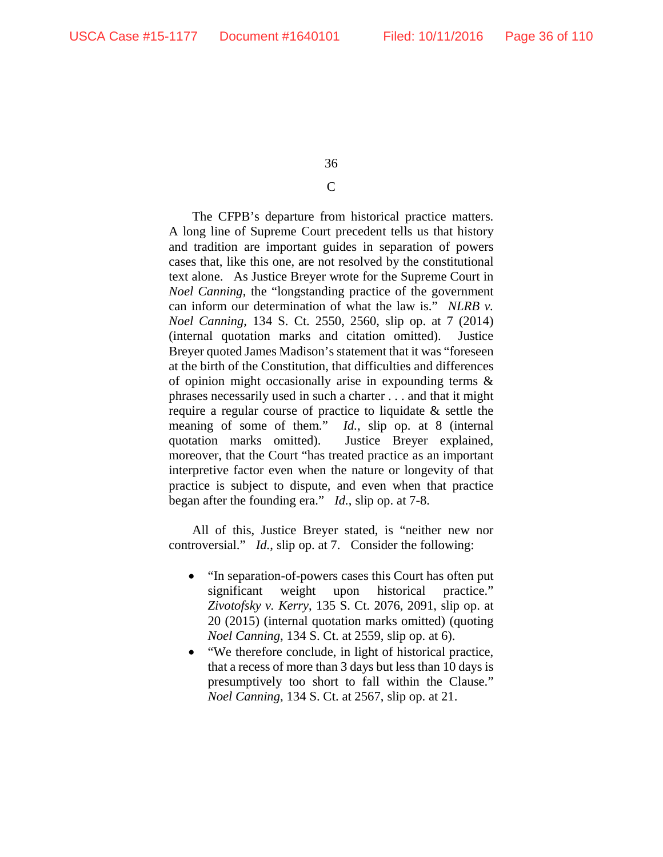## C

The CFPB's departure from historical practice matters. A long line of Supreme Court precedent tells us that history and tradition are important guides in separation of powers cases that, like this one, are not resolved by the constitutional text alone. As Justice Breyer wrote for the Supreme Court in *Noel Canning*, the "longstanding practice of the government can inform our determination of what the law is." *NLRB v. Noel Canning*, 134 S. Ct. 2550, 2560, slip op. at 7 (2014) (internal quotation marks and citation omitted). Justice Breyer quoted James Madison's statement that it was "foreseen at the birth of the Constitution, that difficulties and differences of opinion might occasionally arise in expounding terms & phrases necessarily used in such a charter . . . and that it might require a regular course of practice to liquidate & settle the meaning of some of them." *Id.*, slip op. at 8 (internal quotation marks omitted). Justice Breyer explained, moreover, that the Court "has treated practice as an important interpretive factor even when the nature or longevity of that practice is subject to dispute, and even when that practice began after the founding era." *Id.*, slip op. at 7-8.

All of this, Justice Breyer stated, is "neither new nor controversial." *Id.*, slip op. at 7. Consider the following:

- "In separation-of-powers cases this Court has often put significant weight upon historical practice." *Zivotofsky v. Kerry*, 135 S. Ct. 2076, 2091, slip op. at 20 (2015) (internal quotation marks omitted) (quoting *Noel Canning*, 134 S. Ct. at 2559, slip op. at 6).
- "We therefore conclude, in light of historical practice, that a recess of more than 3 days but less than 10 days is presumptively too short to fall within the Clause." *Noel Canning*, 134 S. Ct. at 2567, slip op. at 21.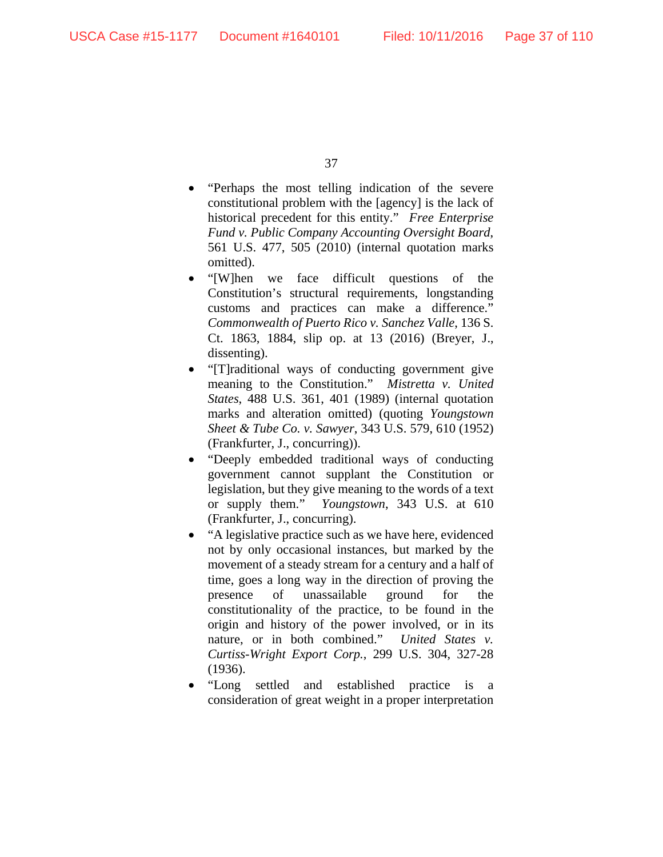- "Perhaps the most telling indication of the severe constitutional problem with the [agency] is the lack of historical precedent for this entity." *Free Enterprise Fund v. Public Company Accounting Oversight Board*, 561 U.S. 477, 505 (2010) (internal quotation marks omitted).
- "[W]hen we face difficult questions of the Constitution's structural requirements, longstanding customs and practices can make a difference." *Commonwealth of Puerto Rico v. Sanchez Valle*, 136 S. Ct. 1863, 1884, slip op. at 13 (2016) (Breyer, J., dissenting).
- "[T]raditional ways of conducting government give meaning to the Constitution." *Mistretta v. United States*, 488 U.S. 361, 401 (1989) (internal quotation marks and alteration omitted) (quoting *Youngstown Sheet & Tube Co. v. Sawyer*, 343 U.S. 579, 610 (1952) (Frankfurter, J., concurring)).
- "Deeply embedded traditional ways of conducting government cannot supplant the Constitution or legislation, but they give meaning to the words of a text or supply them." *Youngstown*, 343 U.S. at 610 (Frankfurter, J., concurring).
- "A legislative practice such as we have here, evidenced not by only occasional instances, but marked by the movement of a steady stream for a century and a half of time, goes a long way in the direction of proving the presence of unassailable ground for the constitutionality of the practice, to be found in the origin and history of the power involved, or in its nature, or in both combined." *United States v. Curtiss-Wright Export Corp.*, 299 U.S. 304, 327-28 (1936).
- "Long settled and established practice is a consideration of great weight in a proper interpretation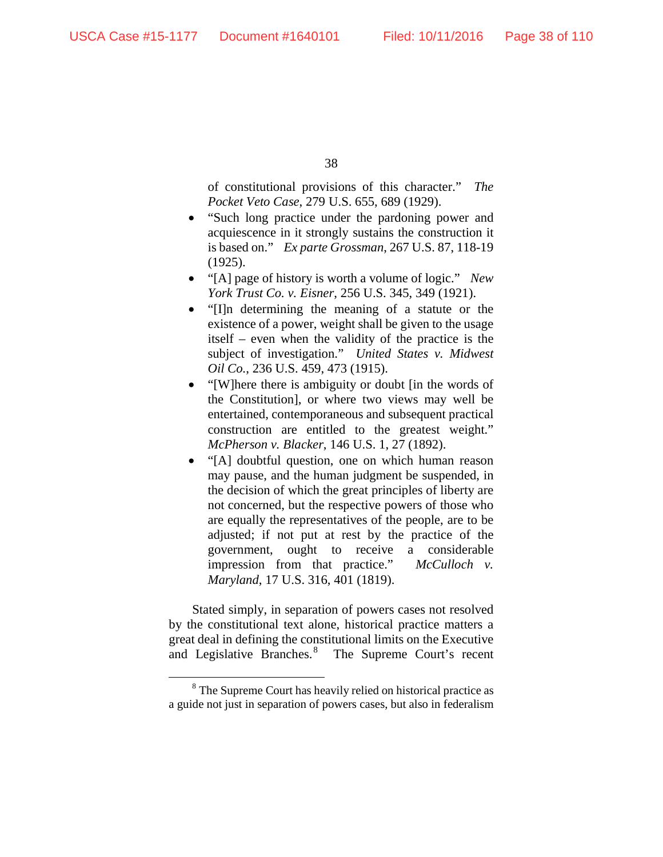of constitutional provisions of this character." *The Pocket Veto Case*, 279 U.S. 655, 689 (1929).

- "Such long practice under the pardoning power and acquiescence in it strongly sustains the construction it is based on." *Ex parte Grossman*, 267 U.S. 87, 118-19 (1925).
- "[A] page of history is worth a volume of logic." *New York Trust Co. v. Eisner*, 256 U.S. 345, 349 (1921).
- "[I]n determining the meaning of a statute or the existence of a power, weight shall be given to the usage itself – even when the validity of the practice is the subject of investigation." *United States v. Midwest Oil Co.*, 236 U.S. 459, 473 (1915).
- "[W]here there is ambiguity or doubt [in the words of the Constitution], or where two views may well be entertained, contemporaneous and subsequent practical construction are entitled to the greatest weight." *McPherson v. Blacker*, 146 U.S. 1, 27 (1892).
- "[A] doubtful question, one on which human reason may pause, and the human judgment be suspended, in the decision of which the great principles of liberty are not concerned, but the respective powers of those who are equally the representatives of the people, are to be adjusted; if not put at rest by the practice of the government, ought to receive a considerable impression from that practice." *McCulloch v. Maryland*, 17 U.S. 316, 401 (1819).

Stated simply, in separation of powers cases not resolved by the constitutional text alone, historical practice matters a great deal in defining the constitutional limits on the Executive and Legislative Branches.<sup>[8](#page-37-0)</sup> The Supreme Court's recent

<span id="page-37-0"></span><sup>&</sup>lt;sup>8</sup> The Supreme Court has heavily relied on historical practice as a guide not just in separation of powers cases, but also in federalism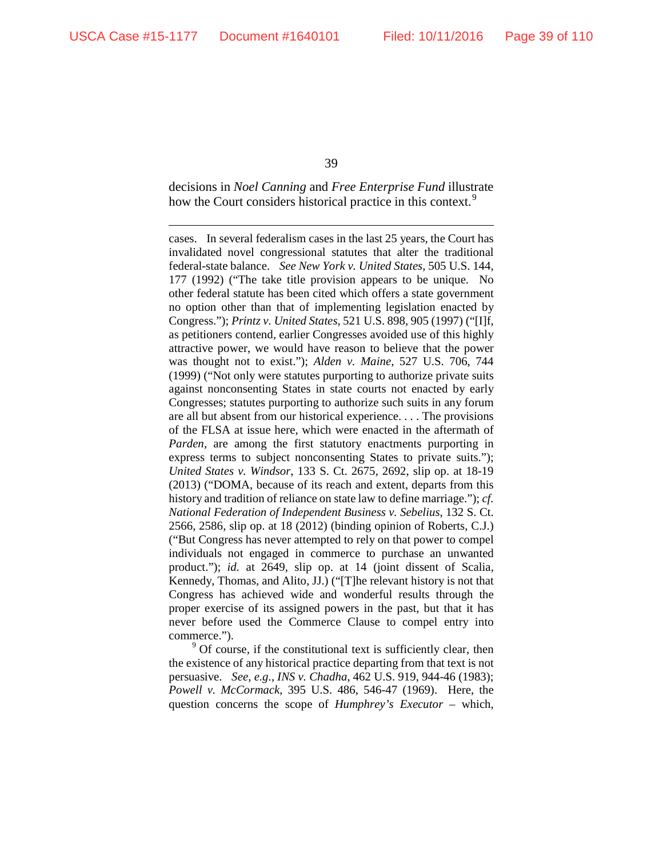39

decisions in *Noel Canning* and *Free Enterprise Fund* illustrate how the Court considers historical practice in this context.<sup>[9](#page-38-0)</sup>

cases. In several federalism cases in the last 25 years, the Court has invalidated novel congressional statutes that alter the traditional federal-state balance. *See New York v. United States*, 505 U.S. 144, 177 (1992) ("The take title provision appears to be unique. No other federal statute has been cited which offers a state government no option other than that of implementing legislation enacted by Congress."); *Printz v. United States*, 521 U.S. 898, 905 (1997) ("[I]f, as petitioners contend, earlier Congresses avoided use of this highly attractive power, we would have reason to believe that the power was thought not to exist."); *Alden v. Maine*, 527 U.S. 706, 744 (1999) ("Not only were statutes purporting to authorize private suits against nonconsenting States in state courts not enacted by early Congresses; statutes purporting to authorize such suits in any forum are all but absent from our historical experience. . . . The provisions of the FLSA at issue here, which were enacted in the aftermath of *Parden*, are among the first statutory enactments purporting in express terms to subject nonconsenting States to private suits."); *United States v. Windsor*, 133 S. Ct. 2675, 2692, slip op. at 18-19 (2013) ("DOMA, because of its reach and extent, departs from this history and tradition of reliance on state law to define marriage."); *cf. National Federation of Independent Business v. Sebelius*, 132 S. Ct. 2566, 2586, slip op. at 18 (2012) (binding opinion of Roberts, C.J.) ("But Congress has never attempted to rely on that power to compel individuals not engaged in commerce to purchase an unwanted product."); *id.* at 2649, slip op. at 14 (joint dissent of Scalia, Kennedy, Thomas, and Alito, JJ.) ("[T]he relevant history is not that Congress has achieved wide and wonderful results through the proper exercise of its assigned powers in the past, but that it has never before used the Commerce Clause to compel entry into commerce.").

<span id="page-38-0"></span><sup>9</sup> Of course, if the constitutional text is sufficiently clear, then the existence of any historical practice departing from that text is not persuasive. *See, e.g.*, *INS v. Chadha*, 462 U.S. 919, 944-46 (1983); *Powell v. McCormack*, 395 U.S. 486, 546-47 (1969). Here, the question concerns the scope of *Humphrey's Executor* – which,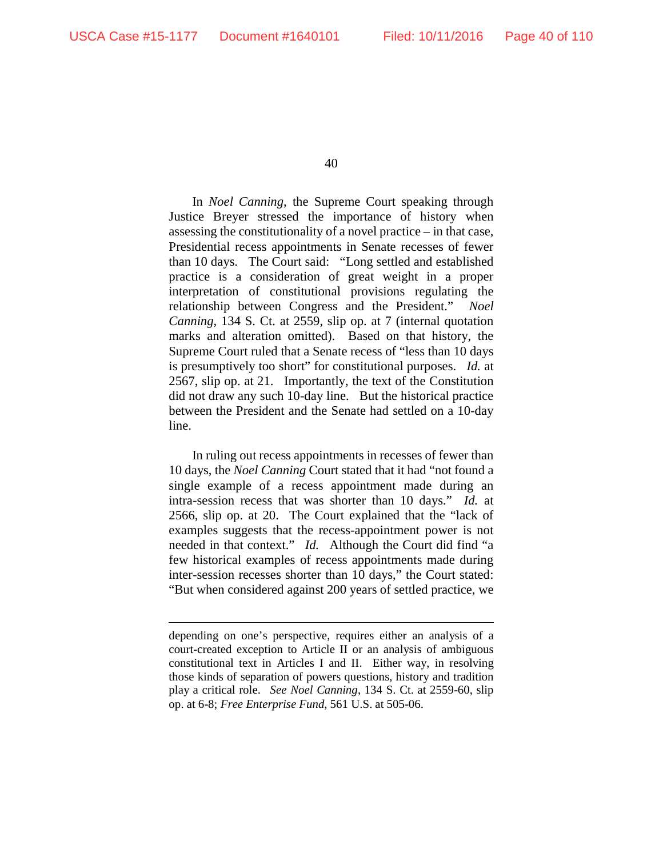40

In *Noel Canning*, the Supreme Court speaking through Justice Breyer stressed the importance of history when assessing the constitutionality of a novel practice – in that case, Presidential recess appointments in Senate recesses of fewer than 10 days. The Court said: "Long settled and established practice is a consideration of great weight in a proper interpretation of constitutional provisions regulating the relationship between Congress and the President." *Noel Canning*, 134 S. Ct. at 2559, slip op. at 7 (internal quotation marks and alteration omitted). Based on that history, the Supreme Court ruled that a Senate recess of "less than 10 days is presumptively too short" for constitutional purposes. *Id.* at 2567, slip op. at 21. Importantly, the text of the Constitution did not draw any such 10-day line. But the historical practice between the President and the Senate had settled on a 10-day line.

In ruling out recess appointments in recesses of fewer than 10 days, the *Noel Canning* Court stated that it had "not found a single example of a recess appointment made during an intra-session recess that was shorter than 10 days." *Id.* at 2566, slip op. at 20. The Court explained that the "lack of examples suggests that the recess-appointment power is not needed in that context." *Id.* Although the Court did find "a few historical examples of recess appointments made during inter-session recesses shorter than 10 days," the Court stated: "But when considered against 200 years of settled practice, we

depending on one's perspective, requires either an analysis of a court-created exception to Article II or an analysis of ambiguous constitutional text in Articles I and II. Either way, in resolving those kinds of separation of powers questions, history and tradition play a critical role. *See Noel Canning*, 134 S. Ct. at 2559-60, slip op. at 6-8; *Free Enterprise Fund*, 561 U.S. at 505-06.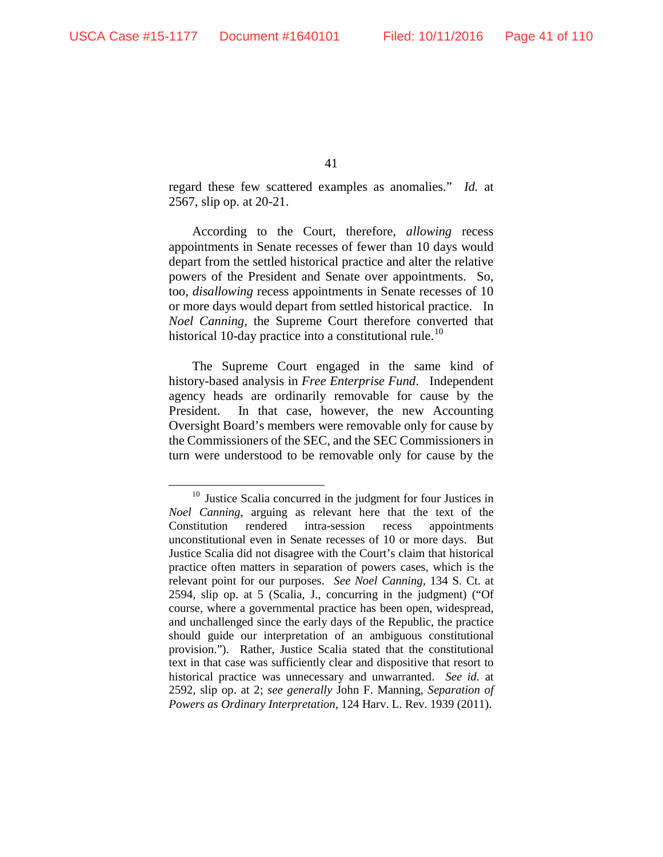regard these few scattered examples as anomalies." *Id.* at 2567, slip op. at 20-21.

According to the Court, therefore, *allowing* recess appointments in Senate recesses of fewer than 10 days would depart from the settled historical practice and alter the relative powers of the President and Senate over appointments. So, too, *disallowing* recess appointments in Senate recesses of 10 or more days would depart from settled historical practice. In *Noel Canning*, the Supreme Court therefore converted that historical [10](#page-40-0)-day practice into a constitutional rule.<sup>10</sup>

The Supreme Court engaged in the same kind of history-based analysis in *Free Enterprise Fund*. Independent agency heads are ordinarily removable for cause by the President. In that case, however, the new Accounting Oversight Board's members were removable only for cause by the Commissioners of the SEC, and the SEC Commissioners in turn were understood to be removable only for cause by the

<span id="page-40-0"></span><sup>&</sup>lt;sup>10</sup> Justice Scalia concurred in the judgment for four Justices in *Noel Canning*, arguing as relevant here that the text of the Constitution rendered intra-session recess appointments unconstitutional even in Senate recesses of 10 or more days. But Justice Scalia did not disagree with the Court's claim that historical practice often matters in separation of powers cases, which is the relevant point for our purposes. *See Noel Canning*, 134 S. Ct. at 2594, slip op. at 5 (Scalia, J., concurring in the judgment) ("Of course, where a governmental practice has been open, widespread, and unchallenged since the early days of the Republic, the practice should guide our interpretation of an ambiguous constitutional provision."). Rather, Justice Scalia stated that the constitutional text in that case was sufficiently clear and dispositive that resort to historical practice was unnecessary and unwarranted. *See id.* at 2592, slip op. at 2; *see generally* John F. Manning, *Separation of Powers as Ordinary Interpretation*, 124 Harv. L. Rev. 1939 (2011).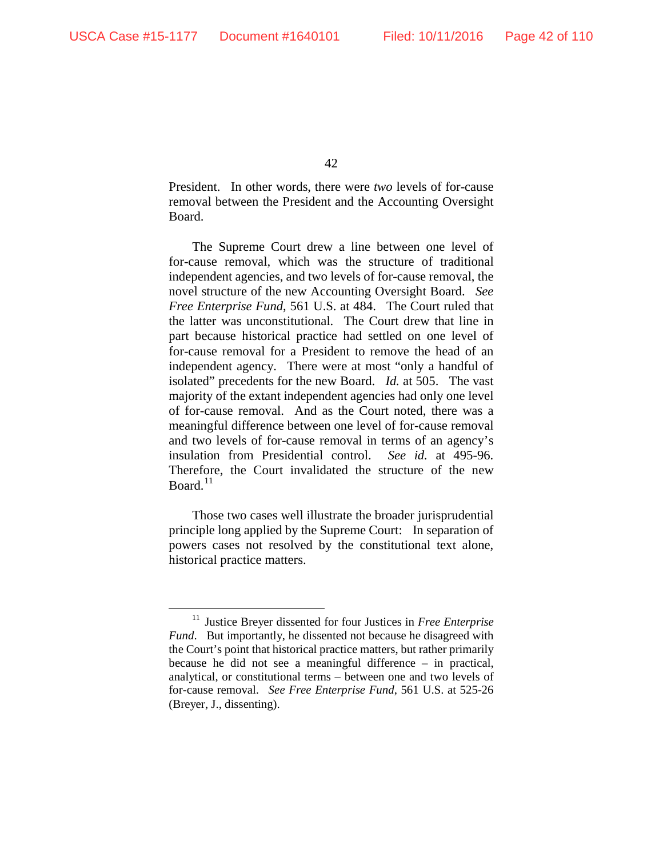President. In other words, there were *two* levels of for-cause removal between the President and the Accounting Oversight Board.

The Supreme Court drew a line between one level of for-cause removal, which was the structure of traditional independent agencies, and two levels of for-cause removal, the novel structure of the new Accounting Oversight Board. *See Free Enterprise Fund*, 561 U.S. at 484. The Court ruled that the latter was unconstitutional. The Court drew that line in part because historical practice had settled on one level of for-cause removal for a President to remove the head of an independent agency. There were at most "only a handful of isolated" precedents for the new Board. *Id.* at 505. The vast majority of the extant independent agencies had only one level of for-cause removal. And as the Court noted, there was a meaningful difference between one level of for-cause removal and two levels of for-cause removal in terms of an agency's insulation from Presidential control. *See id.* at 495-96. Therefore, the Court invalidated the structure of the new Board. $11$ 

Those two cases well illustrate the broader jurisprudential principle long applied by the Supreme Court: In separation of powers cases not resolved by the constitutional text alone, historical practice matters.

<span id="page-41-0"></span> <sup>11</sup> Justice Breyer dissented for four Justices in *Free Enterprise Fund*. But importantly, he dissented not because he disagreed with the Court's point that historical practice matters, but rather primarily because he did not see a meaningful difference – in practical, analytical, or constitutional terms – between one and two levels of for-cause removal. *See Free Enterprise Fund*, 561 U.S. at 525-26 (Breyer, J., dissenting).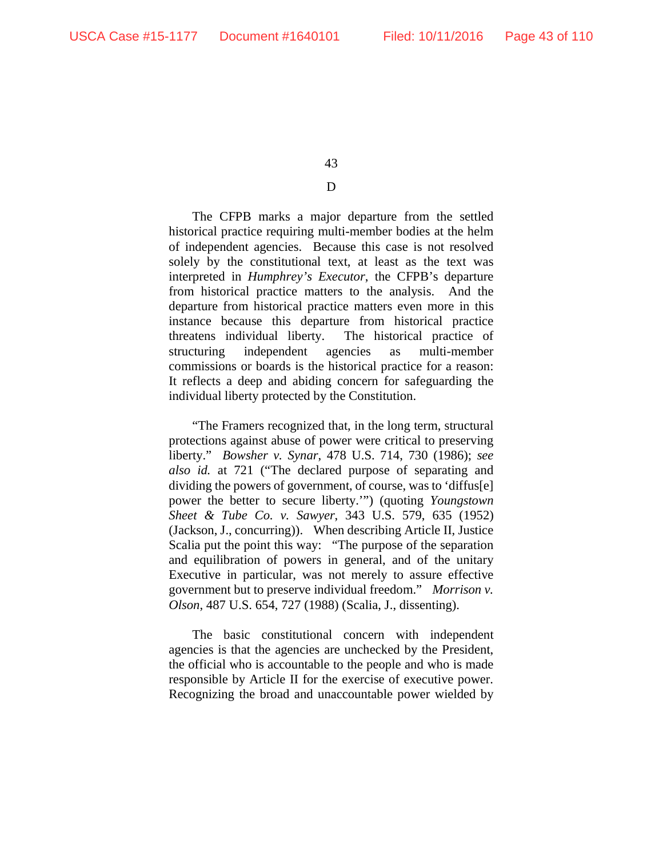## D

The CFPB marks a major departure from the settled historical practice requiring multi-member bodies at the helm of independent agencies. Because this case is not resolved solely by the constitutional text, at least as the text was interpreted in *Humphrey's Executor*, the CFPB's departure from historical practice matters to the analysis. And the departure from historical practice matters even more in this instance because this departure from historical practice threatens individual liberty. The historical practice of structuring independent agencies as multi-member commissions or boards is the historical practice for a reason: It reflects a deep and abiding concern for safeguarding the individual liberty protected by the Constitution.

"The Framers recognized that, in the long term, structural protections against abuse of power were critical to preserving liberty." *Bowsher v. Synar*, 478 U.S. 714, 730 (1986); *see also id.* at 721 ("The declared purpose of separating and dividing the powers of government, of course, was to 'diffus[e] power the better to secure liberty.'") (quoting *Youngstown Sheet & Tube Co. v. Sawyer*, 343 U.S. 579, 635 (1952) (Jackson, J., concurring)). When describing Article II, Justice Scalia put the point this way: "The purpose of the separation and equilibration of powers in general, and of the unitary Executive in particular, was not merely to assure effective government but to preserve individual freedom." *Morrison v. Olson*, 487 U.S. 654, 727 (1988) (Scalia, J., dissenting).

The basic constitutional concern with independent agencies is that the agencies are unchecked by the President, the official who is accountable to the people and who is made responsible by Article II for the exercise of executive power. Recognizing the broad and unaccountable power wielded by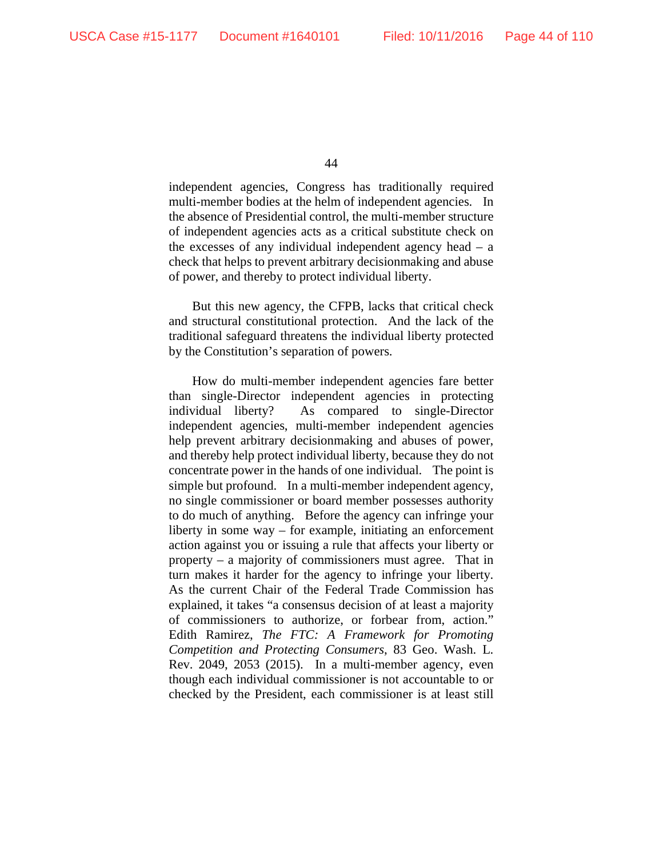independent agencies, Congress has traditionally required multi-member bodies at the helm of independent agencies. In the absence of Presidential control, the multi-member structure of independent agencies acts as a critical substitute check on the excesses of any individual independent agency head  $-$  a check that helps to prevent arbitrary decisionmaking and abuse of power, and thereby to protect individual liberty.

But this new agency, the CFPB, lacks that critical check and structural constitutional protection. And the lack of the traditional safeguard threatens the individual liberty protected by the Constitution's separation of powers.

How do multi-member independent agencies fare better than single-Director independent agencies in protecting individual liberty? As compared to single-Director independent agencies, multi-member independent agencies help prevent arbitrary decisionmaking and abuses of power, and thereby help protect individual liberty, because they do not concentrate power in the hands of one individual. The point is simple but profound. In a multi-member independent agency, no single commissioner or board member possesses authority to do much of anything. Before the agency can infringe your liberty in some way – for example, initiating an enforcement action against you or issuing a rule that affects your liberty or property – a majority of commissioners must agree. That in turn makes it harder for the agency to infringe your liberty. As the current Chair of the Federal Trade Commission has explained, it takes "a consensus decision of at least a majority of commissioners to authorize, or forbear from, action." Edith Ramirez, *The FTC: A Framework for Promoting Competition and Protecting Consumers*, 83 Geo. Wash. L. Rev. 2049, 2053 (2015). In a multi-member agency, even though each individual commissioner is not accountable to or checked by the President, each commissioner is at least still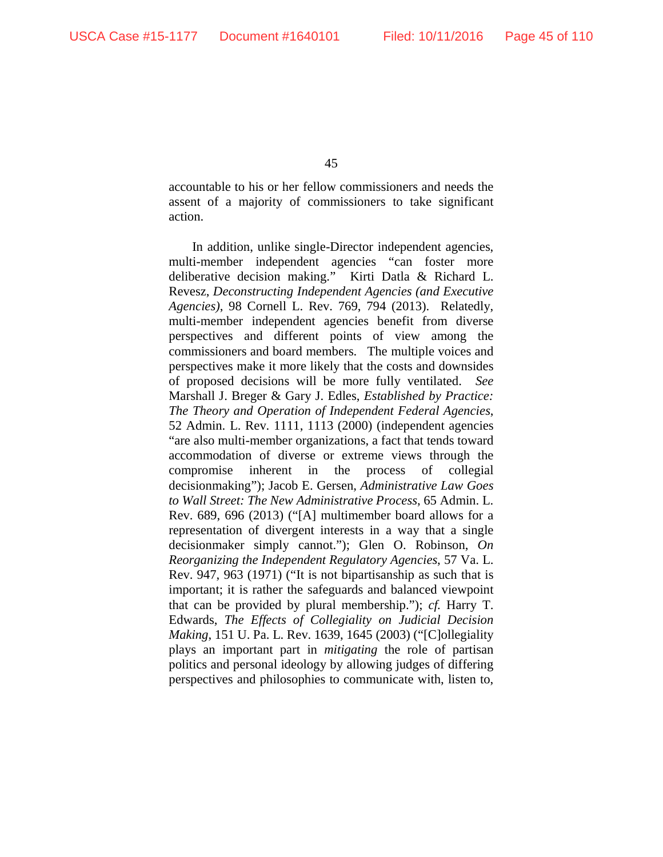accountable to his or her fellow commissioners and needs the assent of a majority of commissioners to take significant action.

In addition, unlike single-Director independent agencies, multi-member independent agencies "can foster more deliberative decision making." Kirti Datla & Richard L. Revesz, *Deconstructing Independent Agencies (and Executive Agencies)*, 98 Cornell L. Rev. 769, 794 (2013). Relatedly, multi-member independent agencies benefit from diverse perspectives and different points of view among the commissioners and board members. The multiple voices and perspectives make it more likely that the costs and downsides of proposed decisions will be more fully ventilated. *See*  Marshall J. Breger & Gary J. Edles, *Established by Practice: The Theory and Operation of Independent Federal Agencies*, 52 Admin. L. Rev. 1111, 1113 (2000) (independent agencies "are also multi-member organizations, a fact that tends toward accommodation of diverse or extreme views through the compromise inherent in the process of collegial decisionmaking"); Jacob E. Gersen, *Administrative Law Goes to Wall Street: The New Administrative Process*, 65 Admin. L. Rev. 689, 696 (2013) ("[A] multimember board allows for a representation of divergent interests in a way that a single decisionmaker simply cannot."); Glen O. Robinson, *On Reorganizing the Independent Regulatory Agencies*, 57 Va. L. Rev. 947, 963 (1971) ("It is not bipartisanship as such that is important; it is rather the safeguards and balanced viewpoint that can be provided by plural membership."); *cf.* Harry T. Edwards, *The Effects of Collegiality on Judicial Decision Making*, 151 U. Pa. L. Rev. 1639, 1645 (2003) ("[C]ollegiality plays an important part in *mitigating* the role of partisan politics and personal ideology by allowing judges of differing perspectives and philosophies to communicate with, listen to,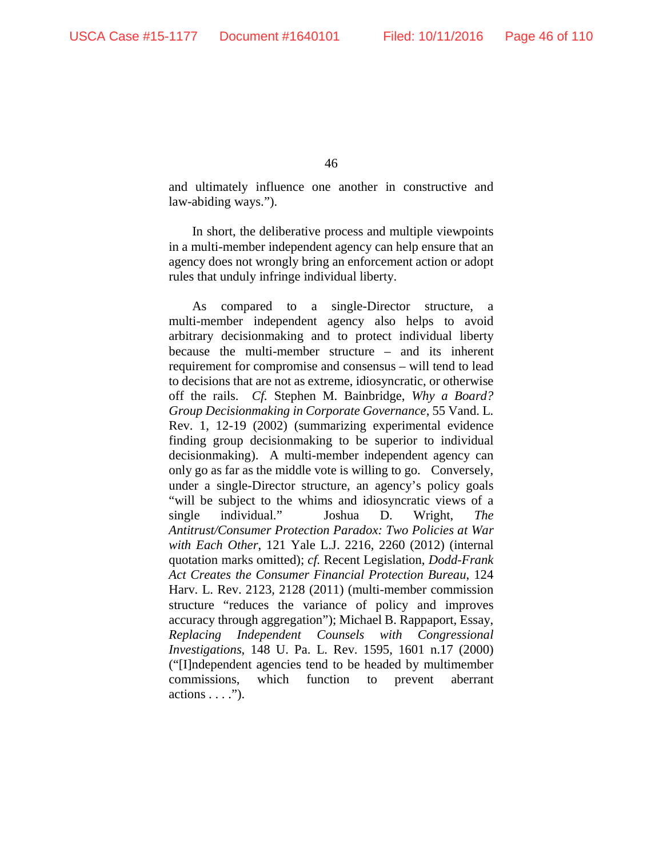and ultimately influence one another in constructive and law-abiding ways.").

In short, the deliberative process and multiple viewpoints in a multi-member independent agency can help ensure that an agency does not wrongly bring an enforcement action or adopt rules that unduly infringe individual liberty.

As compared to a single-Director structure, a multi-member independent agency also helps to avoid arbitrary decisionmaking and to protect individual liberty because the multi-member structure – and its inherent requirement for compromise and consensus – will tend to lead to decisions that are not as extreme, idiosyncratic, or otherwise off the rails. *Cf.* Stephen M. Bainbridge, *Why a Board? Group Decisionmaking in Corporate Governance*, 55 Vand. L. Rev. 1, 12-19 (2002) (summarizing experimental evidence finding group decisionmaking to be superior to individual decisionmaking). A multi-member independent agency can only go as far as the middle vote is willing to go. Conversely, under a single-Director structure, an agency's policy goals "will be subject to the whims and idiosyncratic views of a single individual." Joshua D. Wright, *The Antitrust/Consumer Protection Paradox: Two Policies at War with Each Other*, 121 Yale L.J. 2216, 2260 (2012) (internal quotation marks omitted); *cf.* Recent Legislation, *Dodd-Frank Act Creates the Consumer Financial Protection Bureau*, 124 Harv. L. Rev. 2123, 2128 (2011) (multi-member commission structure "reduces the variance of policy and improves accuracy through aggregation"); Michael B. Rappaport, Essay, *Replacing Independent Counsels with Congressional Investigations*, 148 U. Pa. L. Rev. 1595, 1601 n.17 (2000) ("[I]ndependent agencies tend to be headed by multimember commissions, which function to prevent aberrant actions . . . .").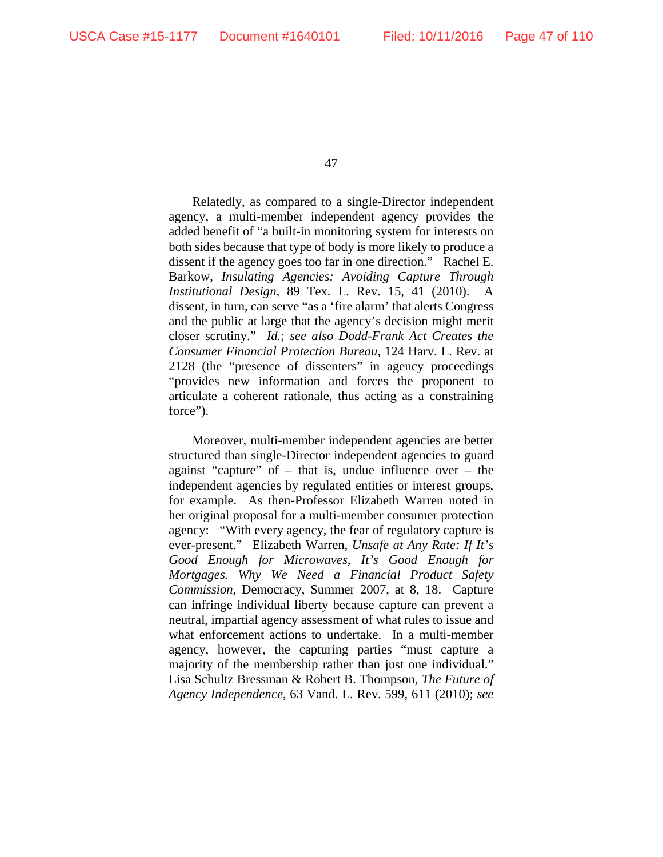Relatedly, as compared to a single-Director independent agency, a multi-member independent agency provides the added benefit of "a built-in monitoring system for interests on both sides because that type of body is more likely to produce a dissent if the agency goes too far in one direction." Rachel E. Barkow, *Insulating Agencies: Avoiding Capture Through Institutional Design*, 89 Tex. L. Rev. 15, 41 (2010). A dissent, in turn, can serve "as a 'fire alarm' that alerts Congress and the public at large that the agency's decision might merit closer scrutiny." *Id.*; *see also Dodd-Frank Act Creates the Consumer Financial Protection Bureau*, 124 Harv. L. Rev. at 2128 (the "presence of dissenters" in agency proceedings "provides new information and forces the proponent to articulate a coherent rationale, thus acting as a constraining force").

Moreover, multi-member independent agencies are better structured than single-Director independent agencies to guard against "capture" of  $-$  that is, undue influence over  $-$  the independent agencies by regulated entities or interest groups, for example. As then-Professor Elizabeth Warren noted in her original proposal for a multi-member consumer protection agency: "With every agency, the fear of regulatory capture is ever-present." Elizabeth Warren, *Unsafe at Any Rate: If It's Good Enough for Microwaves, It's Good Enough for Mortgages. Why We Need a Financial Product Safety Commission*, Democracy, Summer 2007, at 8, 18. Capture can infringe individual liberty because capture can prevent a neutral, impartial agency assessment of what rules to issue and what enforcement actions to undertake. In a multi-member agency, however, the capturing parties "must capture a majority of the membership rather than just one individual." Lisa Schultz Bressman & Robert B. Thompson, *The Future of Agency Independence*, 63 Vand. L. Rev. 599, 611 (2010); *see*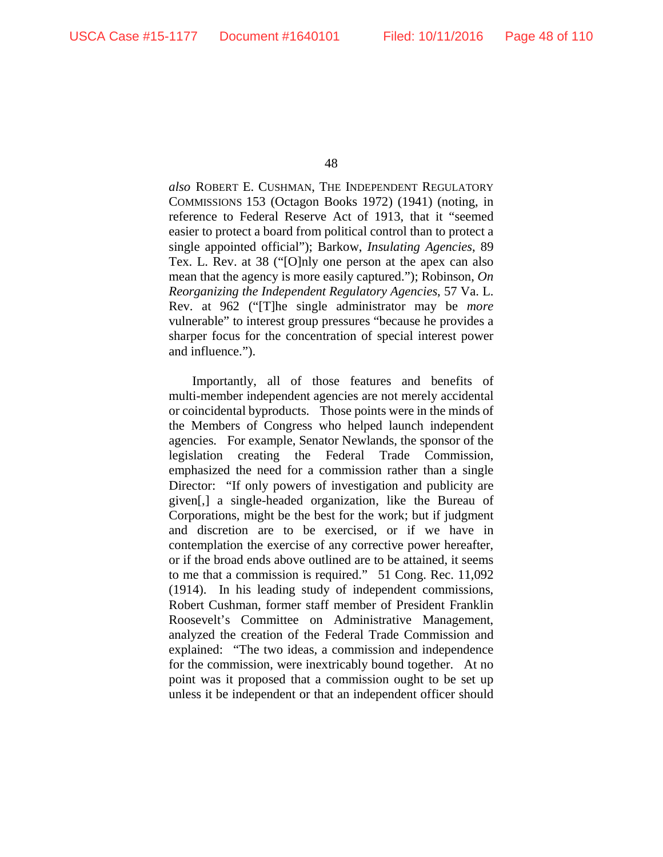*also* ROBERT E. CUSHMAN, THE INDEPENDENT REGULATORY COMMISSIONS 153 (Octagon Books 1972) (1941) (noting, in reference to Federal Reserve Act of 1913, that it "seemed easier to protect a board from political control than to protect a single appointed official"); Barkow, *Insulating Agencies*, 89 Tex. L. Rev. at 38 ("[O]nly one person at the apex can also mean that the agency is more easily captured."); Robinson, *On Reorganizing the Independent Regulatory Agencies*, 57 Va. L. Rev. at 962 ("[T]he single administrator may be *more*  vulnerable" to interest group pressures "because he provides a sharper focus for the concentration of special interest power and influence.").

Importantly, all of those features and benefits of multi-member independent agencies are not merely accidental or coincidental byproducts. Those points were in the minds of the Members of Congress who helped launch independent agencies. For example, Senator Newlands, the sponsor of the legislation creating the Federal Trade Commission, emphasized the need for a commission rather than a single Director: "If only powers of investigation and publicity are given[,] a single-headed organization, like the Bureau of Corporations, might be the best for the work; but if judgment and discretion are to be exercised, or if we have in contemplation the exercise of any corrective power hereafter, or if the broad ends above outlined are to be attained, it seems to me that a commission is required." 51 Cong. Rec. 11,092 (1914). In his leading study of independent commissions, Robert Cushman, former staff member of President Franklin Roosevelt's Committee on Administrative Management, analyzed the creation of the Federal Trade Commission and explained: "The two ideas, a commission and independence for the commission, were inextricably bound together. At no point was it proposed that a commission ought to be set up unless it be independent or that an independent officer should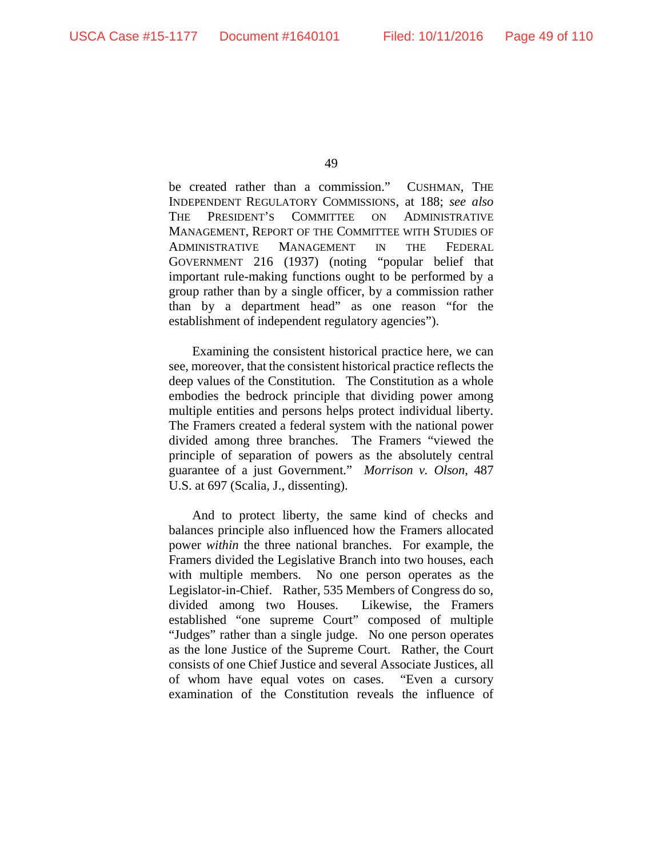be created rather than a commission." CUSHMAN, THE INDEPENDENT REGULATORY COMMISSIONS, at 188; *see also*  THE PRESIDENT'S COMMITTEE ON ADMINISTRATIVE MANAGEMENT, REPORT OF THE COMMITTEE WITH STUDIES OF ADMINISTRATIVE MANAGEMENT IN THE FEDERAL GOVERNMENT 216 (1937) (noting "popular belief that important rule-making functions ought to be performed by a group rather than by a single officer, by a commission rather than by a department head" as one reason "for the establishment of independent regulatory agencies").

Examining the consistent historical practice here, we can see, moreover, that the consistent historical practice reflects the deep values of the Constitution. The Constitution as a whole embodies the bedrock principle that dividing power among multiple entities and persons helps protect individual liberty. The Framers created a federal system with the national power divided among three branches. The Framers "viewed the principle of separation of powers as the absolutely central guarantee of a just Government." *Morrison v. Olson*, 487 U.S. at 697 (Scalia, J., dissenting).

And to protect liberty, the same kind of checks and balances principle also influenced how the Framers allocated power *within* the three national branches. For example, the Framers divided the Legislative Branch into two houses, each with multiple members. No one person operates as the Legislator-in-Chief. Rather, 535 Members of Congress do so, divided among two Houses. Likewise, the Framers established "one supreme Court" composed of multiple "Judges" rather than a single judge. No one person operates as the lone Justice of the Supreme Court. Rather, the Court consists of one Chief Justice and several Associate Justices, all of whom have equal votes on cases. "Even a cursory examination of the Constitution reveals the influence of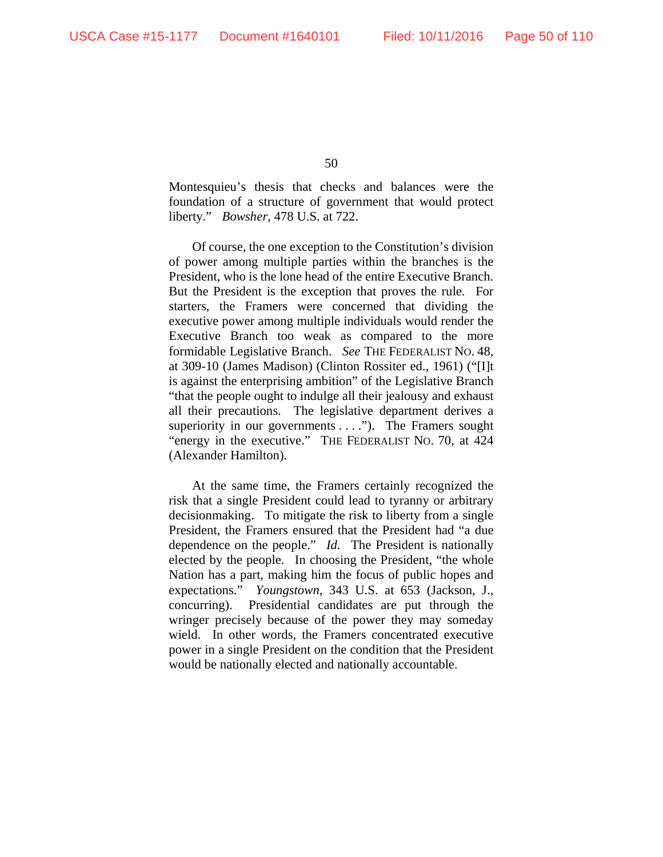Montesquieu's thesis that checks and balances were the foundation of a structure of government that would protect liberty." *Bowsher*, 478 U.S. at 722.

Of course, the one exception to the Constitution's division of power among multiple parties within the branches is the President, who is the lone head of the entire Executive Branch. But the President is the exception that proves the rule. For starters, the Framers were concerned that dividing the executive power among multiple individuals would render the Executive Branch too weak as compared to the more formidable Legislative Branch. *See* THE FEDERALIST NO. 48, at 309-10 (James Madison) (Clinton Rossiter ed., 1961) ("[I]t is against the enterprising ambition" of the Legislative Branch "that the people ought to indulge all their jealousy and exhaust all their precautions. The legislative department derives a superiority in our governments . . . ."). The Framers sought "energy in the executive." THE FEDERALIST NO. 70, at 424 (Alexander Hamilton).

At the same time, the Framers certainly recognized the risk that a single President could lead to tyranny or arbitrary decisionmaking. To mitigate the risk to liberty from a single President, the Framers ensured that the President had "a due dependence on the people." *Id.* The President is nationally elected by the people. In choosing the President, "the whole Nation has a part, making him the focus of public hopes and expectations." *Youngstown*, 343 U.S. at 653 (Jackson, J., concurring). Presidential candidates are put through the wringer precisely because of the power they may someday wield. In other words, the Framers concentrated executive power in a single President on the condition that the President would be nationally elected and nationally accountable.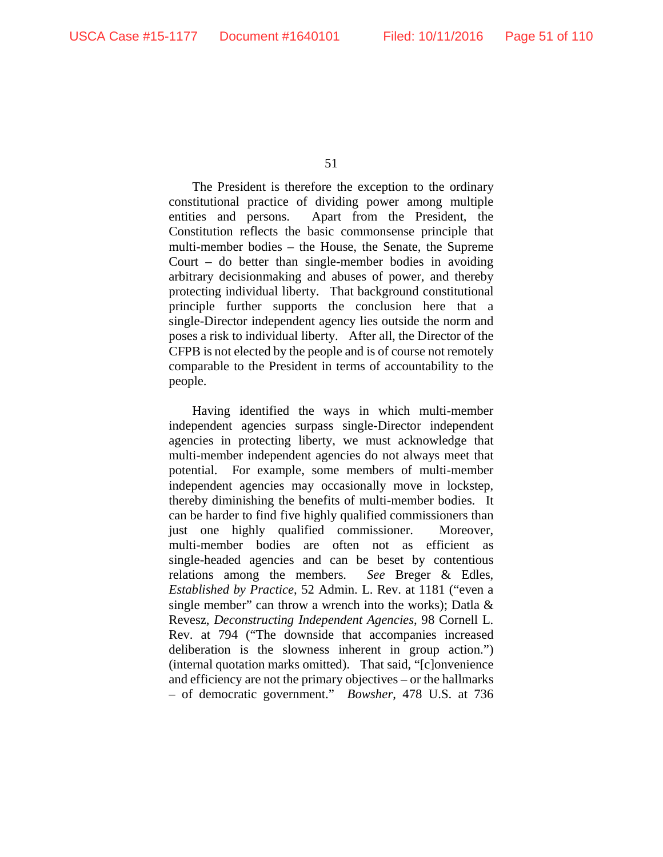The President is therefore the exception to the ordinary constitutional practice of dividing power among multiple entities and persons. Apart from the President, the Constitution reflects the basic commonsense principle that multi-member bodies – the House, the Senate, the Supreme Court – do better than single-member bodies in avoiding arbitrary decisionmaking and abuses of power, and thereby protecting individual liberty. That background constitutional principle further supports the conclusion here that a single-Director independent agency lies outside the norm and poses a risk to individual liberty. After all, the Director of the CFPB is not elected by the people and is of course not remotely comparable to the President in terms of accountability to the people.

Having identified the ways in which multi-member independent agencies surpass single-Director independent agencies in protecting liberty, we must acknowledge that multi-member independent agencies do not always meet that potential. For example, some members of multi-member independent agencies may occasionally move in lockstep, thereby diminishing the benefits of multi-member bodies. It can be harder to find five highly qualified commissioners than just one highly qualified commissioner. Moreover, multi-member bodies are often not as efficient as single-headed agencies and can be beset by contentious relations among the members. *See* Breger & Edles, *Established by Practice*, 52 Admin. L. Rev. at 1181 ("even a single member" can throw a wrench into the works); Datla  $\&$ Revesz, *Deconstructing Independent Agencies*, 98 Cornell L. Rev. at 794 ("The downside that accompanies increased deliberation is the slowness inherent in group action.") (internal quotation marks omitted). That said, "[c]onvenience and efficiency are not the primary objectives – or the hallmarks – of democratic government." *Bowsher*, 478 U.S. at 736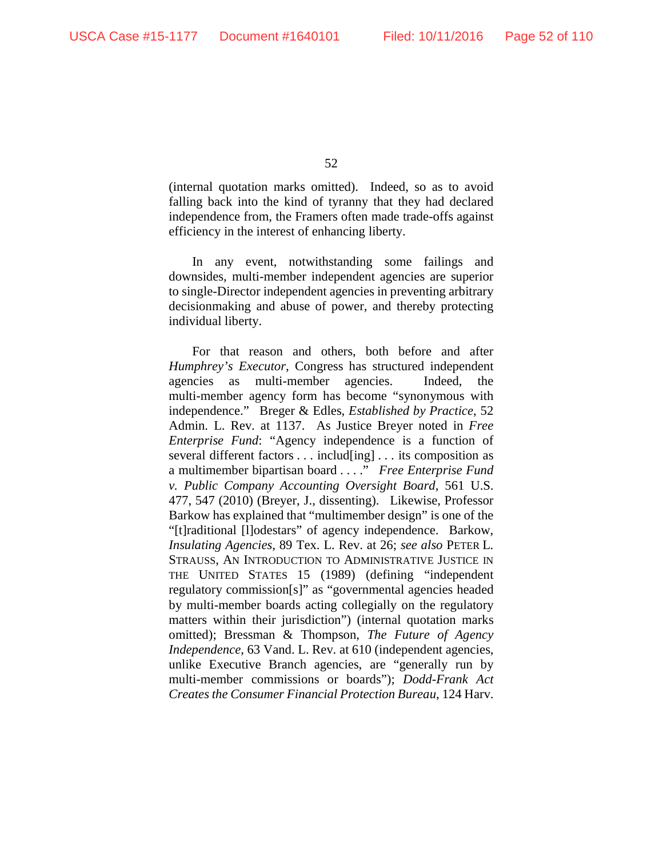(internal quotation marks omitted). Indeed, so as to avoid falling back into the kind of tyranny that they had declared independence from, the Framers often made trade-offs against efficiency in the interest of enhancing liberty.

In any event, notwithstanding some failings and downsides, multi-member independent agencies are superior to single-Director independent agencies in preventing arbitrary decisionmaking and abuse of power, and thereby protecting individual liberty.

For that reason and others, both before and after *Humphrey's Executor*, Congress has structured independent agencies as multi-member agencies. Indeed, the multi-member agency form has become "synonymous with independence." Breger & Edles, *Established by Practice*, 52 Admin. L. Rev. at 1137. As Justice Breyer noted in *Free Enterprise Fund*: "Agency independence is a function of several different factors . . . includ[ing] . . . its composition as a multimember bipartisan board . . . ." *Free Enterprise Fund v. Public Company Accounting Oversight Board*, 561 U.S. 477, 547 (2010) (Breyer, J., dissenting). Likewise, Professor Barkow has explained that "multimember design" is one of the "[t]raditional [l]odestars" of agency independence. Barkow, *Insulating Agencies*, 89 Tex. L. Rev. at 26; *see also* PETER L. STRAUSS, AN INTRODUCTION TO ADMINISTRATIVE JUSTICE IN THE UNITED STATES 15 (1989) (defining "independent regulatory commission[s]" as "governmental agencies headed by multi-member boards acting collegially on the regulatory matters within their jurisdiction") (internal quotation marks omitted); Bressman & Thompson, *The Future of Agency Independence*, 63 Vand. L. Rev. at 610 (independent agencies, unlike Executive Branch agencies, are "generally run by multi-member commissions or boards"); *Dodd-Frank Act Creates the Consumer Financial Protection Bureau*, 124 Harv.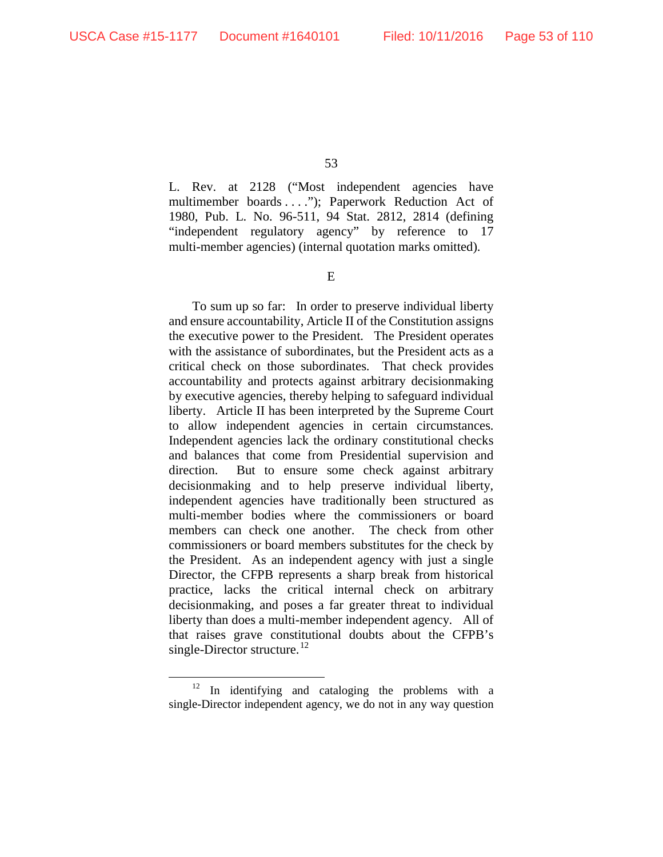L. Rev. at 2128 ("Most independent agencies have multimember boards . . . ."); Paperwork Reduction Act of 1980, Pub. L. No. 96-511, 94 Stat. 2812, 2814 (defining "independent regulatory agency" by reference to 17 multi-member agencies) (internal quotation marks omitted).

E

To sum up so far: In order to preserve individual liberty and ensure accountability, Article II of the Constitution assigns the executive power to the President. The President operates with the assistance of subordinates, but the President acts as a critical check on those subordinates. That check provides accountability and protects against arbitrary decisionmaking by executive agencies, thereby helping to safeguard individual liberty. Article II has been interpreted by the Supreme Court to allow independent agencies in certain circumstances. Independent agencies lack the ordinary constitutional checks and balances that come from Presidential supervision and direction. But to ensure some check against arbitrary decisionmaking and to help preserve individual liberty, independent agencies have traditionally been structured as multi-member bodies where the commissioners or board members can check one another. The check from other commissioners or board members substitutes for the check by the President. As an independent agency with just a single Director, the CFPB represents a sharp break from historical practice, lacks the critical internal check on arbitrary decisionmaking, and poses a far greater threat to individual liberty than does a multi-member independent agency. All of that raises grave constitutional doubts about the CFPB's single-Director structure.<sup>[12](#page-52-0)</sup>

<span id="page-52-0"></span> $12$  In identifying and cataloging the problems with a single-Director independent agency, we do not in any way question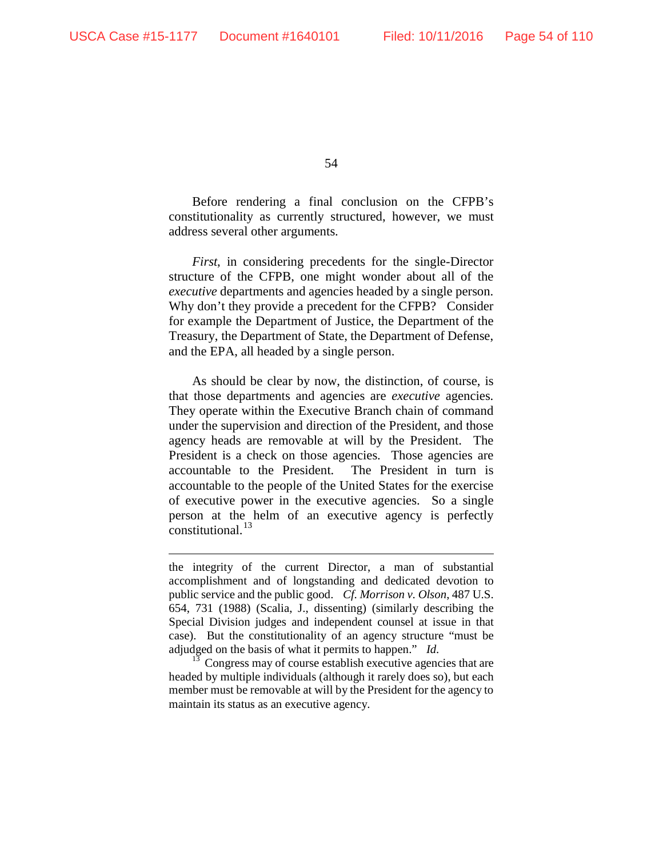54

Before rendering a final conclusion on the CFPB's constitutionality as currently structured, however, we must address several other arguments.

*First*, in considering precedents for the single-Director structure of the CFPB, one might wonder about all of the *executive* departments and agencies headed by a single person. Why don't they provide a precedent for the CFPB? Consider for example the Department of Justice, the Department of the Treasury, the Department of State, the Department of Defense, and the EPA, all headed by a single person.

As should be clear by now, the distinction, of course, is that those departments and agencies are *executive* agencies. They operate within the Executive Branch chain of command under the supervision and direction of the President, and those agency heads are removable at will by the President. The President is a check on those agencies. Those agencies are accountable to the President. The President in turn is accountable to the people of the United States for the exercise of executive power in the executive agencies. So a single person at the helm of an executive agency is perfectly constitutional. $^{13}$  $^{13}$  $^{13}$ 

the integrity of the current Director, a man of substantial accomplishment and of longstanding and dedicated devotion to public service and the public good. *Cf. Morrison v. Olson*, 487 U.S. 654, 731 (1988) (Scalia, J., dissenting) (similarly describing the Special Division judges and independent counsel at issue in that case). But the constitutionality of an agency structure "must be adjudged on the basis of what it permits to happen." *Id.*

<span id="page-53-0"></span>Congress may of course establish executive agencies that are headed by multiple individuals (although it rarely does so), but each member must be removable at will by the President for the agency to maintain its status as an executive agency.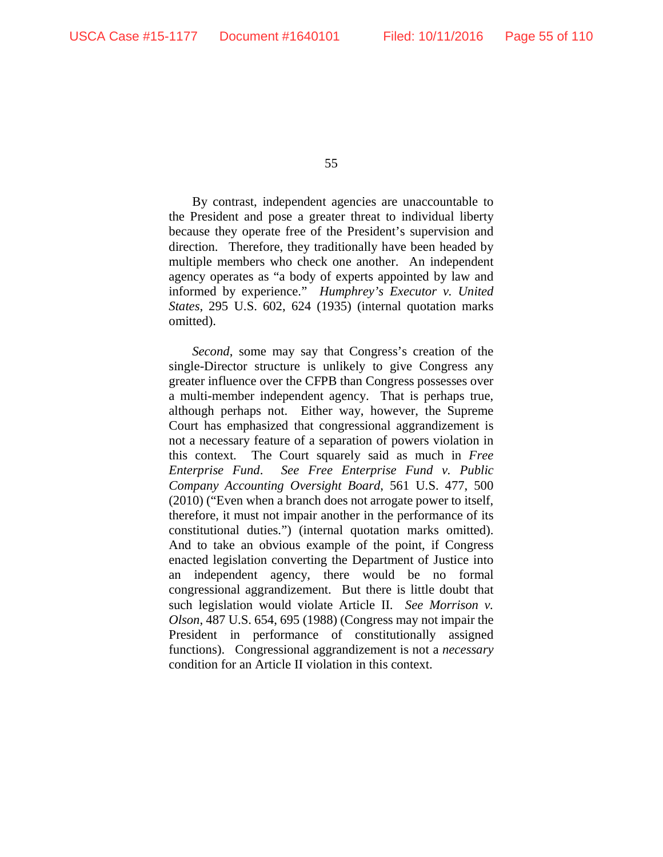By contrast, independent agencies are unaccountable to the President and pose a greater threat to individual liberty because they operate free of the President's supervision and direction. Therefore, they traditionally have been headed by multiple members who check one another. An independent agency operates as "a body of experts appointed by law and informed by experience." *Humphrey's Executor v. United States*, 295 U.S. 602, 624 (1935) (internal quotation marks omitted).

*Second*, some may say that Congress's creation of the single-Director structure is unlikely to give Congress any greater influence over the CFPB than Congress possesses over a multi-member independent agency. That is perhaps true, although perhaps not. Either way, however, the Supreme Court has emphasized that congressional aggrandizement is not a necessary feature of a separation of powers violation in this context. The Court squarely said as much in *Free Enterprise Fund*. *See Free Enterprise Fund v. Public Company Accounting Oversight Board*, 561 U.S. 477, 500 (2010) ("Even when a branch does not arrogate power to itself, therefore, it must not impair another in the performance of its constitutional duties.") (internal quotation marks omitted). And to take an obvious example of the point, if Congress enacted legislation converting the Department of Justice into an independent agency, there would be no formal congressional aggrandizement. But there is little doubt that such legislation would violate Article II. *See Morrison v. Olson*, 487 U.S. 654, 695 (1988) (Congress may not impair the President in performance of constitutionally assigned functions). Congressional aggrandizement is not a *necessary*  condition for an Article II violation in this context.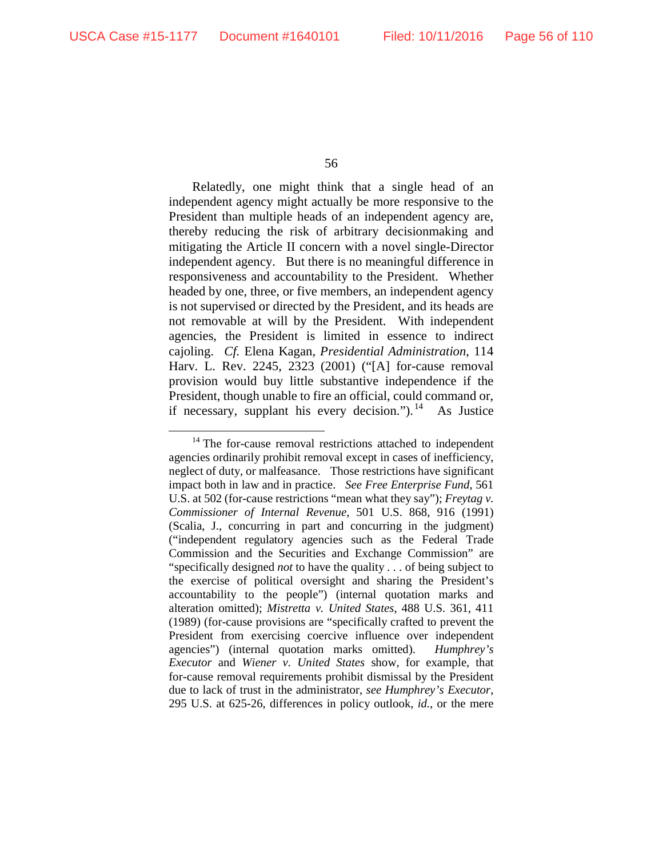Relatedly, one might think that a single head of an independent agency might actually be more responsive to the President than multiple heads of an independent agency are, thereby reducing the risk of arbitrary decisionmaking and mitigating the Article II concern with a novel single-Director independent agency. But there is no meaningful difference in responsiveness and accountability to the President. Whether headed by one, three, or five members, an independent agency is not supervised or directed by the President, and its heads are not removable at will by the President. With independent agencies, the President is limited in essence to indirect cajoling. *Cf.* Elena Kagan, *Presidential Administration*, 114 Harv. L. Rev. 2245, 2323 (2001) ("[A] for-cause removal provision would buy little substantive independence if the President, though unable to fire an official, could command or, if necessary, supplant his every decision.").<sup>[14](#page-55-0)</sup> As Justice

<span id="page-55-0"></span><sup>&</sup>lt;sup>14</sup> The for-cause removal restrictions attached to independent agencies ordinarily prohibit removal except in cases of inefficiency, neglect of duty, or malfeasance. Those restrictions have significant impact both in law and in practice. *See Free Enterprise Fund*, 561 U.S. at 502 (for-cause restrictions "mean what they say"); *Freytag v. Commissioner of Internal Revenue*, 501 U.S. 868, 916 (1991) (Scalia, J., concurring in part and concurring in the judgment) ("independent regulatory agencies such as the Federal Trade Commission and the Securities and Exchange Commission" are "specifically designed *not* to have the quality . . . of being subject to the exercise of political oversight and sharing the President's accountability to the people") (internal quotation marks and alteration omitted); *Mistretta v. United States*, 488 U.S. 361, 411 (1989) (for-cause provisions are "specifically crafted to prevent the President from exercising coercive influence over independent agencies") (internal quotation marks omitted). *Humphrey's Executor* and *Wiener v. United States* show, for example, that for-cause removal requirements prohibit dismissal by the President due to lack of trust in the administrator, *see Humphrey's Executor*, 295 U.S. at 625-26, differences in policy outlook, *id.*, or the mere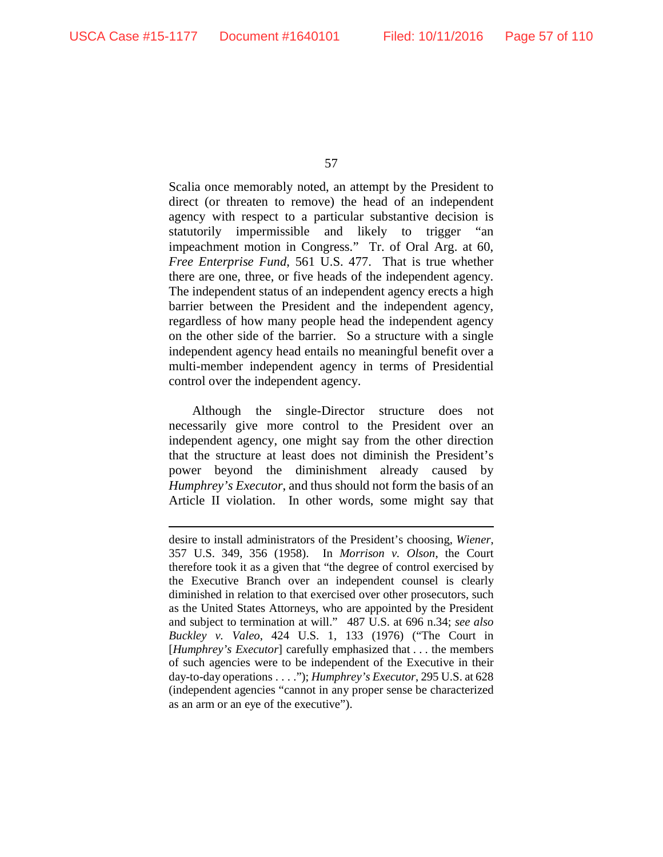57

Scalia once memorably noted, an attempt by the President to direct (or threaten to remove) the head of an independent agency with respect to a particular substantive decision is statutorily impermissible and likely to trigger "an impeachment motion in Congress." Tr. of Oral Arg. at 60, *Free Enterprise Fund*, 561 U.S. 477. That is true whether there are one, three, or five heads of the independent agency. The independent status of an independent agency erects a high barrier between the President and the independent agency, regardless of how many people head the independent agency on the other side of the barrier. So a structure with a single independent agency head entails no meaningful benefit over a multi-member independent agency in terms of Presidential control over the independent agency.

Although the single-Director structure does not necessarily give more control to the President over an independent agency, one might say from the other direction that the structure at least does not diminish the President's power beyond the diminishment already caused by *Humphrey's Executor*, and thus should not form the basis of an Article II violation. In other words, some might say that

desire to install administrators of the President's choosing, *Wiener*, 357 U.S. 349, 356 (1958). In *Morrison v. Olson*, the Court therefore took it as a given that "the degree of control exercised by the Executive Branch over an independent counsel is clearly diminished in relation to that exercised over other prosecutors, such as the United States Attorneys, who are appointed by the President and subject to termination at will." 487 U.S. at 696 n.34; *see also Buckley v. Valeo*, 424 U.S. 1, 133 (1976) ("The Court in [*Humphrey's Executor*] carefully emphasized that . . . the members of such agencies were to be independent of the Executive in their day-to-day operations . . . ."); *Humphrey's Executor*, 295 U.S. at 628 (independent agencies "cannot in any proper sense be characterized as an arm or an eye of the executive").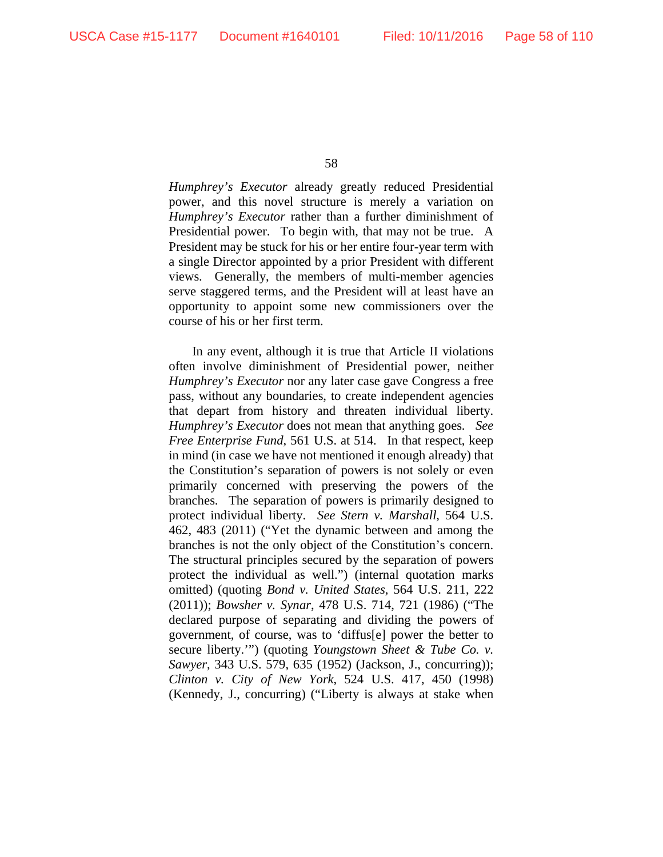*Humphrey's Executor* already greatly reduced Presidential power, and this novel structure is merely a variation on *Humphrey's Executor* rather than a further diminishment of Presidential power. To begin with, that may not be true. A President may be stuck for his or her entire four-year term with a single Director appointed by a prior President with different views. Generally, the members of multi-member agencies serve staggered terms, and the President will at least have an opportunity to appoint some new commissioners over the course of his or her first term.

In any event, although it is true that Article II violations often involve diminishment of Presidential power, neither *Humphrey's Executor* nor any later case gave Congress a free pass, without any boundaries, to create independent agencies that depart from history and threaten individual liberty. *Humphrey's Executor* does not mean that anything goes. *See Free Enterprise Fund*, 561 U.S. at 514. In that respect, keep in mind (in case we have not mentioned it enough already) that the Constitution's separation of powers is not solely or even primarily concerned with preserving the powers of the branches. The separation of powers is primarily designed to protect individual liberty. *See Stern v. Marshall*, 564 U.S. 462, 483 (2011) ("Yet the dynamic between and among the branches is not the only object of the Constitution's concern. The structural principles secured by the separation of powers protect the individual as well.") (internal quotation marks omitted) (quoting *Bond v. United States*, 564 U.S. 211, 222 (2011)); *Bowsher v. Synar*, 478 U.S. 714, 721 (1986) ("The declared purpose of separating and dividing the powers of government, of course, was to 'diffus[e] power the better to secure liberty.'") (quoting *Youngstown Sheet & Tube Co. v. Sawyer*, 343 U.S. 579, 635 (1952) (Jackson, J., concurring)); *Clinton v. City of New York*, 524 U.S. 417, 450 (1998) (Kennedy, J., concurring) ("Liberty is always at stake when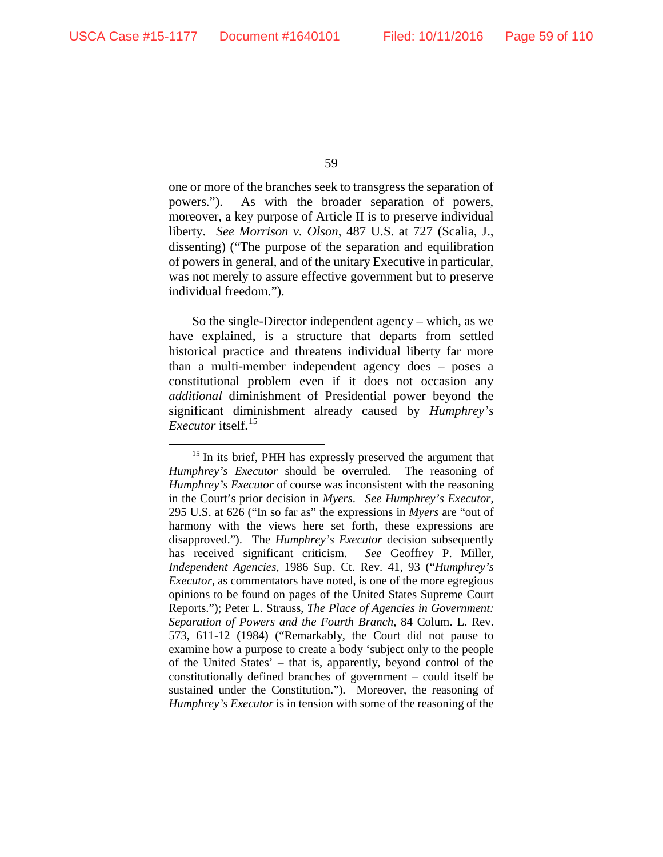one or more of the branches seek to transgress the separation of powers."). As with the broader separation of powers, moreover, a key purpose of Article II is to preserve individual liberty. *See Morrison v. Olson*, 487 U.S. at 727 (Scalia, J., dissenting) ("The purpose of the separation and equilibration of powers in general, and of the unitary Executive in particular, was not merely to assure effective government but to preserve individual freedom.").

So the single-Director independent agency – which, as we have explained, is a structure that departs from settled historical practice and threatens individual liberty far more than a multi-member independent agency does – poses a constitutional problem even if it does not occasion any *additional* diminishment of Presidential power beyond the significant diminishment already caused by *Humphrey's Executor* itself.<sup>[15](#page-58-0)</sup>

<span id="page-58-0"></span><sup>&</sup>lt;sup>15</sup> In its brief, PHH has expressly preserved the argument that *Humphrey's Executor* should be overruled. The reasoning of *Humphrey's Executor* of course was inconsistent with the reasoning in the Court's prior decision in *Myers*. *See Humphrey's Executor*, 295 U.S. at 626 ("In so far as" the expressions in *Myers* are "out of harmony with the views here set forth, these expressions are disapproved."). The *Humphrey's Executor* decision subsequently has received significant criticism. *See* Geoffrey P. Miller, *Independent Agencies*, 1986 Sup. Ct. Rev. 41, 93 ("*Humphrey's Executor*, as commentators have noted, is one of the more egregious opinions to be found on pages of the United States Supreme Court Reports."); Peter L. Strauss, *The Place of Agencies in Government: Separation of Powers and the Fourth Branch*, 84 Colum. L. Rev. 573, 611-12 (1984) ("Remarkably, the Court did not pause to examine how a purpose to create a body 'subject only to the people of the United States' – that is, apparently, beyond control of the constitutionally defined branches of government – could itself be sustained under the Constitution.").Moreover, the reasoning of *Humphrey's Executor* is in tension with some of the reasoning of the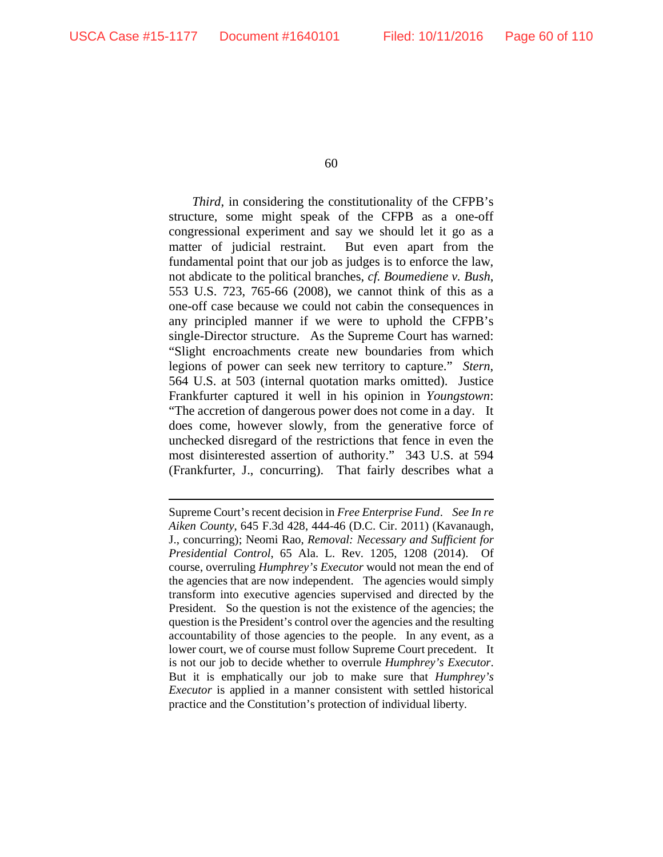60

*Third*, in considering the constitutionality of the CFPB's structure, some might speak of the CFPB as a one-off congressional experiment and say we should let it go as a matter of judicial restraint. But even apart from the fundamental point that our job as judges is to enforce the law, not abdicate to the political branches, *cf. Boumediene v. Bush*, 553 U.S. 723, 765-66 (2008), we cannot think of this as a one-off case because we could not cabin the consequences in any principled manner if we were to uphold the CFPB's single-Director structure. As the Supreme Court has warned: "Slight encroachments create new boundaries from which legions of power can seek new territory to capture." *Stern*, 564 U.S. at 503 (internal quotation marks omitted). Justice Frankfurter captured it well in his opinion in *Youngstown*: "The accretion of dangerous power does not come in a day. It does come, however slowly, from the generative force of unchecked disregard of the restrictions that fence in even the most disinterested assertion of authority." 343 U.S. at 594 (Frankfurter, J., concurring). That fairly describes what a

Supreme Court's recent decision in *Free Enterprise Fund*. *See In re Aiken County*, 645 F.3d 428, 444-46 (D.C. Cir. 2011) (Kavanaugh, J., concurring); Neomi Rao, *Removal: Necessary and Sufficient for Presidential Control*, 65 Ala. L. Rev. 1205, 1208 (2014). Of course, overruling *Humphrey's Executor* would not mean the end of the agencies that are now independent. The agencies would simply transform into executive agencies supervised and directed by the President. So the question is not the existence of the agencies; the question is the President's control over the agencies and the resulting accountability of those agencies to the people. In any event, as a lower court, we of course must follow Supreme Court precedent. It is not our job to decide whether to overrule *Humphrey's Executor*. But it is emphatically our job to make sure that *Humphrey's Executor* is applied in a manner consistent with settled historical practice and the Constitution's protection of individual liberty.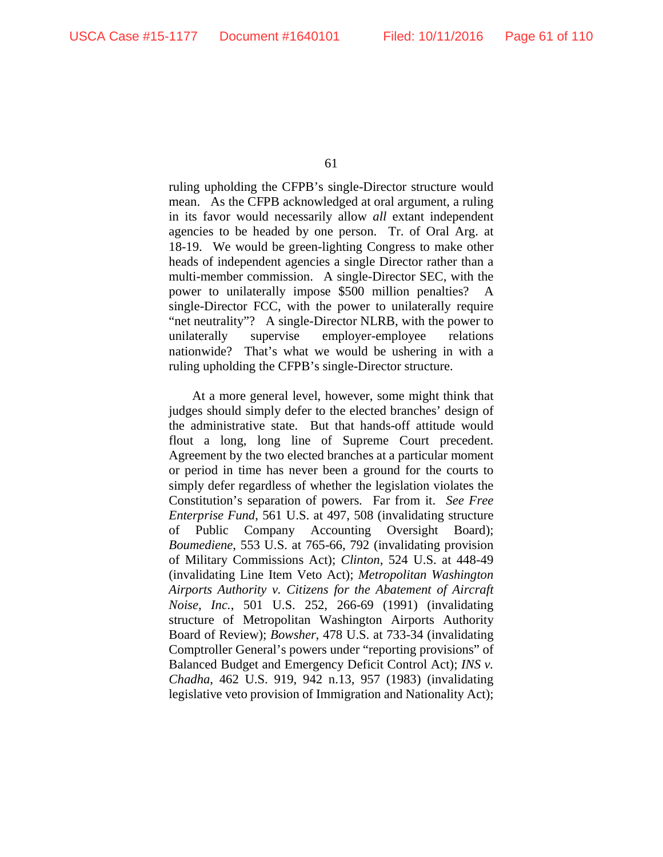ruling upholding the CFPB's single-Director structure would mean. As the CFPB acknowledged at oral argument, a ruling in its favor would necessarily allow *all* extant independent agencies to be headed by one person. Tr. of Oral Arg. at 18-19. We would be green-lighting Congress to make other heads of independent agencies a single Director rather than a multi-member commission. A single-Director SEC, with the power to unilaterally impose \$500 million penalties? A single-Director FCC, with the power to unilaterally require "net neutrality"? A single-Director NLRB, with the power to unilaterally supervise employer-employee relations nationwide? That's what we would be ushering in with a ruling upholding the CFPB's single-Director structure.

At a more general level, however, some might think that judges should simply defer to the elected branches' design of the administrative state. But that hands-off attitude would flout a long, long line of Supreme Court precedent. Agreement by the two elected branches at a particular moment or period in time has never been a ground for the courts to simply defer regardless of whether the legislation violates the Constitution's separation of powers. Far from it. *See Free Enterprise Fund*, 561 U.S. at 497, 508 (invalidating structure of Public Company Accounting Oversight Board); *Boumediene*, 553 U.S. at 765-66, 792 (invalidating provision of Military Commissions Act); *Clinton*, 524 U.S. at 448-49 (invalidating Line Item Veto Act); *Metropolitan Washington Airports Authority v. Citizens for the Abatement of Aircraft Noise, Inc.*, 501 U.S. 252, 266-69 (1991) (invalidating structure of Metropolitan Washington Airports Authority Board of Review); *Bowsher*, 478 U.S. at 733-34 (invalidating Comptroller General's powers under "reporting provisions" of Balanced Budget and Emergency Deficit Control Act); *INS v. Chadha*, 462 U.S. 919, 942 n.13, 957 (1983) (invalidating legislative veto provision of Immigration and Nationality Act);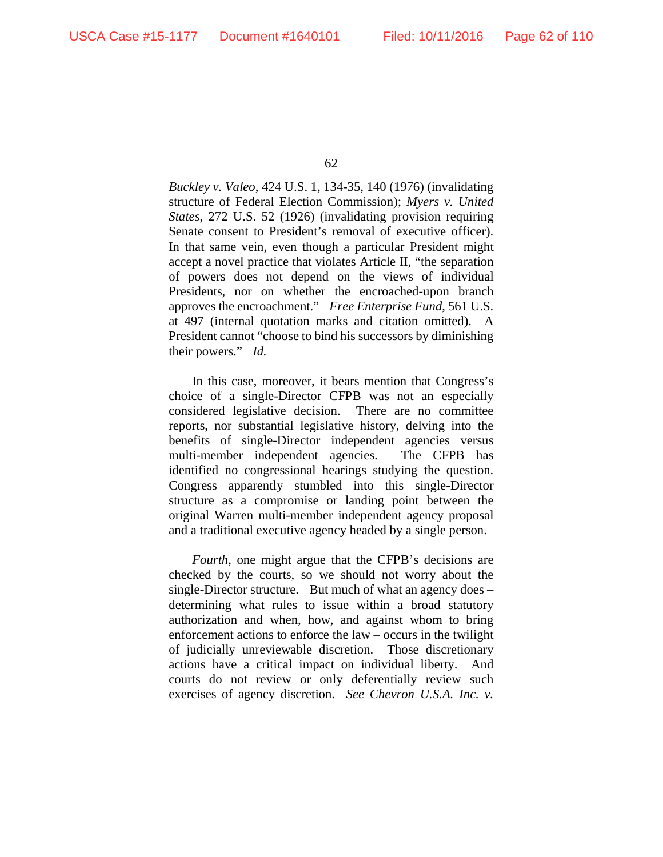*Buckley v. Valeo*, 424 U.S. 1, 134-35, 140 (1976) (invalidating structure of Federal Election Commission); *Myers v. United States*, 272 U.S. 52 (1926) (invalidating provision requiring Senate consent to President's removal of executive officer). In that same vein, even though a particular President might accept a novel practice that violates Article II, "the separation of powers does not depend on the views of individual Presidents, nor on whether the encroached-upon branch approves the encroachment." *Free Enterprise Fund*, 561 U.S. at 497 (internal quotation marks and citation omitted). A President cannot "choose to bind his successors by diminishing their powers." *Id.*

In this case, moreover, it bears mention that Congress's choice of a single-Director CFPB was not an especially considered legislative decision. There are no committee reports, nor substantial legislative history, delving into the benefits of single-Director independent agencies versus multi-member independent agencies. The CFPB has identified no congressional hearings studying the question. Congress apparently stumbled into this single-Director structure as a compromise or landing point between the original Warren multi-member independent agency proposal and a traditional executive agency headed by a single person.

*Fourth*, one might argue that the CFPB's decisions are checked by the courts, so we should not worry about the single-Director structure. But much of what an agency does – determining what rules to issue within a broad statutory authorization and when, how, and against whom to bring enforcement actions to enforce the law – occurs in the twilight of judicially unreviewable discretion. Those discretionary actions have a critical impact on individual liberty. And courts do not review or only deferentially review such exercises of agency discretion. *See Chevron U.S.A. Inc. v.*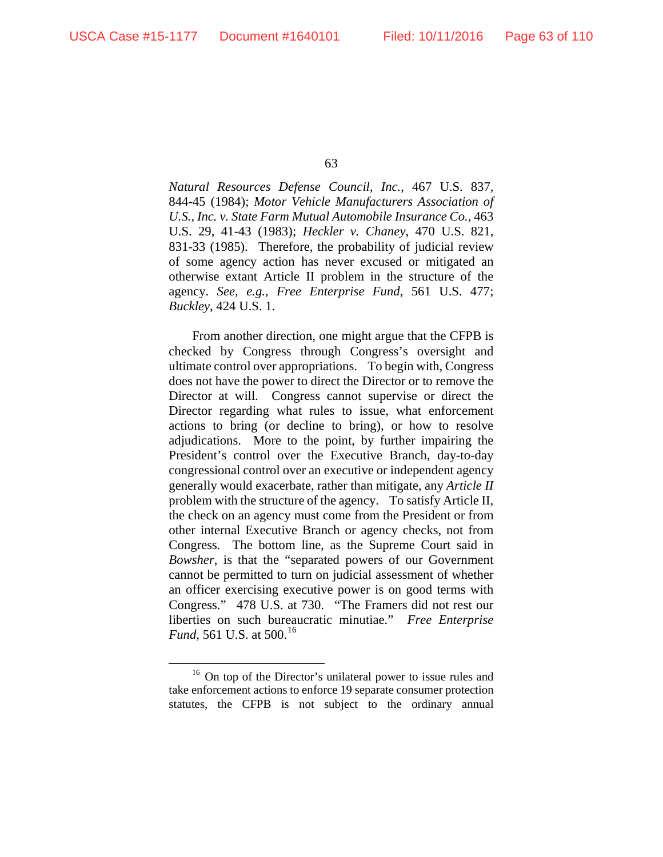*Natural Resources Defense Council, Inc.*, 467 U.S. 837, 844-45 (1984); *Motor Vehicle Manufacturers Association of U.S., Inc. v. State Farm Mutual Automobile Insurance Co.*, 463 U.S. 29, 41-43 (1983); *Heckler v. Chaney*, 470 U.S. 821, 831-33 (1985). Therefore, the probability of judicial review of some agency action has never excused or mitigated an otherwise extant Article II problem in the structure of the agency. *See, e.g.*, *Free Enterprise Fund*, 561 U.S. 477; *Buckley*, 424 U.S. 1.

From another direction, one might argue that the CFPB is checked by Congress through Congress's oversight and ultimate control over appropriations. To begin with, Congress does not have the power to direct the Director or to remove the Director at will. Congress cannot supervise or direct the Director regarding what rules to issue, what enforcement actions to bring (or decline to bring), or how to resolve adjudications. More to the point, by further impairing the President's control over the Executive Branch, day-to-day congressional control over an executive or independent agency generally would exacerbate, rather than mitigate, any *Article II* problem with the structure of the agency. To satisfy Article II, the check on an agency must come from the President or from other internal Executive Branch or agency checks, not from Congress. The bottom line, as the Supreme Court said in *Bowsher*, is that the "separated powers of our Government cannot be permitted to turn on judicial assessment of whether an officer exercising executive power is on good terms with Congress." 478 U.S. at 730. "The Framers did not rest our liberties on such bureaucratic minutiae." *Free Enterprise Fund*, 561 U.S. at 500.<sup>[16](#page-62-0)</sup>

<span id="page-62-0"></span><sup>&</sup>lt;sup>16</sup> On top of the Director's unilateral power to issue rules and take enforcement actions to enforce 19 separate consumer protection statutes, the CFPB is not subject to the ordinary annual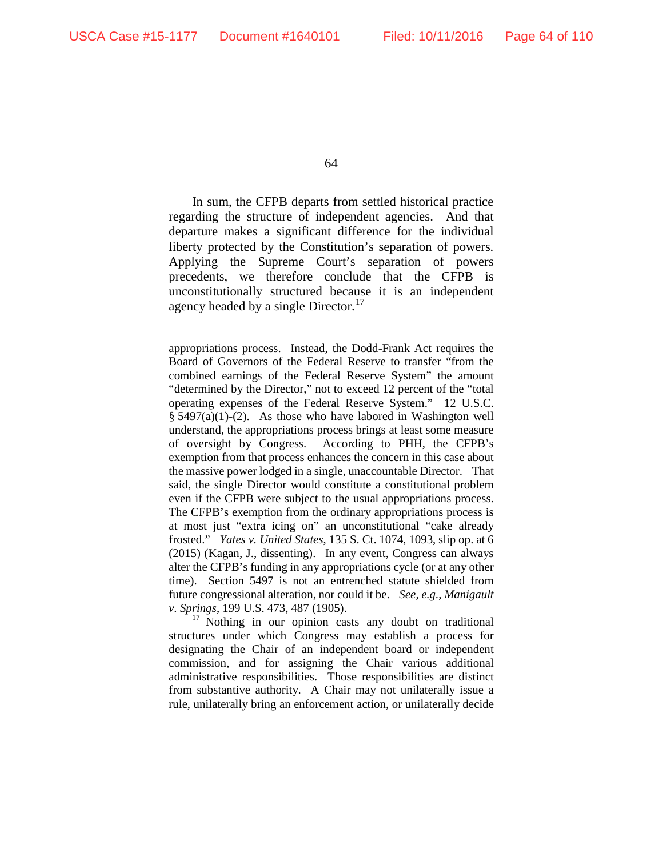64

In sum, the CFPB departs from settled historical practice regarding the structure of independent agencies. And that departure makes a significant difference for the individual liberty protected by the Constitution's separation of powers. Applying the Supreme Court's separation of powers precedents, we therefore conclude that the CFPB is unconstitutionally structured because it is an independent agency headed by a single Director.<sup>[17](#page-63-0)</sup>

appropriations process. Instead, the Dodd-Frank Act requires the Board of Governors of the Federal Reserve to transfer "from the combined earnings of the Federal Reserve System" the amount "determined by the Director," not to exceed 12 percent of the "total operating expenses of the Federal Reserve System." 12 U.S.C. § 5497(a)(1)-(2). As those who have labored in Washington well understand, the appropriations process brings at least some measure of oversight by Congress. According to PHH, the CFPB's exemption from that process enhances the concern in this case about the massive power lodged in a single, unaccountable Director. That said, the single Director would constitute a constitutional problem even if the CFPB were subject to the usual appropriations process. The CFPB's exemption from the ordinary appropriations process is at most just "extra icing on" an unconstitutional "cake already frosted." *Yates v. United States*, 135 S. Ct. 1074, 1093, slip op. at 6 (2015) (Kagan, J., dissenting). In any event, Congress can always alter the CFPB's funding in any appropriations cycle (or at any other time). Section 5497 is not an entrenched statute shielded from future congressional alteration, nor could it be. *See, e.g.*, *Manigault v. Springs*, 199 U.S. 473, 487 (1905).

<span id="page-63-0"></span><sup>17</sup> Nothing in our opinion casts any doubt on traditional structures under which Congress may establish a process for designating the Chair of an independent board or independent commission, and for assigning the Chair various additional administrative responsibilities. Those responsibilities are distinct from substantive authority. A Chair may not unilaterally issue a rule, unilaterally bring an enforcement action, or unilaterally decide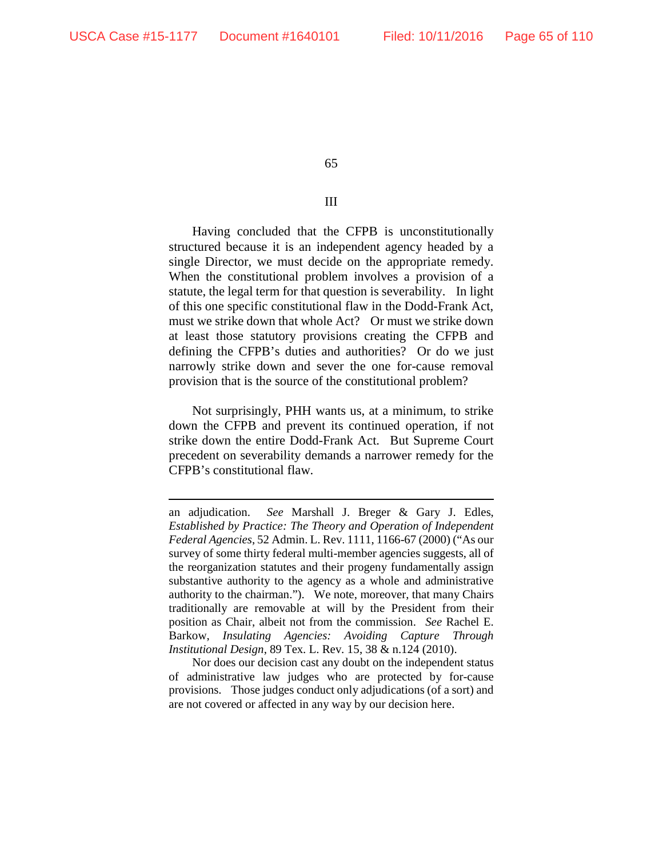65

## III

Having concluded that the CFPB is unconstitutionally structured because it is an independent agency headed by a single Director, we must decide on the appropriate remedy. When the constitutional problem involves a provision of a statute, the legal term for that question is severability. In light of this one specific constitutional flaw in the Dodd-Frank Act, must we strike down that whole Act? Or must we strike down at least those statutory provisions creating the CFPB and defining the CFPB's duties and authorities? Or do we just narrowly strike down and sever the one for-cause removal provision that is the source of the constitutional problem?

Not surprisingly, PHH wants us, at a minimum, to strike down the CFPB and prevent its continued operation, if not strike down the entire Dodd-Frank Act. But Supreme Court precedent on severability demands a narrower remedy for the CFPB's constitutional flaw.

an adjudication. *See* Marshall J. Breger & Gary J. Edles, *Established by Practice: The Theory and Operation of Independent Federal Agencies*, 52 Admin. L. Rev. 1111, 1166-67 (2000) ("As our survey of some thirty federal multi-member agencies suggests, all of the reorganization statutes and their progeny fundamentally assign substantive authority to the agency as a whole and administrative authority to the chairman."). We note, moreover, that many Chairs traditionally are removable at will by the President from their position as Chair, albeit not from the commission. *See* Rachel E. Barkow, *Insulating Agencies: Avoiding Capture Through Institutional Design*, 89 Tex. L. Rev. 15, 38 & n.124 (2010).

Nor does our decision cast any doubt on the independent status of administrative law judges who are protected by for-cause provisions. Those judges conduct only adjudications (of a sort) and are not covered or affected in any way by our decision here.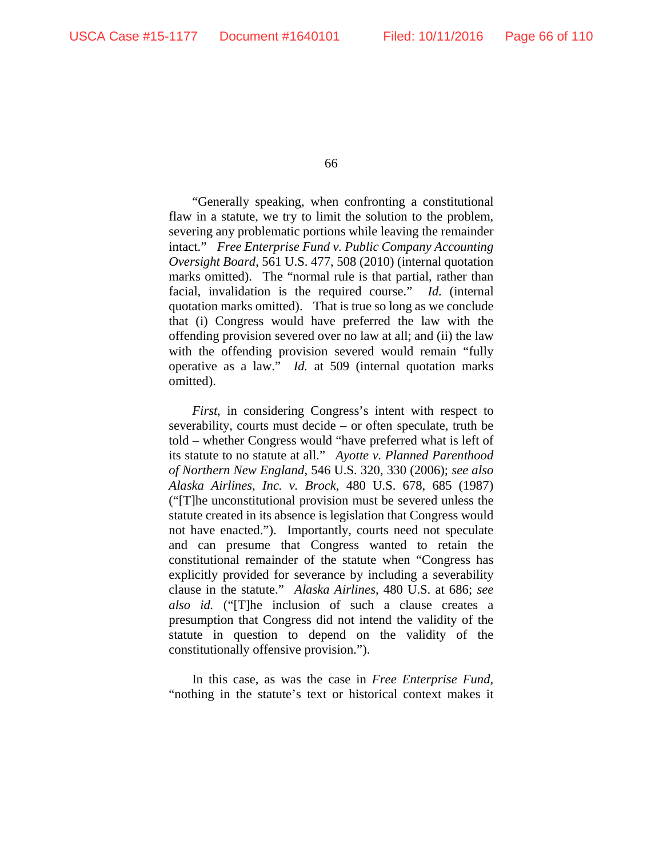"Generally speaking, when confronting a constitutional flaw in a statute, we try to limit the solution to the problem, severing any problematic portions while leaving the remainder intact." *Free Enterprise Fund v. Public Company Accounting Oversight Board*, 561 U.S. 477, 508 (2010) (internal quotation marks omitted). The "normal rule is that partial, rather than facial, invalidation is the required course." *Id.* (internal quotation marks omitted). That is true so long as we conclude that (i) Congress would have preferred the law with the offending provision severed over no law at all; and (ii) the law with the offending provision severed would remain "fully operative as a law." *Id.* at 509 (internal quotation marks omitted).

*First*, in considering Congress's intent with respect to severability, courts must decide – or often speculate, truth be told – whether Congress would "have preferred what is left of its statute to no statute at all." *Ayotte v. Planned Parenthood of Northern New England*, 546 U.S. 320, 330 (2006); *see also Alaska Airlines, Inc. v. Brock*, 480 U.S. 678, 685 (1987) ("[T]he unconstitutional provision must be severed unless the statute created in its absence is legislation that Congress would not have enacted."). Importantly, courts need not speculate and can presume that Congress wanted to retain the constitutional remainder of the statute when "Congress has explicitly provided for severance by including a severability clause in the statute." *Alaska Airlines*, 480 U.S. at 686; *see also id.* ("[T]he inclusion of such a clause creates a presumption that Congress did not intend the validity of the statute in question to depend on the validity of the constitutionally offensive provision.").

In this case, as was the case in *Free Enterprise Fund*, "nothing in the statute's text or historical context makes it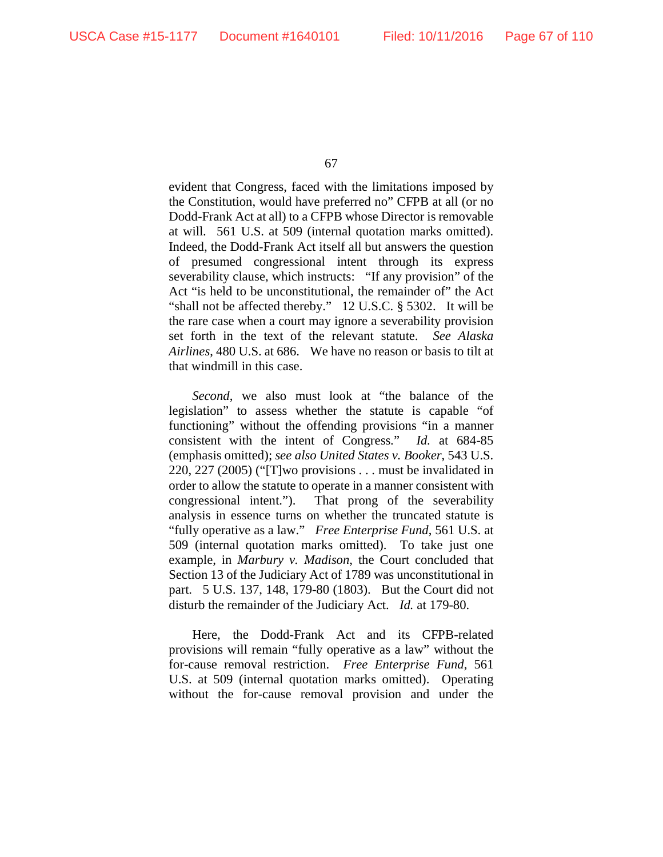evident that Congress, faced with the limitations imposed by the Constitution, would have preferred no" CFPB at all (or no Dodd-Frank Act at all) to a CFPB whose Director is removable at will. 561 U.S. at 509 (internal quotation marks omitted). Indeed, the Dodd-Frank Act itself all but answers the question of presumed congressional intent through its express severability clause, which instructs: "If any provision" of the Act "is held to be unconstitutional, the remainder of" the Act "shall not be affected thereby." 12 U.S.C. § 5302. It will be the rare case when a court may ignore a severability provision set forth in the text of the relevant statute. *See Alaska Airlines*, 480 U.S. at 686. We have no reason or basis to tilt at that windmill in this case.

*Second*, we also must look at "the balance of the legislation" to assess whether the statute is capable "of functioning" without the offending provisions "in a manner consistent with the intent of Congress." *Id.* at 684-85 (emphasis omitted); *see also United States v. Booker*, 543 U.S. 220, 227 (2005) ("[T]wo provisions . . . must be invalidated in order to allow the statute to operate in a manner consistent with congressional intent."). That prong of the severability analysis in essence turns on whether the truncated statute is "fully operative as a law." *Free Enterprise Fund*, 561 U.S. at 509 (internal quotation marks omitted). To take just one example, in *Marbury v. Madison*, the Court concluded that Section 13 of the Judiciary Act of 1789 was unconstitutional in part. 5 U.S. 137, 148, 179-80 (1803). But the Court did not disturb the remainder of the Judiciary Act. *Id.* at 179-80.

Here, the Dodd-Frank Act and its CFPB-related provisions will remain "fully operative as a law" without the for-cause removal restriction. *Free Enterprise Fund*, 561 U.S. at 509 (internal quotation marks omitted). Operating without the for-cause removal provision and under the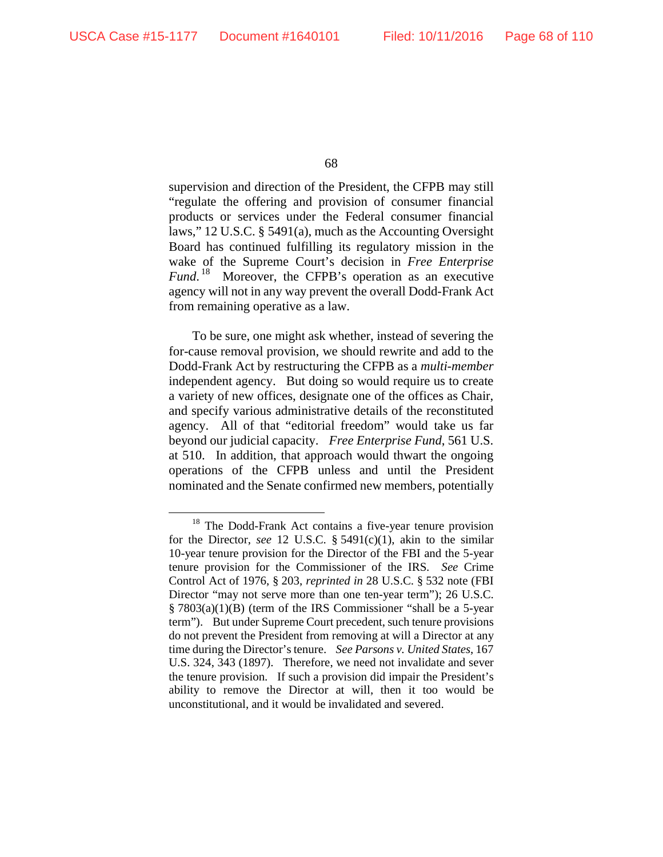supervision and direction of the President, the CFPB may still "regulate the offering and provision of consumer financial products or services under the Federal consumer financial laws," 12 U.S.C. § 5491(a), much as the Accounting Oversight Board has continued fulfilling its regulatory mission in the wake of the Supreme Court's decision in *Free Enterprise Fund*. [18](#page-67-0) Moreover, the CFPB's operation as an executive agency will not in any way prevent the overall Dodd-Frank Act from remaining operative as a law.

To be sure, one might ask whether, instead of severing the for-cause removal provision, we should rewrite and add to the Dodd-Frank Act by restructuring the CFPB as a *multi-member* independent agency. But doing so would require us to create a variety of new offices, designate one of the offices as Chair, and specify various administrative details of the reconstituted agency. All of that "editorial freedom" would take us far beyond our judicial capacity. *Free Enterprise Fund*, 561 U.S. at 510. In addition, that approach would thwart the ongoing operations of the CFPB unless and until the President nominated and the Senate confirmed new members, potentially

<span id="page-67-0"></span><sup>&</sup>lt;sup>18</sup> The Dodd-Frank Act contains a five-year tenure provision for the Director, *see* 12 U.S.C. § 5491(c)(1), akin to the similar 10-year tenure provision for the Director of the FBI and the 5-year tenure provision for the Commissioner of the IRS. *See* Crime Control Act of 1976, § 203, *reprinted in* 28 U.S.C. § 532 note (FBI Director "may not serve more than one ten-year term"); 26 U.S.C. § 7803(a)(1)(B) (term of the IRS Commissioner "shall be a 5-year term"). But under Supreme Court precedent, such tenure provisions do not prevent the President from removing at will a Director at any time during the Director's tenure. *See Parsons v. United States*, 167 U.S. 324, 343 (1897). Therefore, we need not invalidate and sever the tenure provision. If such a provision did impair the President's ability to remove the Director at will, then it too would be unconstitutional, and it would be invalidated and severed.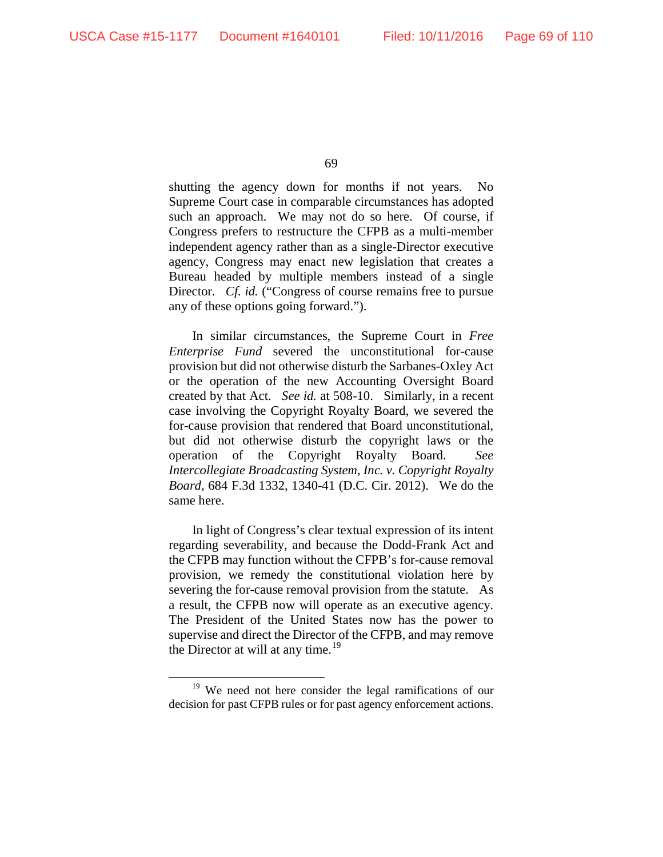shutting the agency down for months if not years. No Supreme Court case in comparable circumstances has adopted such an approach. We may not do so here. Of course, if Congress prefers to restructure the CFPB as a multi-member independent agency rather than as a single-Director executive agency, Congress may enact new legislation that creates a Bureau headed by multiple members instead of a single Director. *Cf. id.* ("Congress of course remains free to pursue any of these options going forward.").

In similar circumstances, the Supreme Court in *Free Enterprise Fund* severed the unconstitutional for-cause provision but did not otherwise disturb the Sarbanes-Oxley Act or the operation of the new Accounting Oversight Board created by that Act. *See id.* at 508-10. Similarly, in a recent case involving the Copyright Royalty Board, we severed the for-cause provision that rendered that Board unconstitutional, but did not otherwise disturb the copyright laws or the operation of the Copyright Royalty Board. *See Intercollegiate Broadcasting System, Inc. v. Copyright Royalty Board*, 684 F.3d 1332, 1340-41 (D.C. Cir. 2012). We do the same here.

In light of Congress's clear textual expression of its intent regarding severability, and because the Dodd-Frank Act and the CFPB may function without the CFPB's for-cause removal provision, we remedy the constitutional violation here by severing the for-cause removal provision from the statute. As a result, the CFPB now will operate as an executive agency. The President of the United States now has the power to supervise and direct the Director of the CFPB, and may remove the Director at will at any time.<sup>[19](#page-68-0)</sup>

<span id="page-68-0"></span><sup>&</sup>lt;sup>19</sup> We need not here consider the legal ramifications of our decision for past CFPB rules or for past agency enforcement actions.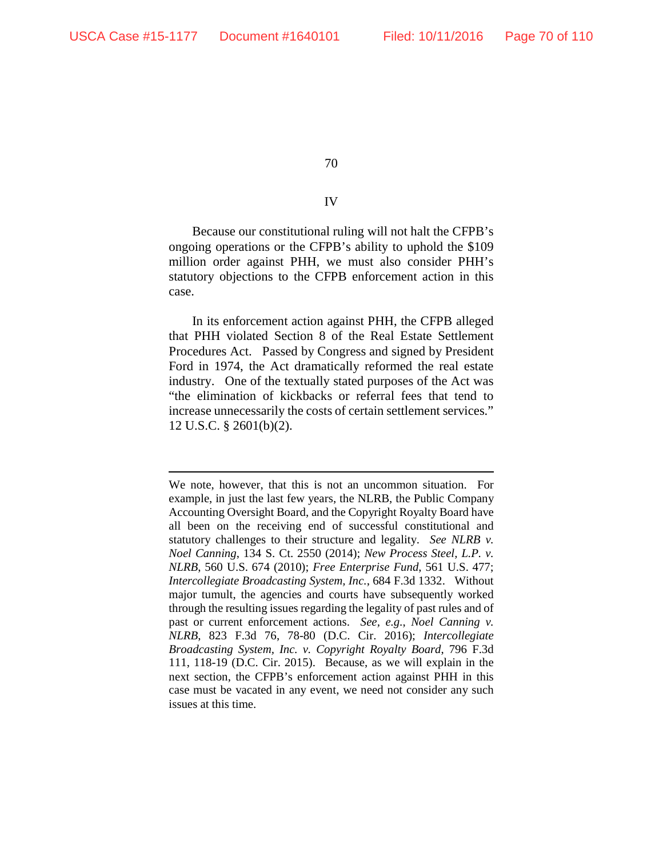## IV

Because our constitutional ruling will not halt the CFPB's ongoing operations or the CFPB's ability to uphold the \$109 million order against PHH, we must also consider PHH's statutory objections to the CFPB enforcement action in this case.

In its enforcement action against PHH, the CFPB alleged that PHH violated Section 8 of the Real Estate Settlement Procedures Act. Passed by Congress and signed by President Ford in 1974, the Act dramatically reformed the real estate industry. One of the textually stated purposes of the Act was "the elimination of kickbacks or referral fees that tend to increase unnecessarily the costs of certain settlement services." 12 U.S.C. § 2601(b)(2).

 $\overline{a}$ We note, however, that this is not an uncommon situation. For example, in just the last few years, the NLRB, the Public Company Accounting Oversight Board, and the Copyright Royalty Board have all been on the receiving end of successful constitutional and statutory challenges to their structure and legality. *See NLRB v. Noel Canning*, 134 S. Ct. 2550 (2014); *New Process Steel, L.P. v. NLRB*, 560 U.S. 674 (2010); *Free Enterprise Fund*, 561 U.S. 477; *Intercollegiate Broadcasting System, Inc.*, 684 F.3d 1332. Without major tumult, the agencies and courts have subsequently worked through the resulting issues regarding the legality of past rules and of past or current enforcement actions. *See, e.g.*, *Noel Canning v. NLRB*, 823 F.3d 76, 78-80 (D.C. Cir. 2016); *Intercollegiate Broadcasting System, Inc. v. Copyright Royalty Board*, 796 F.3d 111, 118-19 (D.C. Cir. 2015). Because, as we will explain in the next section, the CFPB's enforcement action against PHH in this case must be vacated in any event, we need not consider any such issues at this time.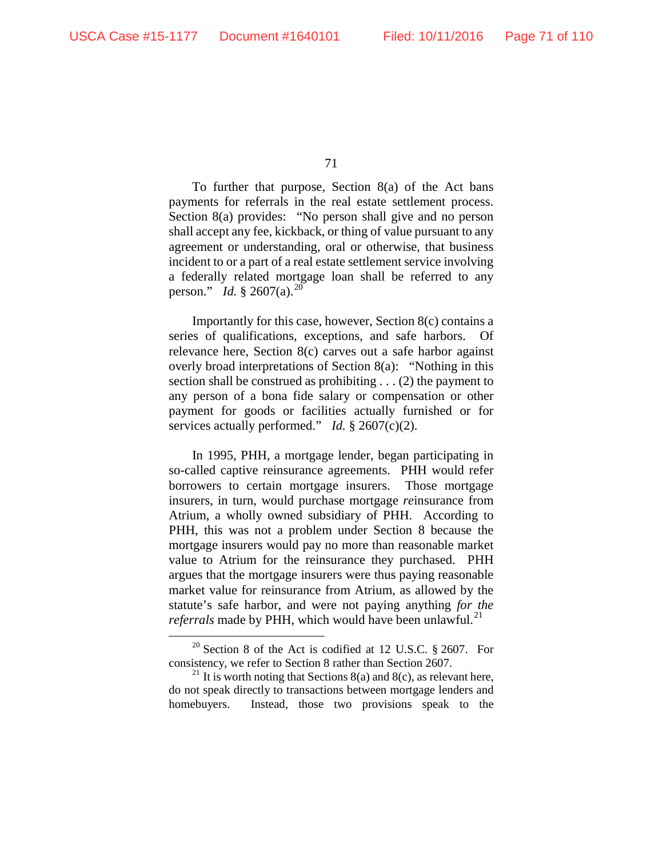To further that purpose, Section 8(a) of the Act bans payments for referrals in the real estate settlement process. Section 8(a) provides: "No person shall give and no person shall accept any fee, kickback, or thing of value pursuant to any agreement or understanding, oral or otherwise, that business incident to or a part of a real estate settlement service involving a federally related mortgage loan shall be referred to any person." *Id.* § 2607(a).<sup>[20](#page-70-0)</sup>

Importantly for this case, however, Section 8(c) contains a series of qualifications, exceptions, and safe harbors. Of relevance here, Section 8(c) carves out a safe harbor against overly broad interpretations of Section 8(a): "Nothing in this section shall be construed as prohibiting . . . (2) the payment to any person of a bona fide salary or compensation or other payment for goods or facilities actually furnished or for services actually performed." *Id.* § 2607(c)(2).

In 1995, PHH, a mortgage lender, began participating in so-called captive reinsurance agreements. PHH would refer borrowers to certain mortgage insurers. Those mortgage insurers, in turn, would purchase mortgage *re*insurance from Atrium, a wholly owned subsidiary of PHH. According to PHH, this was not a problem under Section 8 because the mortgage insurers would pay no more than reasonable market value to Atrium for the reinsurance they purchased. PHH argues that the mortgage insurers were thus paying reasonable market value for reinsurance from Atrium, as allowed by the statute's safe harbor, and were not paying anything *for the referrals* made by PHH, which would have been unlawful. [21](#page-70-1)

<span id="page-70-0"></span> $20$  Section 8 of the Act is codified at 12 U.S.C. § 2607. For consistency, we refer to Section 8 rather than Section 2607.

<span id="page-70-1"></span><sup>&</sup>lt;sup>21</sup> It is worth noting that Sections 8(a) and 8(c), as relevant here, do not speak directly to transactions between mortgage lenders and homebuyers. Instead, those two provisions speak to the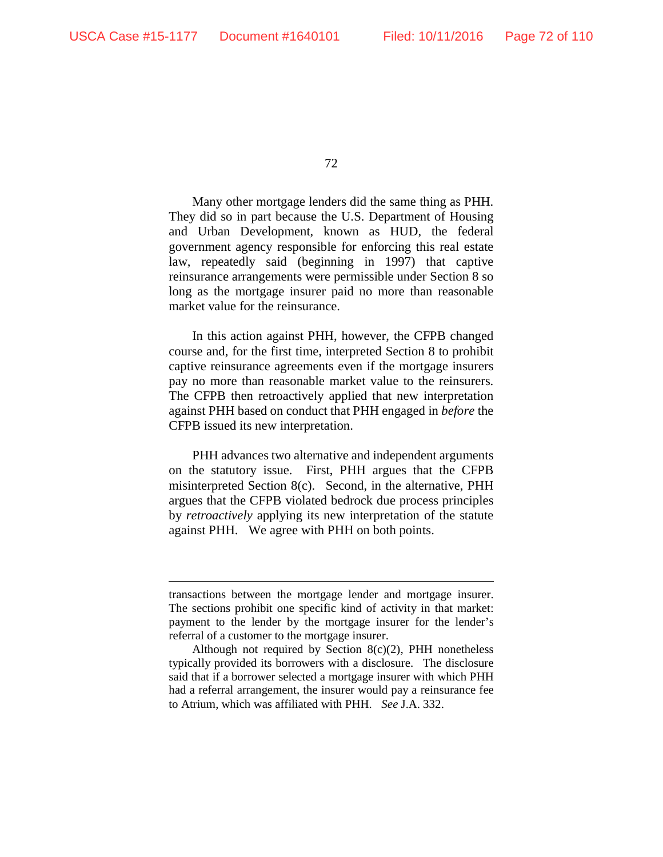72

Many other mortgage lenders did the same thing as PHH. They did so in part because the U.S. Department of Housing and Urban Development, known as HUD, the federal government agency responsible for enforcing this real estate law, repeatedly said (beginning in 1997) that captive reinsurance arrangements were permissible under Section 8 so long as the mortgage insurer paid no more than reasonable market value for the reinsurance.

In this action against PHH, however, the CFPB changed course and, for the first time, interpreted Section 8 to prohibit captive reinsurance agreements even if the mortgage insurers pay no more than reasonable market value to the reinsurers. The CFPB then retroactively applied that new interpretation against PHH based on conduct that PHH engaged in *before* the CFPB issued its new interpretation.

PHH advances two alternative and independent arguments on the statutory issue. First, PHH argues that the CFPB misinterpreted Section 8(c). Second, in the alternative, PHH argues that the CFPB violated bedrock due process principles by *retroactively* applying its new interpretation of the statute against PHH. We agree with PHH on both points.

transactions between the mortgage lender and mortgage insurer. The sections prohibit one specific kind of activity in that market: payment to the lender by the mortgage insurer for the lender's referral of a customer to the mortgage insurer.

Although not required by Section 8(c)(2), PHH nonetheless typically provided its borrowers with a disclosure. The disclosure said that if a borrower selected a mortgage insurer with which PHH had a referral arrangement, the insurer would pay a reinsurance fee to Atrium, which was affiliated with PHH. *See* J.A. 332.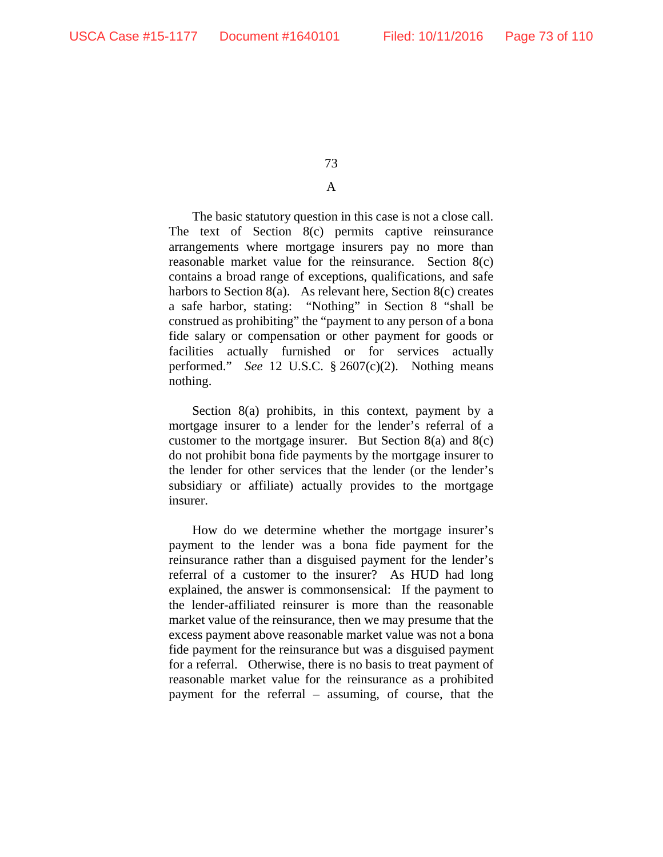## A

The basic statutory question in this case is not a close call. The text of Section 8(c) permits captive reinsurance arrangements where mortgage insurers pay no more than reasonable market value for the reinsurance. Section 8(c) contains a broad range of exceptions, qualifications, and safe harbors to Section 8(a). As relevant here, Section 8(c) creates a safe harbor, stating: "Nothing" in Section 8 "shall be construed as prohibiting" the "payment to any person of a bona fide salary or compensation or other payment for goods or facilities actually furnished or for services actually performed." *See* 12 U.S.C. § 2607(c)(2). Nothing means nothing.

Section 8(a) prohibits, in this context, payment by a mortgage insurer to a lender for the lender's referral of a customer to the mortgage insurer. But Section  $8(a)$  and  $8(c)$ do not prohibit bona fide payments by the mortgage insurer to the lender for other services that the lender (or the lender's subsidiary or affiliate) actually provides to the mortgage insurer.

How do we determine whether the mortgage insurer's payment to the lender was a bona fide payment for the reinsurance rather than a disguised payment for the lender's referral of a customer to the insurer? As HUD had long explained, the answer is commonsensical: If the payment to the lender-affiliated reinsurer is more than the reasonable market value of the reinsurance, then we may presume that the excess payment above reasonable market value was not a bona fide payment for the reinsurance but was a disguised payment for a referral. Otherwise, there is no basis to treat payment of reasonable market value for the reinsurance as a prohibited payment for the referral – assuming, of course, that the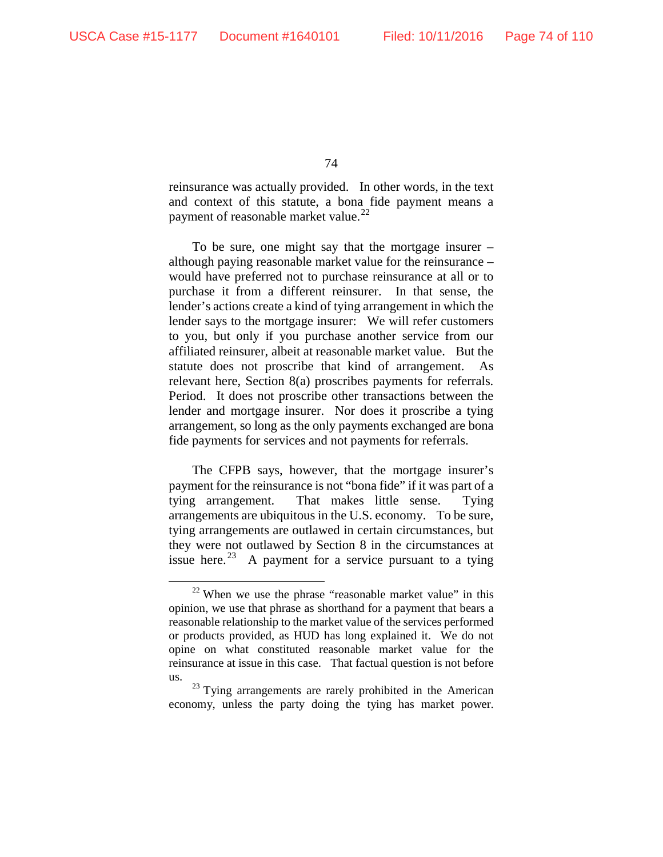reinsurance was actually provided. In other words, in the text and context of this statute, a bona fide payment means a payment of reasonable market value.<sup>[22](#page-73-0)</sup>

To be sure, one might say that the mortgage insurer – although paying reasonable market value for the reinsurance – would have preferred not to purchase reinsurance at all or to purchase it from a different reinsurer. In that sense, the lender's actions create a kind of tying arrangement in which the lender says to the mortgage insurer: We will refer customers to you, but only if you purchase another service from our affiliated reinsurer, albeit at reasonable market value. But the statute does not proscribe that kind of arrangement. As relevant here, Section 8(a) proscribes payments for referrals. Period. It does not proscribe other transactions between the lender and mortgage insurer. Nor does it proscribe a tying arrangement, so long as the only payments exchanged are bona fide payments for services and not payments for referrals.

The CFPB says, however, that the mortgage insurer's payment for the reinsurance is not "bona fide" if it was part of a tying arrangement. That makes little sense. Tying arrangements are ubiquitous in the U.S. economy. To be sure, tying arrangements are outlawed in certain circumstances, but they were not outlawed by Section 8 in the circumstances at issue here.<sup>[23](#page-73-1)</sup> A payment for a service pursuant to a tying

<span id="page-73-0"></span> $22$  When we use the phrase "reasonable market value" in this opinion, we use that phrase as shorthand for a payment that bears a reasonable relationship to the market value of the services performed or products provided, as HUD has long explained it. We do not opine on what constituted reasonable market value for the reinsurance at issue in this case. That factual question is not before us.

<span id="page-73-1"></span> $23$  Tying arrangements are rarely prohibited in the American economy, unless the party doing the tying has market power.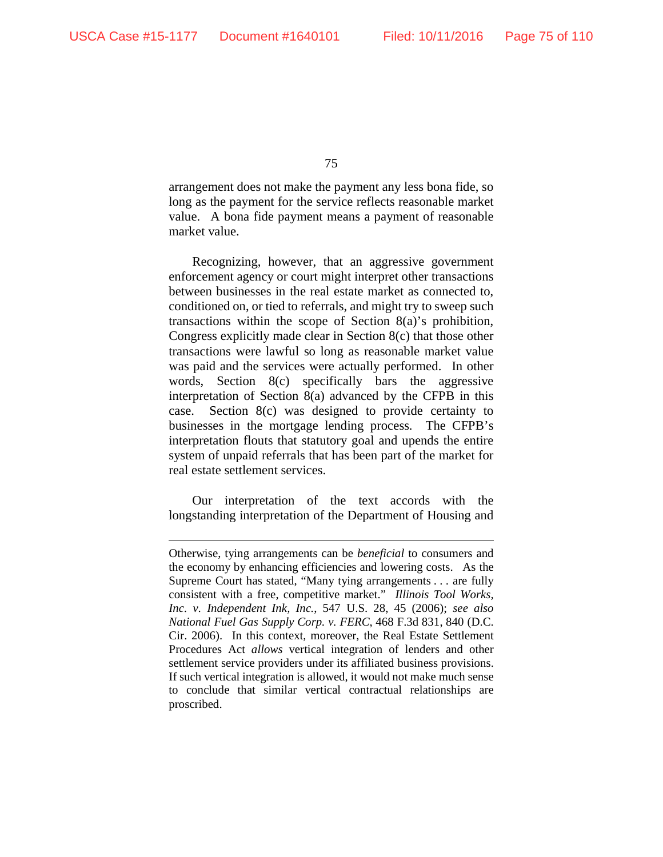$\overline{a}$ 

75

arrangement does not make the payment any less bona fide, so long as the payment for the service reflects reasonable market value. A bona fide payment means a payment of reasonable market value.

Recognizing, however, that an aggressive government enforcement agency or court might interpret other transactions between businesses in the real estate market as connected to, conditioned on, or tied to referrals, and might try to sweep such transactions within the scope of Section 8(a)'s prohibition, Congress explicitly made clear in Section 8(c) that those other transactions were lawful so long as reasonable market value was paid and the services were actually performed. In other words, Section 8(c) specifically bars the aggressive interpretation of Section 8(a) advanced by the CFPB in this case. Section 8(c) was designed to provide certainty to businesses in the mortgage lending process. The CFPB's interpretation flouts that statutory goal and upends the entire system of unpaid referrals that has been part of the market for real estate settlement services.

Our interpretation of the text accords with the longstanding interpretation of the Department of Housing and

Otherwise, tying arrangements can be *beneficial* to consumers and the economy by enhancing efficiencies and lowering costs. As the Supreme Court has stated, "Many tying arrangements . . . are fully consistent with a free, competitive market." *Illinois Tool Works, Inc. v. Independent Ink, Inc.*, 547 U.S. 28, 45 (2006); *see also National Fuel Gas Supply Corp. v. FERC*, 468 F.3d 831, 840 (D.C. Cir. 2006). In this context, moreover, the Real Estate Settlement Procedures Act *allows* vertical integration of lenders and other settlement service providers under its affiliated business provisions. If such vertical integration is allowed, it would not make much sense to conclude that similar vertical contractual relationships are proscribed.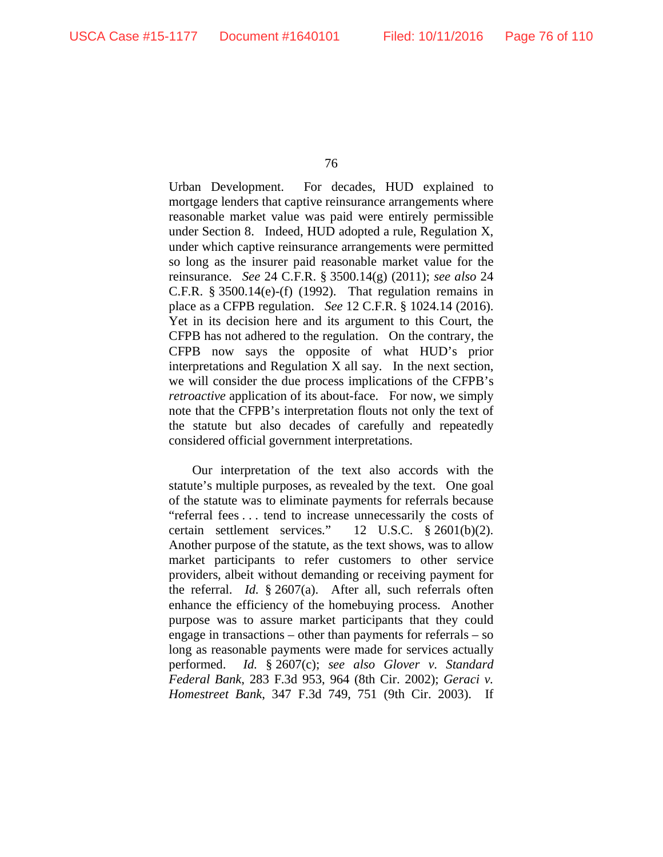Urban Development. For decades, HUD explained to mortgage lenders that captive reinsurance arrangements where reasonable market value was paid were entirely permissible under Section 8. Indeed, HUD adopted a rule, Regulation X, under which captive reinsurance arrangements were permitted so long as the insurer paid reasonable market value for the reinsurance. *See* 24 C.F.R. § 3500.14(g) (2011); *see also* 24 C.F.R. § 3500.14(e)-(f) (1992). That regulation remains in place as a CFPB regulation. *See* 12 C.F.R. § 1024.14 (2016). Yet in its decision here and its argument to this Court, the CFPB has not adhered to the regulation. On the contrary, the CFPB now says the opposite of what HUD's prior interpretations and Regulation X all say. In the next section, we will consider the due process implications of the CFPB's *retroactive* application of its about-face. For now, we simply note that the CFPB's interpretation flouts not only the text of the statute but also decades of carefully and repeatedly considered official government interpretations.

Our interpretation of the text also accords with the statute's multiple purposes, as revealed by the text. One goal of the statute was to eliminate payments for referrals because "referral fees . . . tend to increase unnecessarily the costs of certain settlement services." 12 U.S.C. § 2601(b)(2). Another purpose of the statute, as the text shows, was to allow market participants to refer customers to other service providers, albeit without demanding or receiving payment for the referral. *Id.* § 2607(a). After all, such referrals often enhance the efficiency of the homebuying process. Another purpose was to assure market participants that they could engage in transactions – other than payments for referrals – so long as reasonable payments were made for services actually performed. *Id.* § 2607(c); *see also Glover v. Standard Federal Bank*, 283 F.3d 953, 964 (8th Cir. 2002); *Geraci v. Homestreet Bank*, 347 F.3d 749, 751 (9th Cir. 2003). If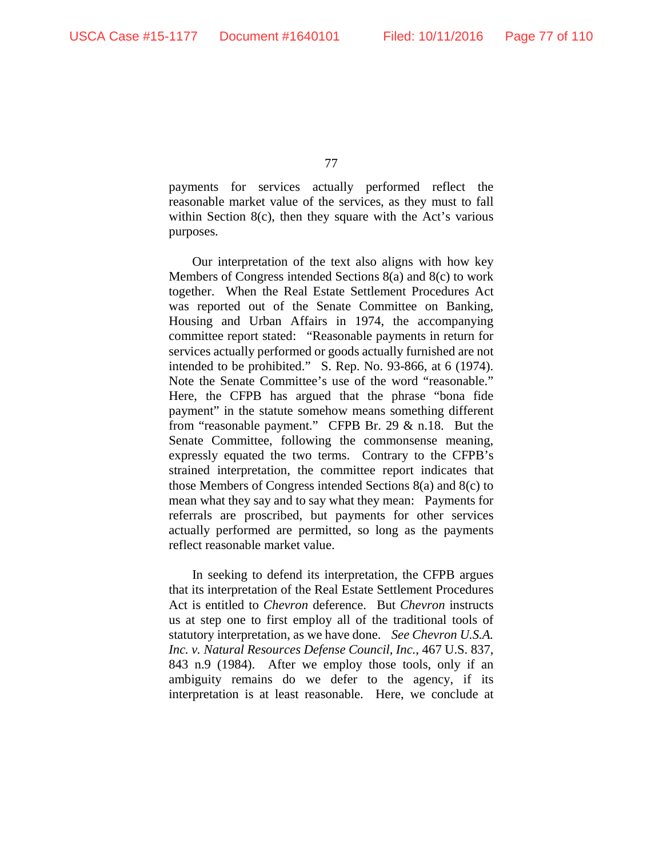payments for services actually performed reflect the reasonable market value of the services, as they must to fall within Section 8(c), then they square with the Act's various purposes.

Our interpretation of the text also aligns with how key Members of Congress intended Sections 8(a) and 8(c) to work together. When the Real Estate Settlement Procedures Act was reported out of the Senate Committee on Banking, Housing and Urban Affairs in 1974, the accompanying committee report stated: "Reasonable payments in return for services actually performed or goods actually furnished are not intended to be prohibited." S. Rep. No. 93-866, at 6 (1974). Note the Senate Committee's use of the word "reasonable." Here, the CFPB has argued that the phrase "bona fide payment" in the statute somehow means something different from "reasonable payment." CFPB Br. 29 & n.18. But the Senate Committee, following the commonsense meaning, expressly equated the two terms. Contrary to the CFPB's strained interpretation, the committee report indicates that those Members of Congress intended Sections 8(a) and 8(c) to mean what they say and to say what they mean: Payments for referrals are proscribed, but payments for other services actually performed are permitted, so long as the payments reflect reasonable market value.

In seeking to defend its interpretation, the CFPB argues that its interpretation of the Real Estate Settlement Procedures Act is entitled to *Chevron* deference. But *Chevron* instructs us at step one to first employ all of the traditional tools of statutory interpretation, as we have done. *See Chevron U.S.A. Inc. v. Natural Resources Defense Council, Inc.*, 467 U.S. 837, 843 n.9 (1984). After we employ those tools, only if an ambiguity remains do we defer to the agency, if its interpretation is at least reasonable. Here, we conclude at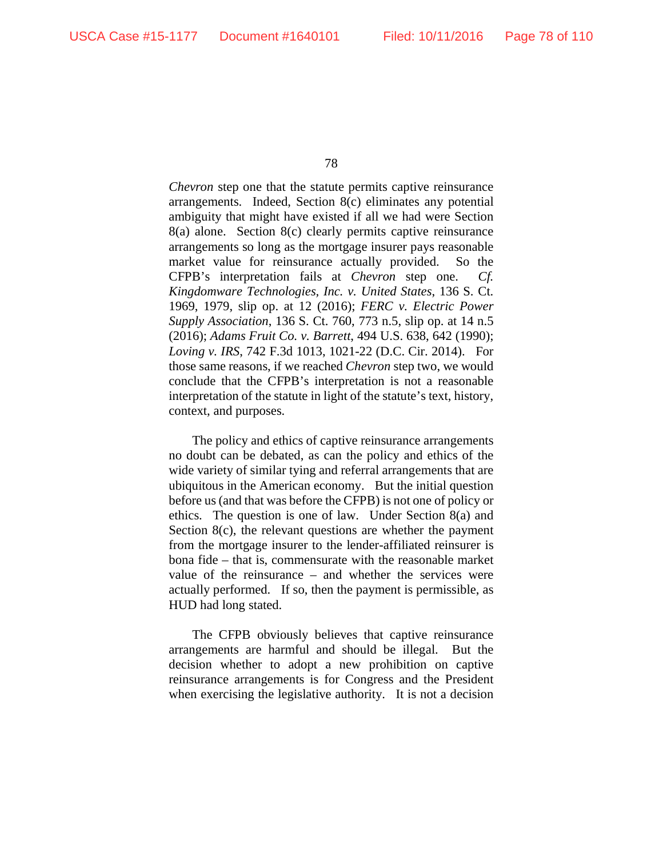*Chevron* step one that the statute permits captive reinsurance arrangements. Indeed, Section 8(c) eliminates any potential ambiguity that might have existed if all we had were Section 8(a) alone. Section 8(c) clearly permits captive reinsurance arrangements so long as the mortgage insurer pays reasonable market value for reinsurance actually provided. So the CFPB's interpretation fails at *Chevron* step one. *Cf. Kingdomware Technologies, Inc. v. United States*, 136 S. Ct. 1969, 1979, slip op. at 12 (2016); *FERC v. Electric Power Supply Association*, 136 S. Ct. 760, 773 n.5, slip op. at 14 n.5 (2016); *Adams Fruit Co. v. Barrett*, 494 U.S. 638, 642 (1990); *Loving v. IRS*, 742 F.3d 1013, 1021-22 (D.C. Cir. 2014). For those same reasons, if we reached *Chevron* step two, we would conclude that the CFPB's interpretation is not a reasonable interpretation of the statute in light of the statute's text, history, context, and purposes.

The policy and ethics of captive reinsurance arrangements no doubt can be debated, as can the policy and ethics of the wide variety of similar tying and referral arrangements that are ubiquitous in the American economy. But the initial question before us (and that was before the CFPB) is not one of policy or ethics. The question is one of law. Under Section 8(a) and Section 8(c), the relevant questions are whether the payment from the mortgage insurer to the lender-affiliated reinsurer is bona fide – that is, commensurate with the reasonable market value of the reinsurance – and whether the services were actually performed. If so, then the payment is permissible, as HUD had long stated.

The CFPB obviously believes that captive reinsurance arrangements are harmful and should be illegal. But the decision whether to adopt a new prohibition on captive reinsurance arrangements is for Congress and the President when exercising the legislative authority. It is not a decision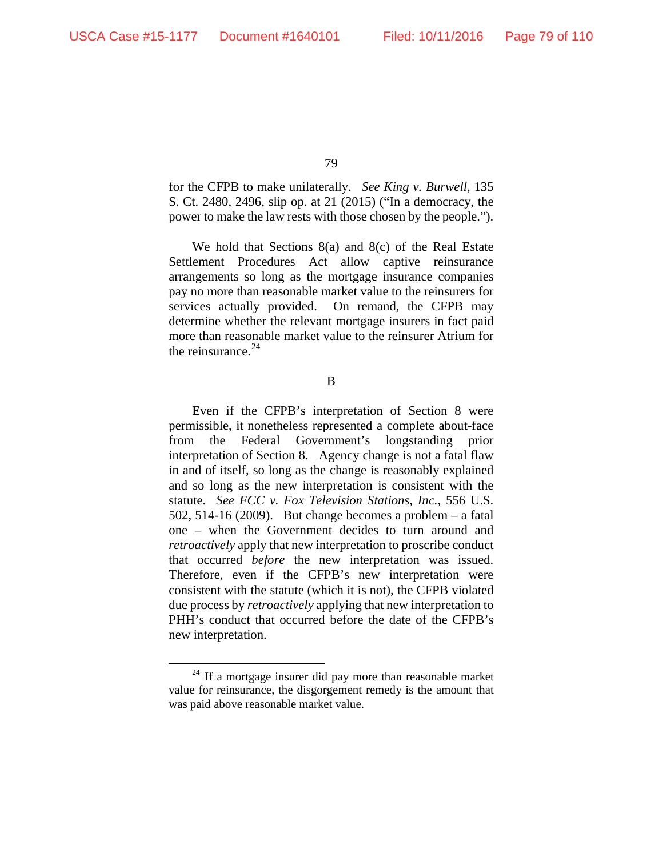for the CFPB to make unilaterally. *See King v. Burwell*, 135 S. Ct. 2480, 2496, slip op. at 21 (2015) ("In a democracy, the power to make the law rests with those chosen by the people.").

We hold that Sections 8(a) and 8(c) of the Real Estate Settlement Procedures Act allow captive reinsurance arrangements so long as the mortgage insurance companies pay no more than reasonable market value to the reinsurers for services actually provided. On remand, the CFPB may determine whether the relevant mortgage insurers in fact paid more than reasonable market value to the reinsurer Atrium for the reinsurance.<sup>[24](#page-78-0)</sup>

B

Even if the CFPB's interpretation of Section 8 were permissible, it nonetheless represented a complete about-face from the Federal Government's longstanding prior interpretation of Section 8. Agency change is not a fatal flaw in and of itself, so long as the change is reasonably explained and so long as the new interpretation is consistent with the statute. *See FCC v. Fox Television Stations*, *Inc.*, 556 U.S. 502, 514-16 (2009). But change becomes a problem – a fatal one – when the Government decides to turn around and *retroactively* apply that new interpretation to proscribe conduct that occurred *before* the new interpretation was issued. Therefore, even if the CFPB's new interpretation were consistent with the statute (which it is not), the CFPB violated due process by *retroactively* applying that new interpretation to PHH's conduct that occurred before the date of the CFPB's new interpretation.

<span id="page-78-0"></span> $24$  If a mortgage insurer did pay more than reasonable market value for reinsurance, the disgorgement remedy is the amount that was paid above reasonable market value.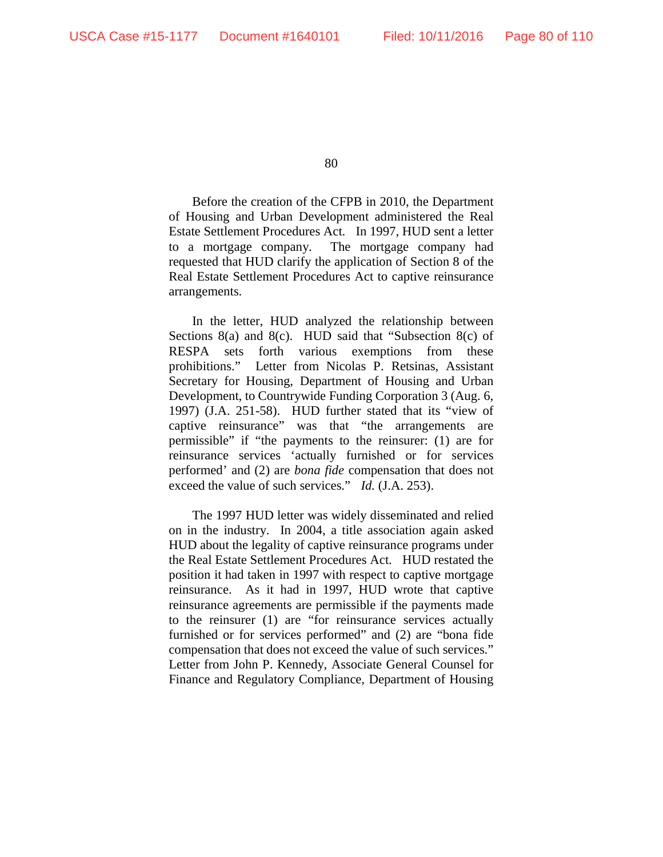Before the creation of the CFPB in 2010, the Department of Housing and Urban Development administered the Real Estate Settlement Procedures Act. In 1997, HUD sent a letter to a mortgage company. The mortgage company had requested that HUD clarify the application of Section 8 of the Real Estate Settlement Procedures Act to captive reinsurance arrangements.

In the letter, HUD analyzed the relationship between Sections 8(a) and 8(c). HUD said that "Subsection 8(c) of RESPA sets forth various exemptions from these prohibitions." Letter from Nicolas P. Retsinas, Assistant Secretary for Housing, Department of Housing and Urban Development, to Countrywide Funding Corporation 3 (Aug. 6, 1997) (J.A. 251-58). HUD further stated that its "view of captive reinsurance" was that "the arrangements are permissible" if "the payments to the reinsurer: (1) are for reinsurance services 'actually furnished or for services performed' and (2) are *bona fide* compensation that does not exceed the value of such services." *Id.* (J.A. 253).

The 1997 HUD letter was widely disseminated and relied on in the industry. In 2004, a title association again asked HUD about the legality of captive reinsurance programs under the Real Estate Settlement Procedures Act. HUD restated the position it had taken in 1997 with respect to captive mortgage reinsurance. As it had in 1997, HUD wrote that captive reinsurance agreements are permissible if the payments made to the reinsurer (1) are "for reinsurance services actually furnished or for services performed" and (2) are "bona fide compensation that does not exceed the value of such services." Letter from John P. Kennedy, Associate General Counsel for Finance and Regulatory Compliance, Department of Housing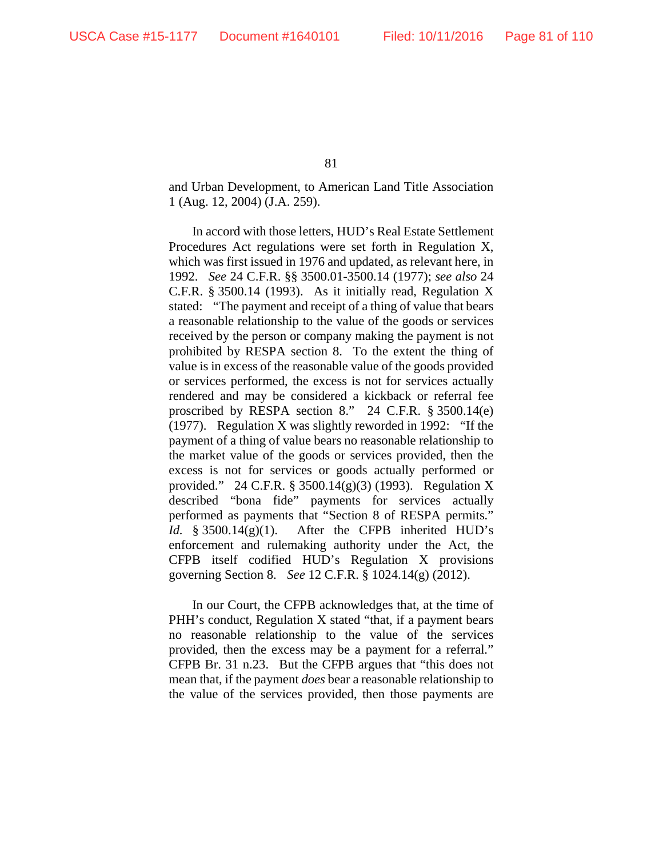and Urban Development, to American Land Title Association 1 (Aug. 12, 2004) (J.A. 259).

In accord with those letters, HUD's Real Estate Settlement Procedures Act regulations were set forth in Regulation X, which was first issued in 1976 and updated, as relevant here, in 1992. *See* 24 C.F.R. §§ 3500.01-3500.14 (1977); *see also* 24 C.F.R. § 3500.14 (1993). As it initially read, Regulation X stated: "The payment and receipt of a thing of value that bears a reasonable relationship to the value of the goods or services received by the person or company making the payment is not prohibited by RESPA section 8. To the extent the thing of value is in excess of the reasonable value of the goods provided or services performed, the excess is not for services actually rendered and may be considered a kickback or referral fee proscribed by RESPA section 8." 24 C.F.R. § 3500.14(e) (1977). Regulation X was slightly reworded in 1992: "If the payment of a thing of value bears no reasonable relationship to the market value of the goods or services provided, then the excess is not for services or goods actually performed or provided." 24 C.F.R. § 3500.14(g)(3) (1993). Regulation X described "bona fide" payments for services actually performed as payments that "Section 8 of RESPA permits." *Id.* § 3500.14(g)(1). After the CFPB inherited HUD's enforcement and rulemaking authority under the Act, the CFPB itself codified HUD's Regulation X provisions governing Section 8. *See* 12 C.F.R. § 1024.14(g) (2012).

In our Court, the CFPB acknowledges that, at the time of PHH's conduct, Regulation X stated "that, if a payment bears no reasonable relationship to the value of the services provided, then the excess may be a payment for a referral." CFPB Br. 31 n.23. But the CFPB argues that "this does not mean that, if the payment *does* bear a reasonable relationship to the value of the services provided, then those payments are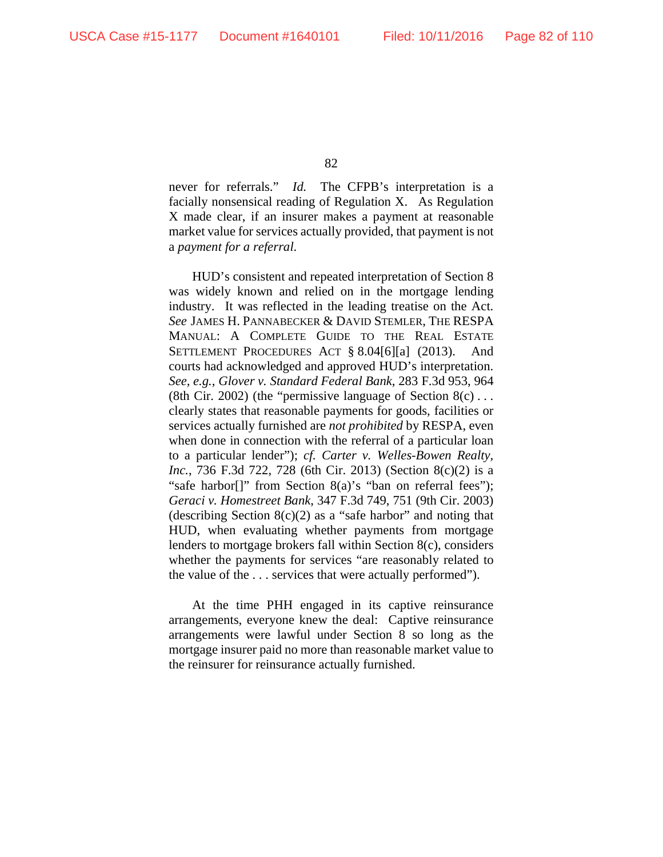never for referrals." *Id.* The CFPB's interpretation is a facially nonsensical reading of Regulation X. As Regulation X made clear, if an insurer makes a payment at reasonable market value for services actually provided, that payment is not a *payment for a referral*.

HUD's consistent and repeated interpretation of Section 8 was widely known and relied on in the mortgage lending industry. It was reflected in the leading treatise on the Act. *See* JAMES H. PANNABECKER & DAVID STEMLER, THE RESPA MANUAL: A COMPLETE GUIDE TO THE REAL ESTATE SETTLEMENT PROCEDURES ACT § 8.04[6][a] (2013). And courts had acknowledged and approved HUD's interpretation. *See, e.g.*, *Glover v. Standard Federal Bank*, 283 F.3d 953, 964 (8th Cir. 2002) (the "permissive language of Section  $8(c) \ldots$ clearly states that reasonable payments for goods, facilities or services actually furnished are *not prohibited* by RESPA, even when done in connection with the referral of a particular loan to a particular lender"); *cf. Carter v. Welles-Bowen Realty, Inc.*, 736 F.3d 722, 728 (6th Cir. 2013) (Section 8(c)(2) is a "safe harbor[]" from Section 8(a)'s "ban on referral fees"); *Geraci v. Homestreet Bank*, 347 F.3d 749, 751 (9th Cir. 2003) (describing Section  $8(c)(2)$  as a "safe harbor" and noting that HUD, when evaluating whether payments from mortgage lenders to mortgage brokers fall within Section 8(c), considers whether the payments for services "are reasonably related to the value of the . . . services that were actually performed").

At the time PHH engaged in its captive reinsurance arrangements, everyone knew the deal: Captive reinsurance arrangements were lawful under Section 8 so long as the mortgage insurer paid no more than reasonable market value to the reinsurer for reinsurance actually furnished.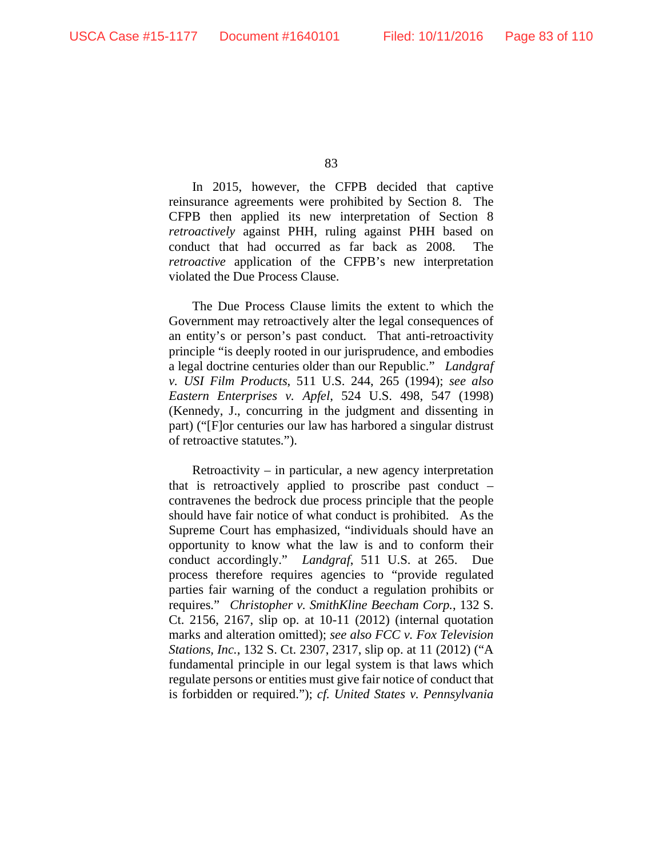In 2015, however, the CFPB decided that captive reinsurance agreements were prohibited by Section 8. The CFPB then applied its new interpretation of Section 8 *retroactively* against PHH, ruling against PHH based on conduct that had occurred as far back as 2008. The *retroactive* application of the CFPB's new interpretation violated the Due Process Clause.

The Due Process Clause limits the extent to which the Government may retroactively alter the legal consequences of an entity's or person's past conduct. That anti-retroactivity principle "is deeply rooted in our jurisprudence, and embodies a legal doctrine centuries older than our Republic." *Landgraf v. USI Film Products*, 511 U.S. 244, 265 (1994); *see also Eastern Enterprises v. Apfel*, 524 U.S. 498, 547 (1998) (Kennedy, J., concurring in the judgment and dissenting in part) ("[F]or centuries our law has harbored a singular distrust of retroactive statutes.").

Retroactivity – in particular, a new agency interpretation that is retroactively applied to proscribe past conduct – contravenes the bedrock due process principle that the people should have fair notice of what conduct is prohibited. As the Supreme Court has emphasized, "individuals should have an opportunity to know what the law is and to conform their conduct accordingly." *Landgraf*, 511 U.S. at 265. Due process therefore requires agencies to "provide regulated parties fair warning of the conduct a regulation prohibits or requires." *Christopher v. SmithKline Beecham Corp.*, 132 S. Ct. 2156, 2167, slip op. at 10-11 (2012) (internal quotation marks and alteration omitted); *see also FCC v. Fox Television Stations, Inc.*, 132 S. Ct. 2307, 2317, slip op. at 11 (2012) ("A fundamental principle in our legal system is that laws which regulate persons or entities must give fair notice of conduct that is forbidden or required."); *cf. United States v. Pennsylvania*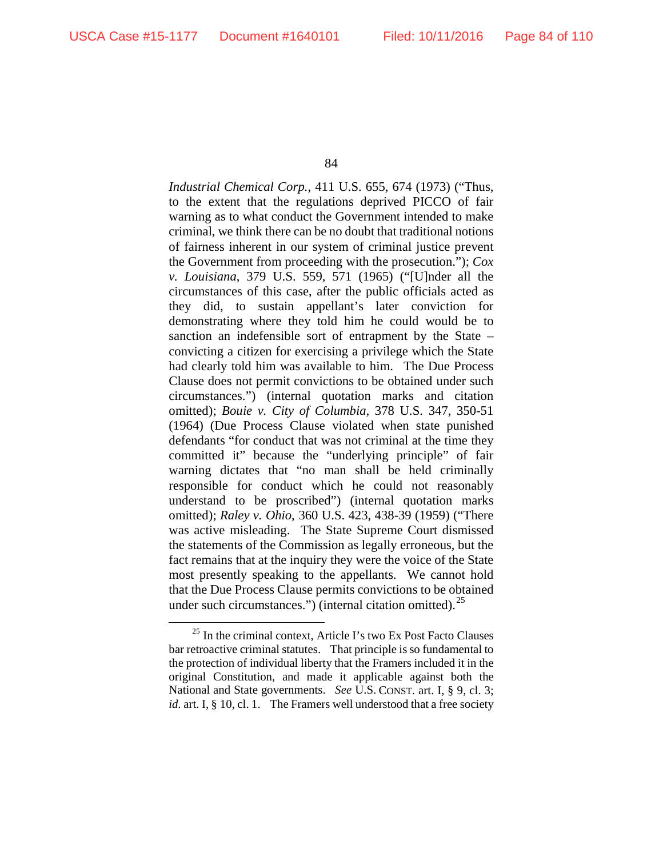*Industrial Chemical Corp.*, 411 U.S. 655, 674 (1973) ("Thus, to the extent that the regulations deprived PICCO of fair warning as to what conduct the Government intended to make criminal, we think there can be no doubt that traditional notions of fairness inherent in our system of criminal justice prevent the Government from proceeding with the prosecution."); *Cox v. Louisiana*, 379 U.S. 559, 571 (1965) ("[U]nder all the circumstances of this case, after the public officials acted as they did, to sustain appellant's later conviction for demonstrating where they told him he could would be to sanction an indefensible sort of entrapment by the State – convicting a citizen for exercising a privilege which the State had clearly told him was available to him. The Due Process Clause does not permit convictions to be obtained under such circumstances.") (internal quotation marks and citation omitted); *Bouie v. City of Columbia*, 378 U.S. 347, 350-51 (1964) (Due Process Clause violated when state punished defendants "for conduct that was not criminal at the time they committed it" because the "underlying principle" of fair warning dictates that "no man shall be held criminally responsible for conduct which he could not reasonably understand to be proscribed") (internal quotation marks omitted); *Raley v. Ohio*, 360 U.S. 423, 438-39 (1959) ("There was active misleading. The State Supreme Court dismissed the statements of the Commission as legally erroneous, but the fact remains that at the inquiry they were the voice of the State most presently speaking to the appellants. We cannot hold that the Due Process Clause permits convictions to be obtained under such circumstances.") (internal citation omitted). $^{25}$  $^{25}$  $^{25}$ 

<span id="page-83-0"></span><sup>&</sup>lt;sup>25</sup> In the criminal context, Article I's two Ex Post Facto Clauses bar retroactive criminal statutes. That principle is so fundamental to the protection of individual liberty that the Framers included it in the original Constitution, and made it applicable against both the National and State governments. *See* U.S. CONST. art. I, § 9, cl. 3; *id.* art. I, § 10, cl. 1. The Framers well understood that a free society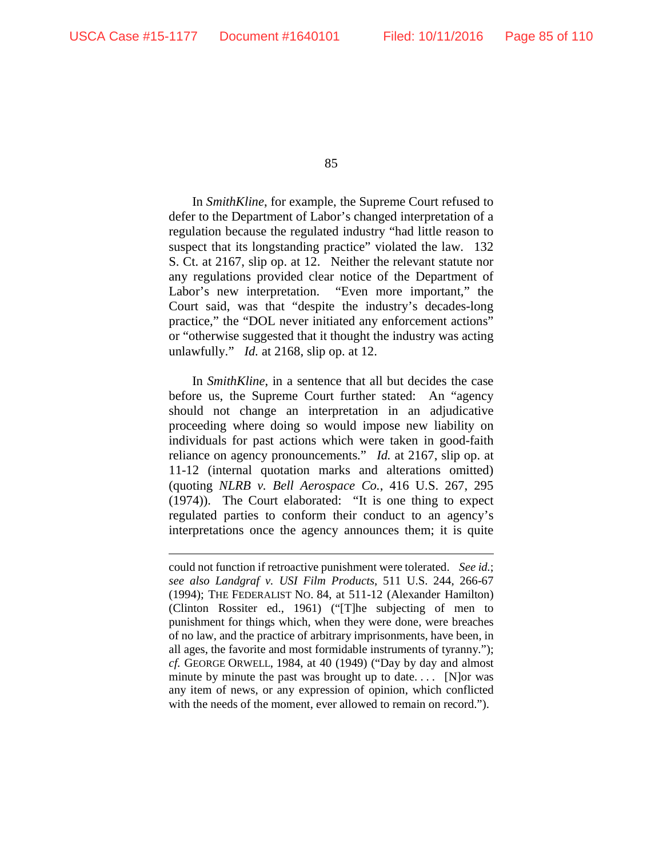$\overline{a}$ 

85

In *SmithKline*, for example, the Supreme Court refused to defer to the Department of Labor's changed interpretation of a regulation because the regulated industry "had little reason to suspect that its longstanding practice" violated the law. 132 S. Ct. at 2167, slip op. at 12. Neither the relevant statute nor any regulations provided clear notice of the Department of Labor's new interpretation. "Even more important," the Court said, was that "despite the industry's decades-long practice," the "DOL never initiated any enforcement actions" or "otherwise suggested that it thought the industry was acting unlawfully." *Id.* at 2168, slip op. at 12.

In *SmithKline*, in a sentence that all but decides the case before us, the Supreme Court further stated: An "agency should not change an interpretation in an adjudicative proceeding where doing so would impose new liability on individuals for past actions which were taken in good-faith reliance on agency pronouncements." *Id.* at 2167, slip op. at 11-12 (internal quotation marks and alterations omitted) (quoting *NLRB v. Bell Aerospace Co.*, 416 U.S. 267, 295 (1974)). The Court elaborated: "It is one thing to expect regulated parties to conform their conduct to an agency's interpretations once the agency announces them; it is quite

could not function if retroactive punishment were tolerated. *See id.*; *see also Landgraf v. USI Film Products*, 511 U.S. 244, 266-67 (1994); THE FEDERALIST NO. 84, at 511-12 (Alexander Hamilton) (Clinton Rossiter ed., 1961) ("[T]he subjecting of men to punishment for things which, when they were done, were breaches of no law, and the practice of arbitrary imprisonments, have been, in all ages, the favorite and most formidable instruments of tyranny."); *cf.* GEORGE ORWELL, 1984, at 40 (1949) ("Day by day and almost minute by minute the past was brought up to date.... [N]or was any item of news, or any expression of opinion, which conflicted with the needs of the moment, ever allowed to remain on record.").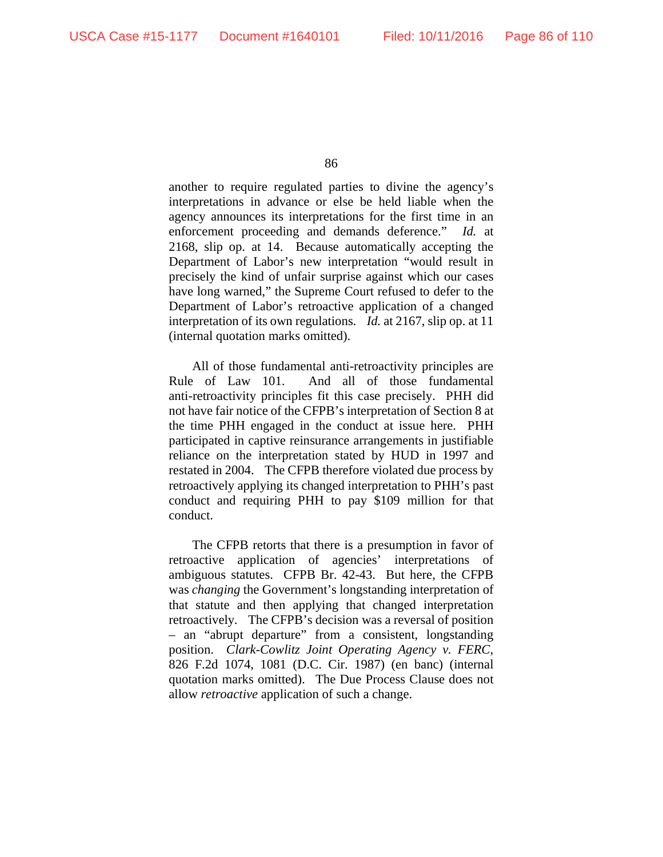another to require regulated parties to divine the agency's interpretations in advance or else be held liable when the agency announces its interpretations for the first time in an enforcement proceeding and demands deference." *Id.* at 2168, slip op. at 14. Because automatically accepting the Department of Labor's new interpretation "would result in precisely the kind of unfair surprise against which our cases have long warned," the Supreme Court refused to defer to the Department of Labor's retroactive application of a changed interpretation of its own regulations. *Id.* at 2167, slip op. at 11 (internal quotation marks omitted).

All of those fundamental anti-retroactivity principles are Rule of Law 101. And all of those fundamental anti-retroactivity principles fit this case precisely. PHH did not have fair notice of the CFPB's interpretation of Section 8 at the time PHH engaged in the conduct at issue here. PHH participated in captive reinsurance arrangements in justifiable reliance on the interpretation stated by HUD in 1997 and restated in 2004. The CFPB therefore violated due process by retroactively applying its changed interpretation to PHH's past conduct and requiring PHH to pay \$109 million for that conduct.

The CFPB retorts that there is a presumption in favor of retroactive application of agencies' interpretations of ambiguous statutes. CFPB Br. 42-43. But here, the CFPB was *changing* the Government's longstanding interpretation of that statute and then applying that changed interpretation retroactively. The CFPB's decision was a reversal of position – an "abrupt departure" from a consistent, longstanding position. *Clark-Cowlitz Joint Operating Agency v. FERC*, 826 F.2d 1074, 1081 (D.C. Cir. 1987) (en banc) (internal quotation marks omitted). The Due Process Clause does not allow *retroactive* application of such a change.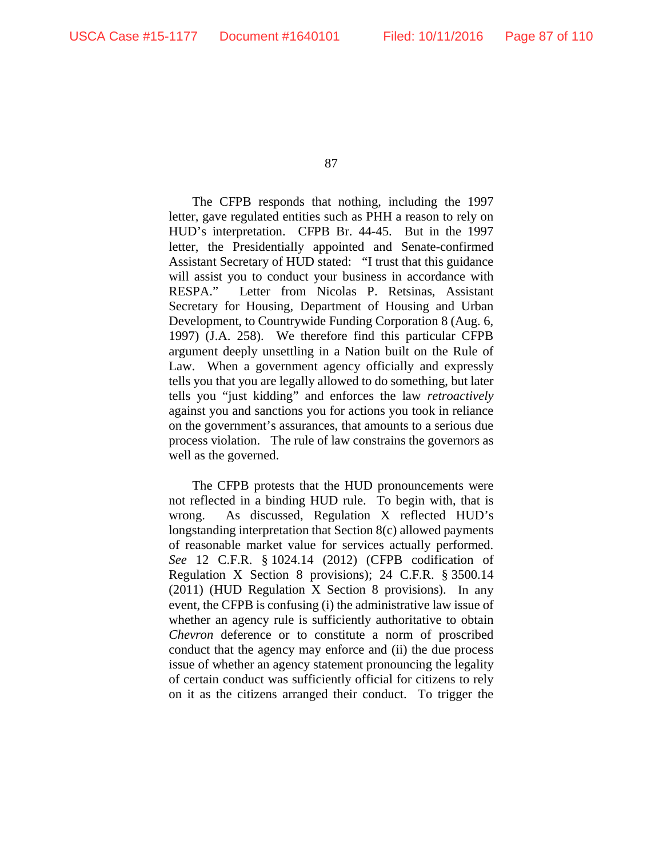The CFPB responds that nothing, including the 1997 letter, gave regulated entities such as PHH a reason to rely on HUD's interpretation. CFPB Br. 44-45. But in the 1997 letter, the Presidentially appointed and Senate-confirmed Assistant Secretary of HUD stated: "I trust that this guidance will assist you to conduct your business in accordance with RESPA." Letter from Nicolas P. Retsinas, Assistant Secretary for Housing, Department of Housing and Urban Development, to Countrywide Funding Corporation 8 (Aug. 6, 1997) (J.A. 258). We therefore find this particular CFPB argument deeply unsettling in a Nation built on the Rule of Law. When a government agency officially and expressly tells you that you are legally allowed to do something, but later tells you "just kidding" and enforces the law *retroactively*  against you and sanctions you for actions you took in reliance on the government's assurances, that amounts to a serious due process violation. The rule of law constrains the governors as well as the governed.

The CFPB protests that the HUD pronouncements were not reflected in a binding HUD rule. To begin with, that is wrong. As discussed, Regulation X reflected HUD's longstanding interpretation that Section 8(c) allowed payments of reasonable market value for services actually performed. *See* 12 C.F.R. § 1024.14 (2012) (CFPB codification of Regulation X Section 8 provisions); 24 C.F.R. § 3500.14 (2011) (HUD Regulation X Section 8 provisions). In any event, the CFPB is confusing (i) the administrative law issue of whether an agency rule is sufficiently authoritative to obtain *Chevron* deference or to constitute a norm of proscribed conduct that the agency may enforce and (ii) the due process issue of whether an agency statement pronouncing the legality of certain conduct was sufficiently official for citizens to rely on it as the citizens arranged their conduct. To trigger the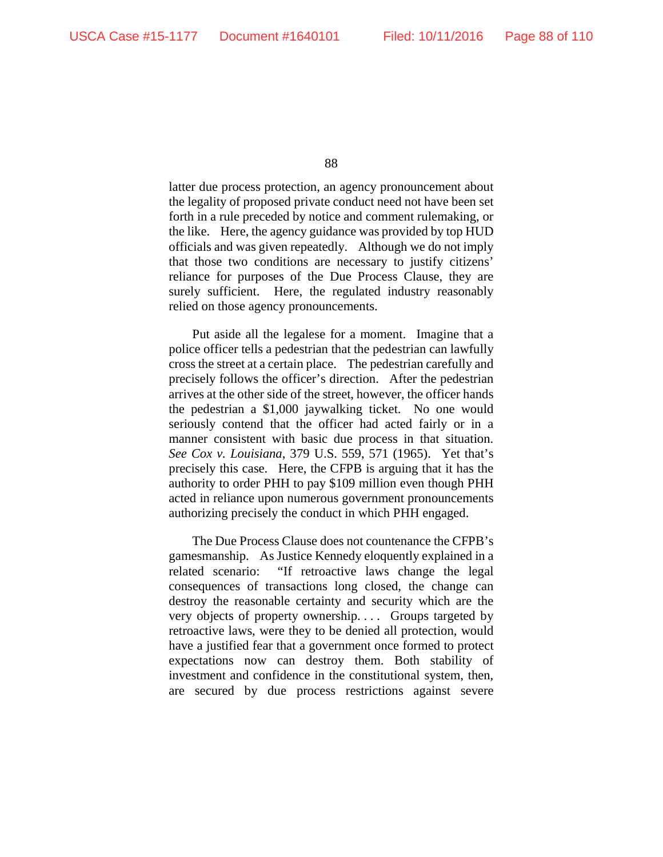latter due process protection, an agency pronouncement about the legality of proposed private conduct need not have been set forth in a rule preceded by notice and comment rulemaking, or the like. Here, the agency guidance was provided by top HUD officials and was given repeatedly. Although we do not imply that those two conditions are necessary to justify citizens' reliance for purposes of the Due Process Clause, they are surely sufficient. Here, the regulated industry reasonably relied on those agency pronouncements.

Put aside all the legalese for a moment. Imagine that a police officer tells a pedestrian that the pedestrian can lawfully cross the street at a certain place. The pedestrian carefully and precisely follows the officer's direction. After the pedestrian arrives at the other side of the street, however, the officer hands the pedestrian a \$1,000 jaywalking ticket. No one would seriously contend that the officer had acted fairly or in a manner consistent with basic due process in that situation. *See Cox v. Louisiana*, 379 U.S. 559, 571 (1965). Yet that's precisely this case. Here, the CFPB is arguing that it has the authority to order PHH to pay \$109 million even though PHH acted in reliance upon numerous government pronouncements authorizing precisely the conduct in which PHH engaged.

The Due Process Clause does not countenance the CFPB's gamesmanship. As Justice Kennedy eloquently explained in a related scenario: "If retroactive laws change the legal consequences of transactions long closed, the change can destroy the reasonable certainty and security which are the very objects of property ownership. . . . Groups targeted by retroactive laws, were they to be denied all protection, would have a justified fear that a government once formed to protect expectations now can destroy them. Both stability of investment and confidence in the constitutional system, then, are secured by due process restrictions against severe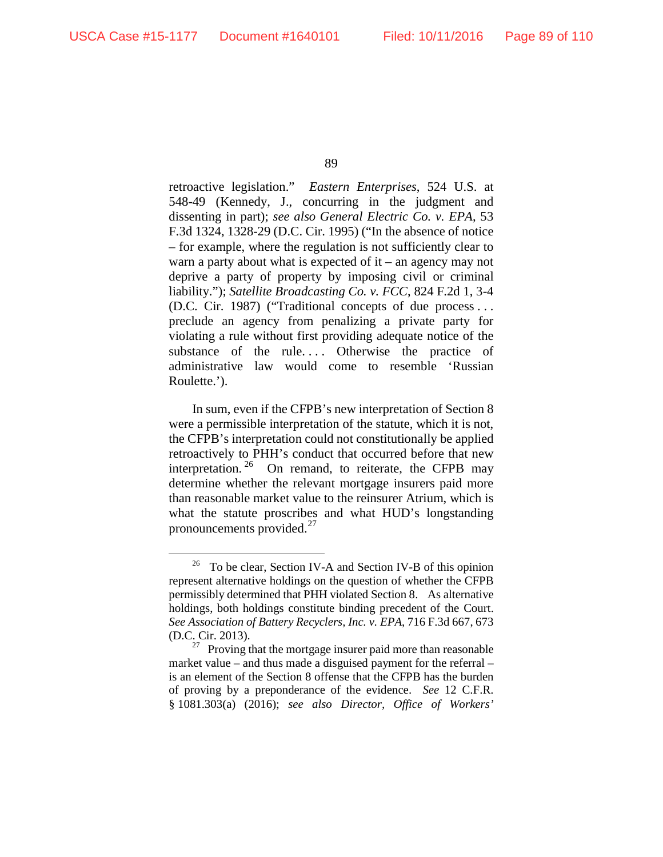retroactive legislation." *Eastern Enterprises*, 524 U.S. at 548-49 (Kennedy, J., concurring in the judgment and dissenting in part); *see also General Electric Co. v. EPA*, 53 F.3d 1324, 1328-29 (D.C. Cir. 1995) ("In the absence of notice – for example, where the regulation is not sufficiently clear to warn a party about what is expected of it – an agency may not deprive a party of property by imposing civil or criminal liability."); *Satellite Broadcasting Co. v. FCC*, 824 F.2d 1, 3-4 (D.C. Cir. 1987) ("Traditional concepts of due process . . . preclude an agency from penalizing a private party for violating a rule without first providing adequate notice of the substance of the rule.... Otherwise the practice of administrative law would come to resemble 'Russian Roulette.').

In sum, even if the CFPB's new interpretation of Section 8 were a permissible interpretation of the statute, which it is not, the CFPB's interpretation could not constitutionally be applied retroactively to PHH's conduct that occurred before that new interpretation.<sup>[26](#page-88-0)</sup> On remand, to reiterate, the CFPB may determine whether the relevant mortgage insurers paid more than reasonable market value to the reinsurer Atrium, which is what the statute proscribes and what HUD's longstanding pronouncements provided.<sup>[27](#page-88-1)</sup>

<span id="page-88-0"></span> $26$  To be clear, Section IV-A and Section IV-B of this opinion represent alternative holdings on the question of whether the CFPB permissibly determined that PHH violated Section 8. As alternative holdings, both holdings constitute binding precedent of the Court. *See Association of Battery Recyclers, Inc. v. EPA*, 716 F.3d 667, 673 (D.C. Cir. 2013).

<span id="page-88-1"></span> $27$  Proving that the mortgage insurer paid more than reasonable market value – and thus made a disguised payment for the referral – is an element of the Section 8 offense that the CFPB has the burden of proving by a preponderance of the evidence. *See* 12 C.F.R. § 1081.303(a) (2016); *see also Director, Office of Workers'*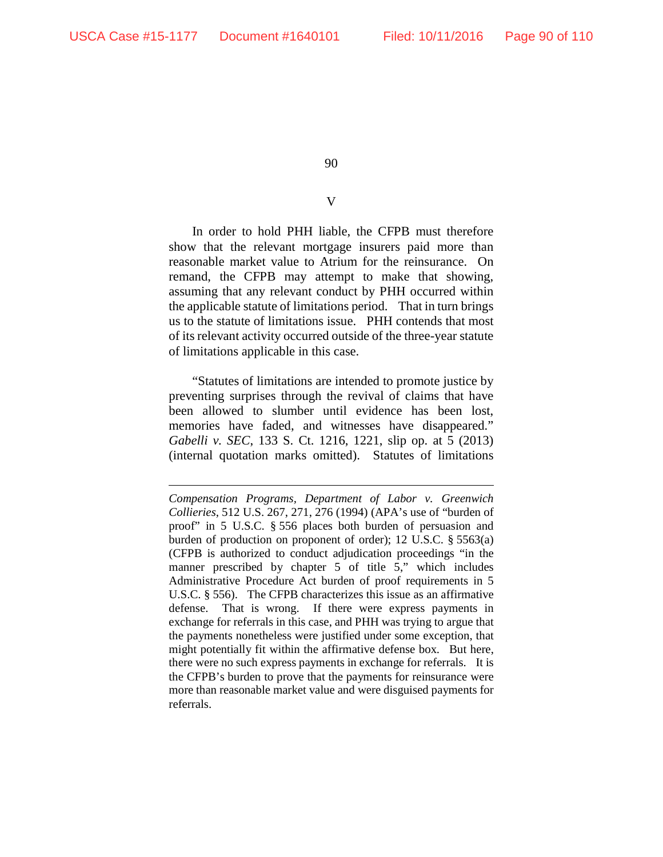$\overline{a}$ 

90

## V

In order to hold PHH liable, the CFPB must therefore show that the relevant mortgage insurers paid more than reasonable market value to Atrium for the reinsurance. On remand, the CFPB may attempt to make that showing, assuming that any relevant conduct by PHH occurred within the applicable statute of limitations period. That in turn brings us to the statute of limitations issue. PHH contends that most of its relevant activity occurred outside of the three-year statute of limitations applicable in this case.

"Statutes of limitations are intended to promote justice by preventing surprises through the revival of claims that have been allowed to slumber until evidence has been lost, memories have faded, and witnesses have disappeared." *Gabelli v. SEC*, 133 S. Ct. 1216, 1221, slip op. at 5 (2013) (internal quotation marks omitted). Statutes of limitations

*Compensation Programs, Department of Labor v. Greenwich Collieries*, 512 U.S. 267, 271, 276 (1994) (APA's use of "burden of proof" in 5 U.S.C. § 556 places both burden of persuasion and burden of production on proponent of order); 12 U.S.C. § 5563(a) (CFPB is authorized to conduct adjudication proceedings "in the manner prescribed by chapter 5 of title 5," which includes Administrative Procedure Act burden of proof requirements in 5 U.S.C. § 556). The CFPB characterizes this issue as an affirmative defense. That is wrong. If there were express payments in exchange for referrals in this case, and PHH was trying to argue that the payments nonetheless were justified under some exception, that might potentially fit within the affirmative defense box. But here, there were no such express payments in exchange for referrals. It is the CFPB's burden to prove that the payments for reinsurance were more than reasonable market value and were disguised payments for referrals.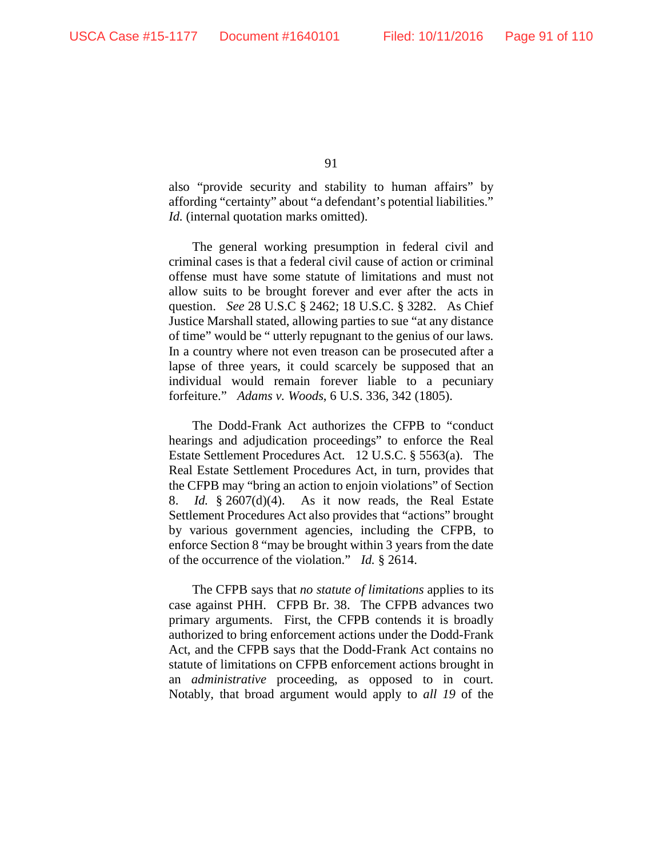also "provide security and stability to human affairs" by affording "certainty" about "a defendant's potential liabilities." *Id.* (internal quotation marks omitted).

The general working presumption in federal civil and criminal cases is that a federal civil cause of action or criminal offense must have some statute of limitations and must not allow suits to be brought forever and ever after the acts in question. *See* 28 U.S.C § 2462; 18 U.S.C. § 3282. As Chief Justice Marshall stated, allowing parties to sue "at any distance of time" would be " utterly repugnant to the genius of our laws. In a country where not even treason can be prosecuted after a lapse of three years, it could scarcely be supposed that an individual would remain forever liable to a pecuniary forfeiture." *Adams v. Woods*, 6 U.S. 336, 342 (1805).

The Dodd-Frank Act authorizes the CFPB to "conduct hearings and adjudication proceedings" to enforce the Real Estate Settlement Procedures Act. 12 U.S.C. § 5563(a). The Real Estate Settlement Procedures Act, in turn, provides that the CFPB may "bring an action to enjoin violations" of Section 8. *Id.* § 2607(d)(4). As it now reads, the Real Estate Settlement Procedures Act also provides that "actions" brought by various government agencies, including the CFPB, to enforce Section 8 "may be brought within 3 years from the date of the occurrence of the violation." *Id.* § 2614.

The CFPB says that *no statute of limitations* applies to its case against PHH. CFPB Br. 38. The CFPB advances two primary arguments. First, the CFPB contends it is broadly authorized to bring enforcement actions under the Dodd-Frank Act, and the CFPB says that the Dodd-Frank Act contains no statute of limitations on CFPB enforcement actions brought in an *administrative* proceeding, as opposed to in court. Notably, that broad argument would apply to *all 19* of the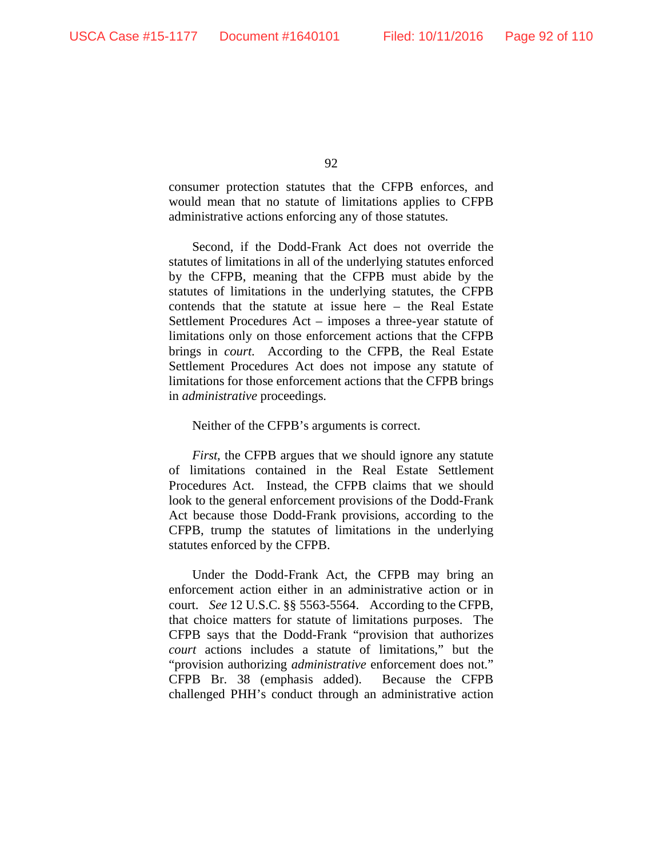consumer protection statutes that the CFPB enforces, and would mean that no statute of limitations applies to CFPB administrative actions enforcing any of those statutes.

Second, if the Dodd-Frank Act does not override the statutes of limitations in all of the underlying statutes enforced by the CFPB, meaning that the CFPB must abide by the statutes of limitations in the underlying statutes, the CFPB contends that the statute at issue here – the Real Estate Settlement Procedures Act – imposes a three-year statute of limitations only on those enforcement actions that the CFPB brings in *court*. According to the CFPB, the Real Estate Settlement Procedures Act does not impose any statute of limitations for those enforcement actions that the CFPB brings in *administrative* proceedings.

## Neither of the CFPB's arguments is correct.

*First*, the CFPB argues that we should ignore any statute of limitations contained in the Real Estate Settlement Procedures Act. Instead, the CFPB claims that we should look to the general enforcement provisions of the Dodd-Frank Act because those Dodd-Frank provisions, according to the CFPB, trump the statutes of limitations in the underlying statutes enforced by the CFPB.

Under the Dodd-Frank Act, the CFPB may bring an enforcement action either in an administrative action or in court. *See* 12 U.S.C. §§ 5563-5564. According to the CFPB, that choice matters for statute of limitations purposes. The CFPB says that the Dodd-Frank "provision that authorizes *court* actions includes a statute of limitations," but the "provision authorizing *administrative* enforcement does not." CFPB Br. 38 (emphasis added). Because the CFPB challenged PHH's conduct through an administrative action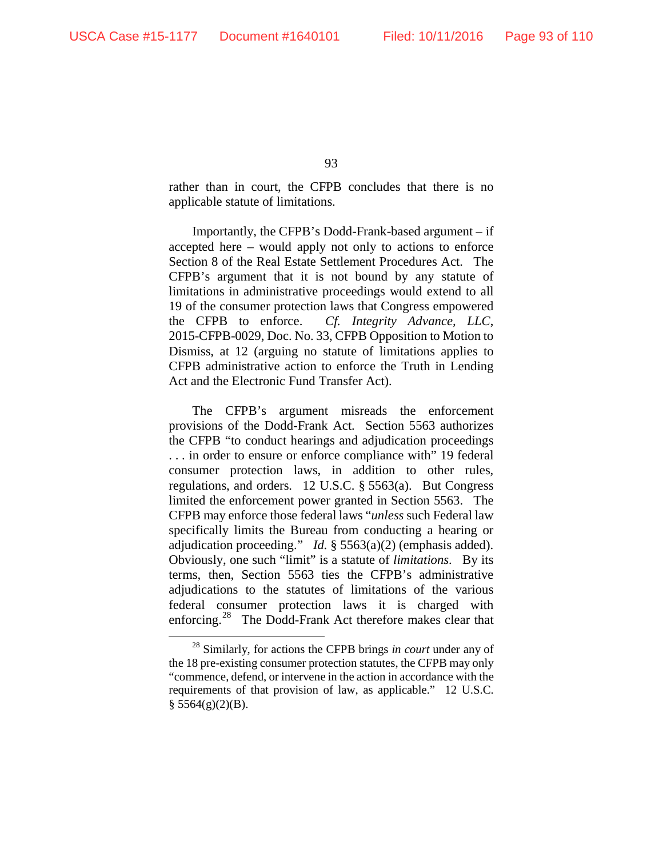rather than in court, the CFPB concludes that there is no applicable statute of limitations.

Importantly, the CFPB's Dodd-Frank-based argument – if accepted here – would apply not only to actions to enforce Section 8 of the Real Estate Settlement Procedures Act. The CFPB's argument that it is not bound by any statute of limitations in administrative proceedings would extend to all 19 of the consumer protection laws that Congress empowered the CFPB to enforce. *Cf. Integrity Advance, LLC*, 2015-CFPB-0029, Doc. No. 33, CFPB Opposition to Motion to Dismiss, at 12 (arguing no statute of limitations applies to CFPB administrative action to enforce the Truth in Lending Act and the Electronic Fund Transfer Act).

The CFPB's argument misreads the enforcement provisions of the Dodd-Frank Act. Section 5563 authorizes the CFPB "to conduct hearings and adjudication proceedings . . . in order to ensure or enforce compliance with" 19 federal consumer protection laws, in addition to other rules, regulations, and orders. 12 U.S.C. § 5563(a). But Congress limited the enforcement power granted in Section 5563. The CFPB may enforce those federal laws "*unless* such Federal law specifically limits the Bureau from conducting a hearing or adjudication proceeding." *Id.* § 5563(a)(2) (emphasis added). Obviously, one such "limit" is a statute of *limitations*. By its terms, then, Section 5563 ties the CFPB's administrative adjudications to the statutes of limitations of the various federal consumer protection laws it is charged with enforcing.<sup>28</sup> The Dodd-Frank Act therefore makes clear that

<span id="page-92-0"></span> <sup>28</sup> Similarly, for actions the CFPB brings *in court* under any of the 18 pre-existing consumer protection statutes, the CFPB may only "commence, defend, or intervene in the action in accordance with the requirements of that provision of law, as applicable." 12 U.S.C.  $§$  5564(g)(2)(B).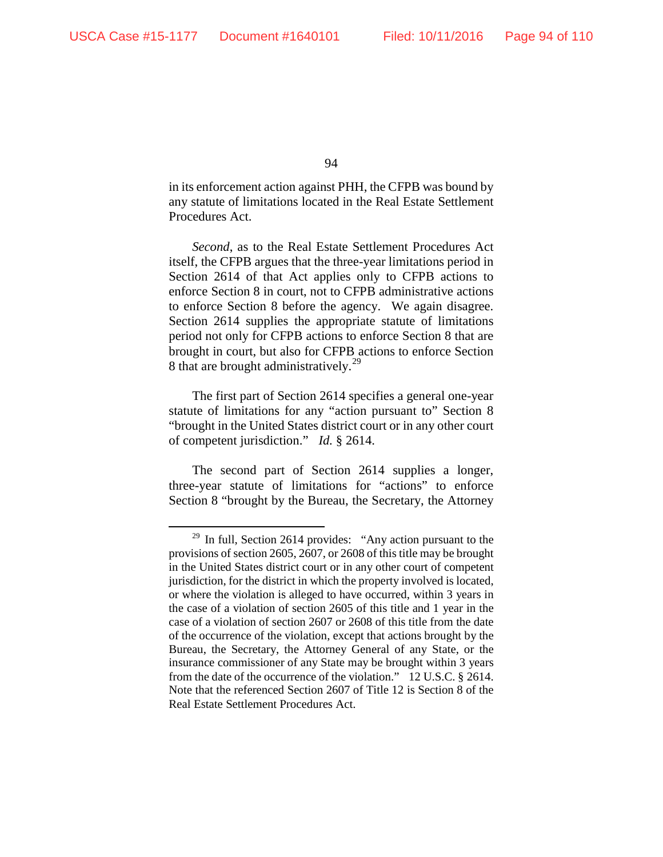in its enforcement action against PHH, the CFPB was bound by any statute of limitations located in the Real Estate Settlement Procedures Act.

*Second*, as to the Real Estate Settlement Procedures Act itself, the CFPB argues that the three-year limitations period in Section 2614 of that Act applies only to CFPB actions to enforce Section 8 in court, not to CFPB administrative actions to enforce Section 8 before the agency. We again disagree. Section 2614 supplies the appropriate statute of limitations period not only for CFPB actions to enforce Section 8 that are brought in court, but also for CFPB actions to enforce Section 8 that are brought administratively.<sup>[29](#page-93-0)</sup>

The first part of Section 2614 specifies a general one-year statute of limitations for any "action pursuant to" Section 8 "brought in the United States district court or in any other court of competent jurisdiction." *Id.* § 2614.

The second part of Section 2614 supplies a longer, three-year statute of limitations for "actions" to enforce Section 8 "brought by the Bureau, the Secretary, the Attorney

<span id="page-93-0"></span> $29$  In full, Section 2614 provides: "Any action pursuant to the provisions of section 2605, 2607, or 2608 of this title may be brought in the United States district court or in any other court of competent jurisdiction, for the district in which the property involved is located, or where the violation is alleged to have occurred, within 3 years in the case of a violation of section 2605 of this title and 1 year in the case of a violation of section 2607 or 2608 of this title from the date of the occurrence of the violation, except that actions brought by the Bureau, the Secretary, the Attorney General of any State, or the insurance commissioner of any State may be brought within 3 years from the date of the occurrence of the violation." 12 U.S.C. § 2614. Note that the referenced Section 2607 of Title 12 is Section 8 of the Real Estate Settlement Procedures Act.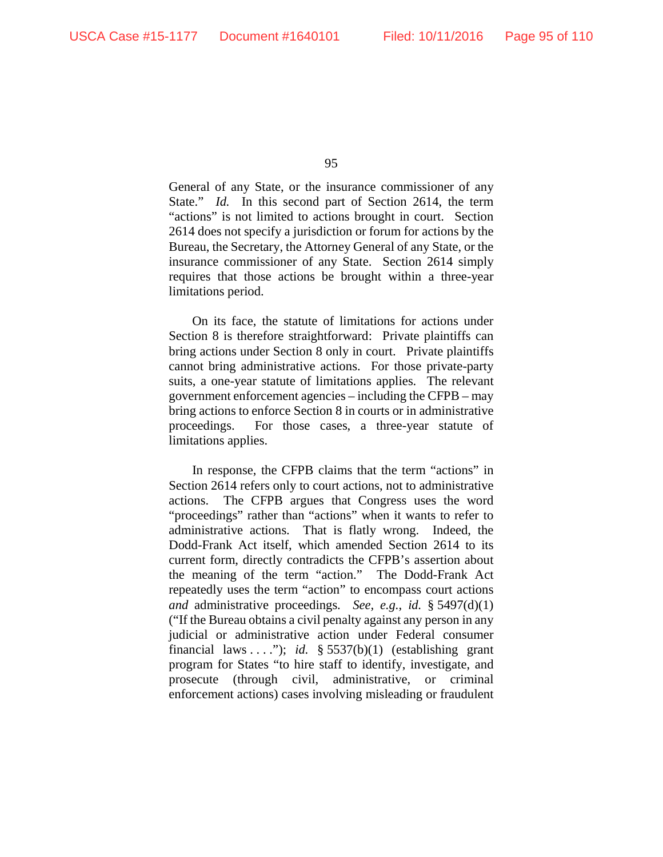General of any State, or the insurance commissioner of any State." *Id.* In this second part of Section 2614, the term "actions" is not limited to actions brought in court. Section 2614 does not specify a jurisdiction or forum for actions by the Bureau, the Secretary, the Attorney General of any State, or the insurance commissioner of any State. Section 2614 simply requires that those actions be brought within a three-year limitations period.

On its face, the statute of limitations for actions under Section 8 is therefore straightforward: Private plaintiffs can bring actions under Section 8 only in court. Private plaintiffs cannot bring administrative actions. For those private-party suits, a one-year statute of limitations applies. The relevant government enforcement agencies – including the CFPB – may bring actions to enforce Section 8 in courts or in administrative proceedings. For those cases, a three-year statute of limitations applies.

In response, the CFPB claims that the term "actions" in Section 2614 refers only to court actions, not to administrative actions. The CFPB argues that Congress uses the word "proceedings" rather than "actions" when it wants to refer to administrative actions. That is flatly wrong. Indeed, the Dodd-Frank Act itself, which amended Section 2614 to its current form, directly contradicts the CFPB's assertion about the meaning of the term "action." The Dodd-Frank Act repeatedly uses the term "action" to encompass court actions *and* administrative proceedings. *See, e.g.*, *id.* § 5497(d)(1) ("If the Bureau obtains a civil penalty against any person in any judicial or administrative action under Federal consumer financial laws . . . ."); *id.*  $\frac{1}{2}$  5537(b)(1) (establishing grant program for States "to hire staff to identify, investigate, and prosecute (through civil, administrative, or criminal enforcement actions) cases involving misleading or fraudulent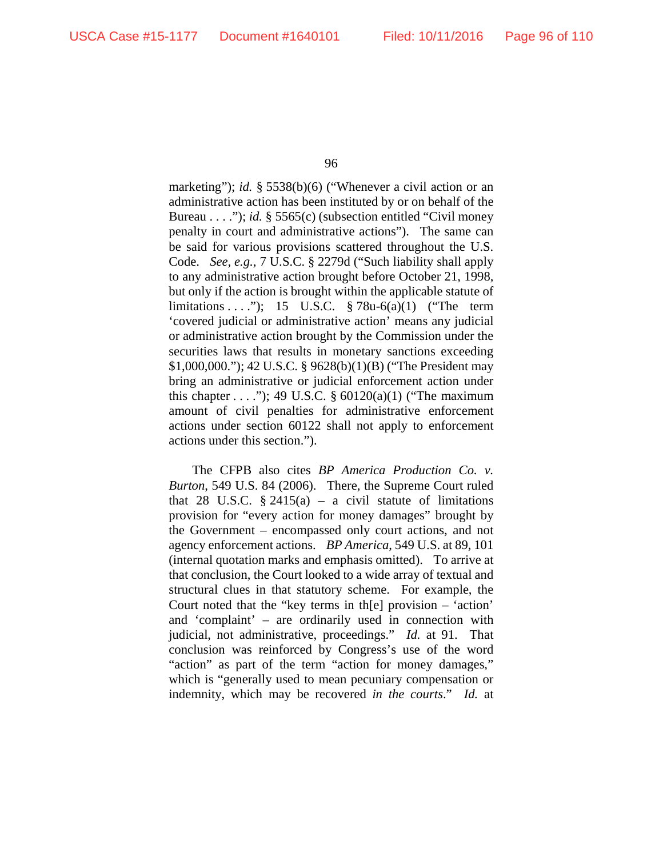marketing"); *id.* § 5538(b)(6) ("Whenever a civil action or an administrative action has been instituted by or on behalf of the Bureau . . . ."); *id.* § 5565(c) (subsection entitled "Civil money") penalty in court and administrative actions"). The same can be said for various provisions scattered throughout the U.S. Code. *See, e.g.*, 7 U.S.C. § 2279d ("Such liability shall apply to any administrative action brought before October 21, 1998, but only if the action is brought within the applicable statute of limitations . . . ."); 15 U.S.C. § 78u-6(a)(1) ("The term 'covered judicial or administrative action' means any judicial or administrative action brought by the Commission under the securities laws that results in monetary sanctions exceeding \$1,000,000."); 42 U.S.C. § 9628(b)(1)(B) ("The President may bring an administrative or judicial enforcement action under this chapter  $\dots$  ."); 49 U.S.C. § 60120(a)(1) ("The maximum amount of civil penalties for administrative enforcement actions under section 60122 shall not apply to enforcement actions under this section.").

The CFPB also cites *BP America Production Co. v. Burton*, 549 U.S. 84 (2006). There, the Supreme Court ruled that 28 U.S.C.  $\S$  2415(a) – a civil statute of limitations provision for "every action for money damages" brought by the Government – encompassed only court actions, and not agency enforcement actions. *BP America*, 549 U.S. at 89, 101 (internal quotation marks and emphasis omitted). To arrive at that conclusion, the Court looked to a wide array of textual and structural clues in that statutory scheme. For example, the Court noted that the "key terms in th[e] provision – 'action' and 'complaint' – are ordinarily used in connection with judicial, not administrative, proceedings." *Id.* at 91. That conclusion was reinforced by Congress's use of the word "action" as part of the term "action for money damages," which is "generally used to mean pecuniary compensation or indemnity, which may be recovered *in the courts*." *Id.* at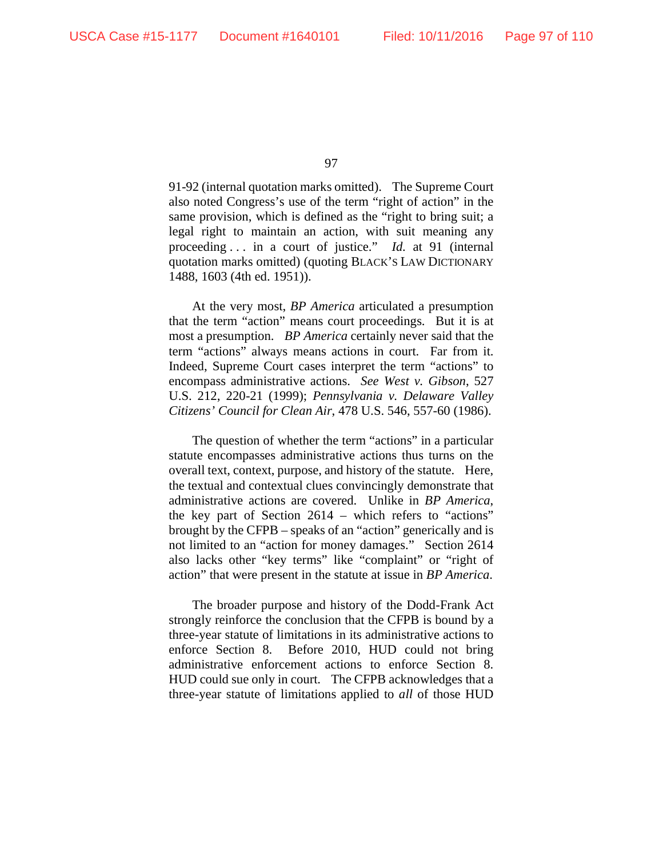91-92 (internal quotation marks omitted). The Supreme Court also noted Congress's use of the term "right of action" in the same provision, which is defined as the "right to bring suit; a legal right to maintain an action, with suit meaning any proceeding . . . in a court of justice." *Id.* at 91 (internal quotation marks omitted) (quoting BLACK'S LAW DICTIONARY 1488, 1603 (4th ed. 1951)).

At the very most, *BP America* articulated a presumption that the term "action" means court proceedings. But it is at most a presumption. *BP America* certainly never said that the term "actions" always means actions in court. Far from it. Indeed, Supreme Court cases interpret the term "actions" to encompass administrative actions. *See West v. Gibson*, 527 U.S. 212, 220-21 (1999); *Pennsylvania v. Delaware Valley Citizens' Council for Clean Air*, 478 U.S. 546, 557-60 (1986).

The question of whether the term "actions" in a particular statute encompasses administrative actions thus turns on the overall text, context, purpose, and history of the statute. Here, the textual and contextual clues convincingly demonstrate that administrative actions are covered. Unlike in *BP America*, the key part of Section 2614 – which refers to "actions" brought by the CFPB – speaks of an "action" generically and is not limited to an "action for money damages." Section 2614 also lacks other "key terms" like "complaint" or "right of action" that were present in the statute at issue in *BP America*.

The broader purpose and history of the Dodd-Frank Act strongly reinforce the conclusion that the CFPB is bound by a three-year statute of limitations in its administrative actions to enforce Section 8. Before 2010, HUD could not bring administrative enforcement actions to enforce Section 8. HUD could sue only in court. The CFPB acknowledges that a three-year statute of limitations applied to *all* of those HUD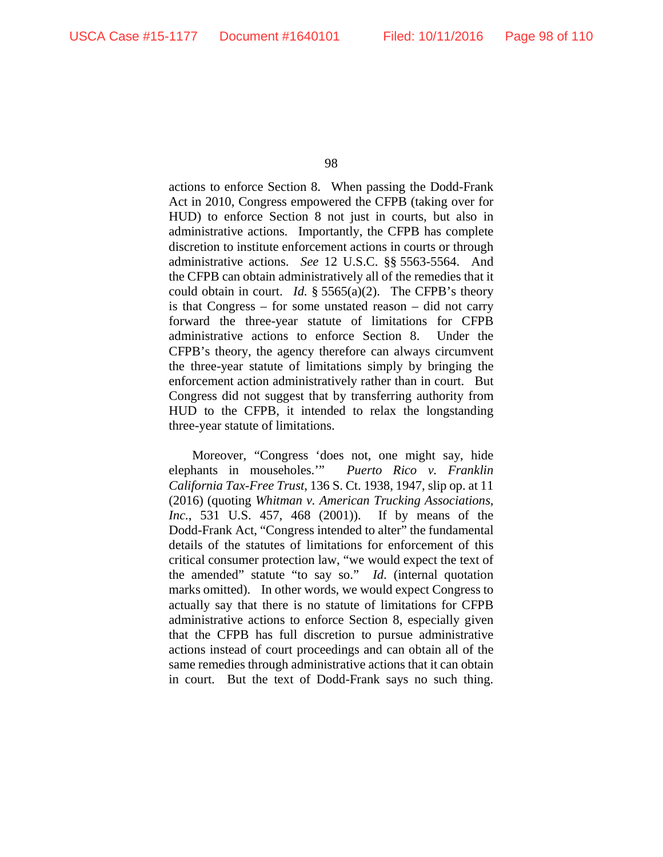actions to enforce Section 8. When passing the Dodd-Frank Act in 2010, Congress empowered the CFPB (taking over for HUD) to enforce Section 8 not just in courts, but also in administrative actions. Importantly, the CFPB has complete discretion to institute enforcement actions in courts or through administrative actions. *See* 12 U.S.C. §§ 5563-5564. And the CFPB can obtain administratively all of the remedies that it could obtain in court. *Id.* § 5565(a)(2). The CFPB's theory is that Congress – for some unstated reason – did not carry forward the three-year statute of limitations for CFPB administrative actions to enforce Section 8. Under the CFPB's theory, the agency therefore can always circumvent the three-year statute of limitations simply by bringing the enforcement action administratively rather than in court. But Congress did not suggest that by transferring authority from HUD to the CFPB, it intended to relax the longstanding three-year statute of limitations.

Moreover, "Congress 'does not, one might say, hide elephants in mouseholes.'" *Puerto Rico v. Franklin California Tax-Free Trust*, 136 S. Ct. 1938, 1947, slip op. at 11 (2016) (quoting *Whitman v. American Trucking Associations, Inc.*, 531 U.S. 457, 468 (2001)). If by means of the Dodd-Frank Act, "Congress intended to alter" the fundamental details of the statutes of limitations for enforcement of this critical consumer protection law, "we would expect the text of the amended" statute "to say so." *Id*. (internal quotation marks omitted). In other words, we would expect Congress to actually say that there is no statute of limitations for CFPB administrative actions to enforce Section 8, especially given that the CFPB has full discretion to pursue administrative actions instead of court proceedings and can obtain all of the same remedies through administrative actions that it can obtain in court. But the text of Dodd-Frank says no such thing.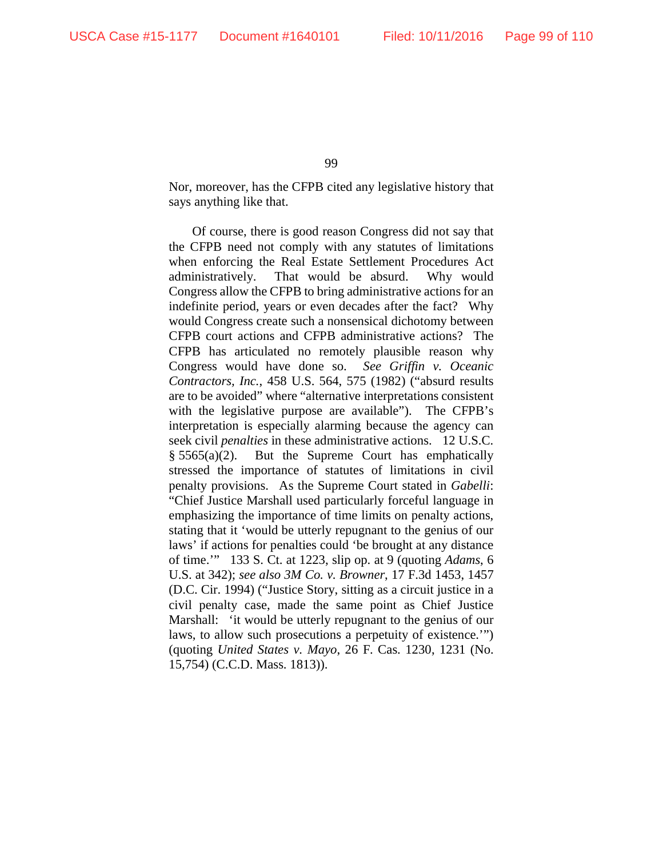Nor, moreover, has the CFPB cited any legislative history that says anything like that.

Of course, there is good reason Congress did not say that the CFPB need not comply with any statutes of limitations when enforcing the Real Estate Settlement Procedures Act administratively. That would be absurd. Why would Congress allow the CFPB to bring administrative actions for an indefinite period, years or even decades after the fact? Why would Congress create such a nonsensical dichotomy between CFPB court actions and CFPB administrative actions? The CFPB has articulated no remotely plausible reason why Congress would have done so. *See Griffin v. Oceanic Contractors, Inc.*, 458 U.S. 564, 575 (1982) ("absurd results are to be avoided" where "alternative interpretations consistent with the legislative purpose are available"). The CFPB's interpretation is especially alarming because the agency can seek civil *penalties* in these administrative actions. 12 U.S.C.  $§ 5565(a)(2)$ . But the Supreme Court has emphatically stressed the importance of statutes of limitations in civil penalty provisions. As the Supreme Court stated in *Gabelli*: "Chief Justice Marshall used particularly forceful language in emphasizing the importance of time limits on penalty actions, stating that it 'would be utterly repugnant to the genius of our laws' if actions for penalties could 'be brought at any distance of time.'" 133 S. Ct. at 1223, slip op. at 9 (quoting *Adams*, 6 U.S. at 342); *see also 3M Co. v. Browner*, 17 F.3d 1453, 1457 (D.C. Cir. 1994) ("Justice Story, sitting as a circuit justice in a civil penalty case, made the same point as Chief Justice Marshall: 'it would be utterly repugnant to the genius of our laws, to allow such prosecutions a perpetuity of existence.'") (quoting *United States v. Mayo*, 26 F. Cas. 1230, 1231 (No. 15,754) (C.C.D. Mass. 1813)).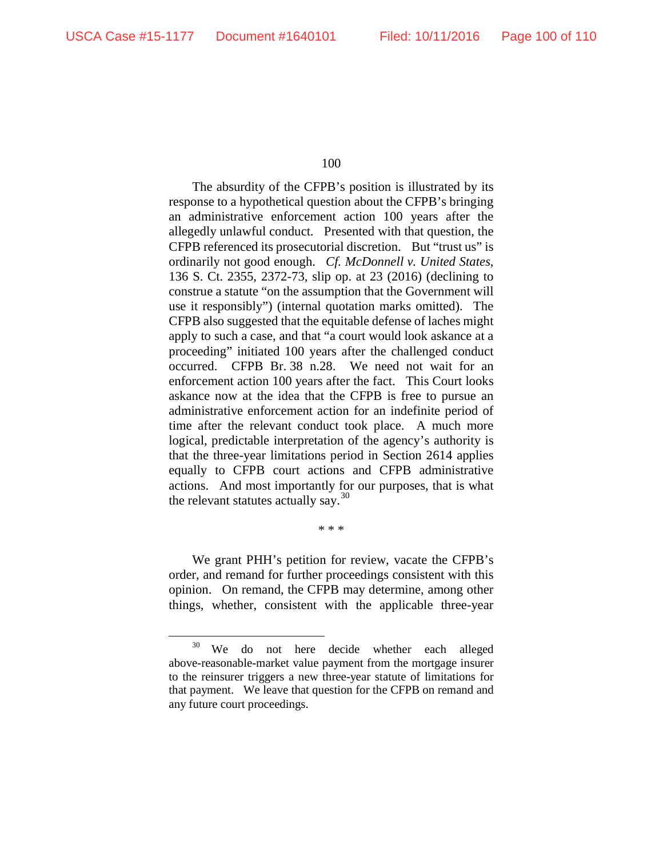The absurdity of the CFPB's position is illustrated by its response to a hypothetical question about the CFPB's bringing an administrative enforcement action 100 years after the allegedly unlawful conduct. Presented with that question, the CFPB referenced its prosecutorial discretion. But "trust us" is ordinarily not good enough. *Cf. McDonnell v. United States*, 136 S. Ct. 2355, 2372-73, slip op. at 23 (2016) (declining to construe a statute "on the assumption that the Government will use it responsibly") (internal quotation marks omitted). The CFPB also suggested that the equitable defense of laches might apply to such a case, and that "a court would look askance at a proceeding" initiated 100 years after the challenged conduct occurred. CFPB Br. 38 n.28. We need not wait for an enforcement action 100 years after the fact. This Court looks askance now at the idea that the CFPB is free to pursue an administrative enforcement action for an indefinite period of time after the relevant conduct took place. A much more logical, predictable interpretation of the agency's authority is that the three-year limitations period in Section 2614 applies equally to CFPB court actions and CFPB administrative actions. And most importantly for our purposes, that is what the relevant statutes actually say. $30$ 

\* \* \*

We grant PHH's petition for review, vacate the CFPB's order, and remand for further proceedings consistent with this opinion. On remand, the CFPB may determine, among other things, whether, consistent with the applicable three-year

<span id="page-99-0"></span><sup>&</sup>lt;sup>30</sup> We do not here decide whether each alleged above-reasonable-market value payment from the mortgage insurer to the reinsurer triggers a new three-year statute of limitations for that payment. We leave that question for the CFPB on remand and any future court proceedings.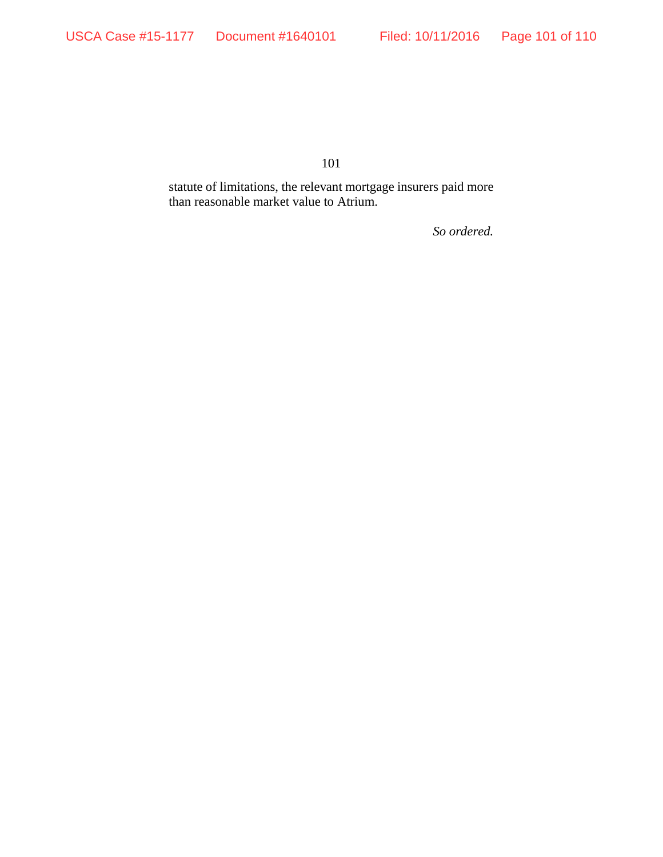statute of limitations, the relevant mortgage insurers paid more than reasonable market value to Atrium.

*So ordered.*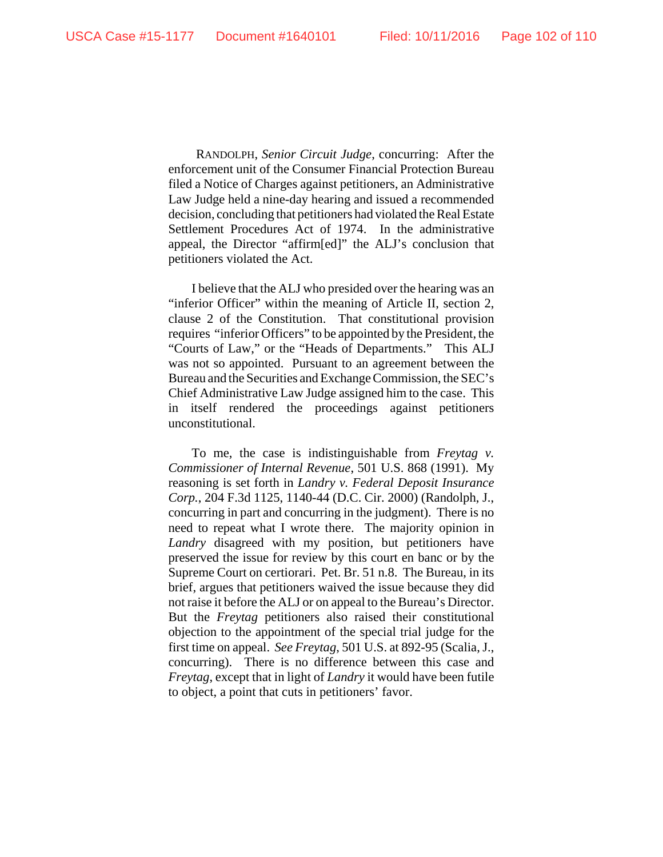RANDOLPH, *Senior Circuit Judge*, concurring: After the enforcement unit of the Consumer Financial Protection Bureau filed a Notice of Charges against petitioners, an Administrative Law Judge held a nine-day hearing and issued a recommended decision, concluding that petitioners had violated the Real Estate Settlement Procedures Act of 1974. In the administrative appeal, the Director "affirm[ed]" the ALJ's conclusion that petitioners violated the Act.

I believe that the ALJ who presided over the hearing was an "inferior Officer" within the meaning of Article II, section 2, clause 2 of the Constitution. That constitutional provision requires "inferior Officers" to be appointed by the President, the "Courts of Law," or the "Heads of Departments." This ALJ was not so appointed. Pursuant to an agreement between the Bureau and the Securities and Exchange Commission, the SEC's Chief Administrative Law Judge assigned him to the case.This in itself rendered the proceedings against petitioners unconstitutional.

To me, the case is indistinguishable from *Freytag v. Commissioner of Internal Revenue*, 501 U.S. 868 (1991). My reasoning is set forth in *Landry v. Federal Deposit Insurance Corp.*, 204 F.3d 1125, 1140-44 (D.C. Cir. 2000) (Randolph, J., concurring in part and concurring in the judgment). There is no need to repeat what I wrote there. The majority opinion in *Landry* disagreed with my position, but petitioners have preserved the issue for review by this court en banc or by the Supreme Court on certiorari. Pet. Br. 51 n.8. The Bureau, in its brief, argues that petitioners waived the issue because they did not raise it before the ALJ or on appeal to the Bureau's Director. But the *Freytag* petitioners also raised their constitutional objection to the appointment of the special trial judge for the first time on appeal. *See Freytag*, 501 U.S. at 892-95 (Scalia, J., concurring). There is no difference between this case and *Freytag*, except that in light of *Landry* it would have been futile to object, a point that cuts in petitioners' favor.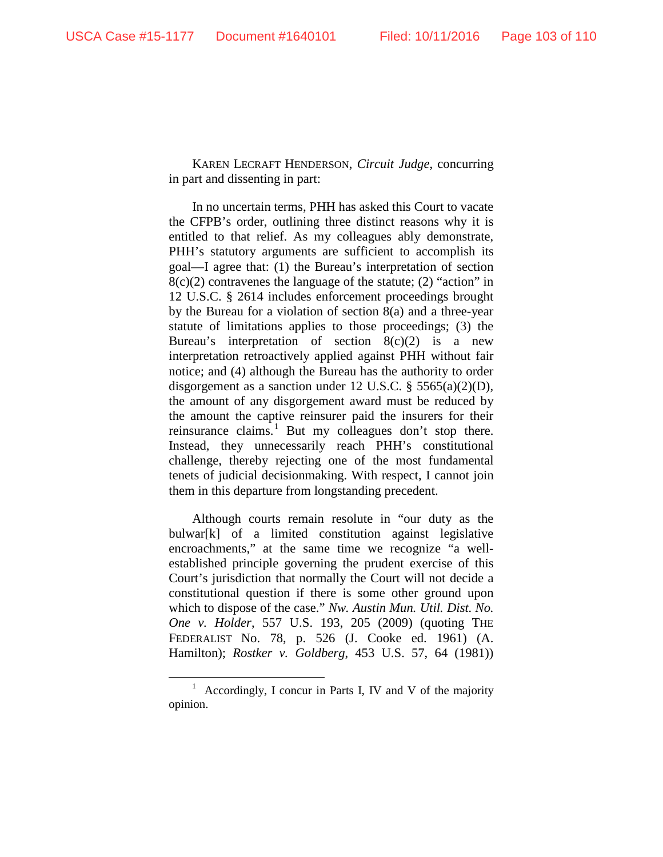KAREN LECRAFT HENDERSON, *Circuit Judge*, concurring in part and dissenting in part:

In no uncertain terms, PHH has asked this Court to vacate the CFPB's order, outlining three distinct reasons why it is entitled to that relief. As my colleagues ably demonstrate, PHH's statutory arguments are sufficient to accomplish its goal—I agree that: (1) the Bureau's interpretation of section  $8(c)(2)$  contravenes the language of the statute; (2) "action" in 12 U.S.C. § 2614 includes enforcement proceedings brought by the Bureau for a violation of section 8(a) and a three-year statute of limitations applies to those proceedings; (3) the Bureau's interpretation of section  $8(c)(2)$  is a new interpretation retroactively applied against PHH without fair notice; and (4) although the Bureau has the authority to order disgorgement as a sanction under 12 U.S.C. § 5565(a)(2)(D), the amount of any disgorgement award must be reduced by the amount the captive reinsurer paid the insurers for their reinsurance claims.<sup>[1](#page-102-0)</sup> But my colleagues don't stop there. Instead, they unnecessarily reach PHH's constitutional challenge, thereby rejecting one of the most fundamental tenets of judicial decisionmaking. With respect, I cannot join them in this departure from longstanding precedent.

Although courts remain resolute in "our duty as the bulwar[k] of a limited constitution against legislative encroachments," at the same time we recognize "a wellestablished principle governing the prudent exercise of this Court's jurisdiction that normally the Court will not decide a constitutional question if there is some other ground upon which to dispose of the case." *Nw. Austin Mun. Util. Dist. No. One v. Holder*, 557 U.S. 193, 205 (2009) (quoting THE FEDERALIST No. 78, p. 526 (J. Cooke ed. 1961) (A. Hamilton); *Rostker v. Goldberg*, 453 U.S. 57, 64 (1981))

<span id="page-102-0"></span> $1$  Accordingly, I concur in Parts I, IV and V of the majority opinion.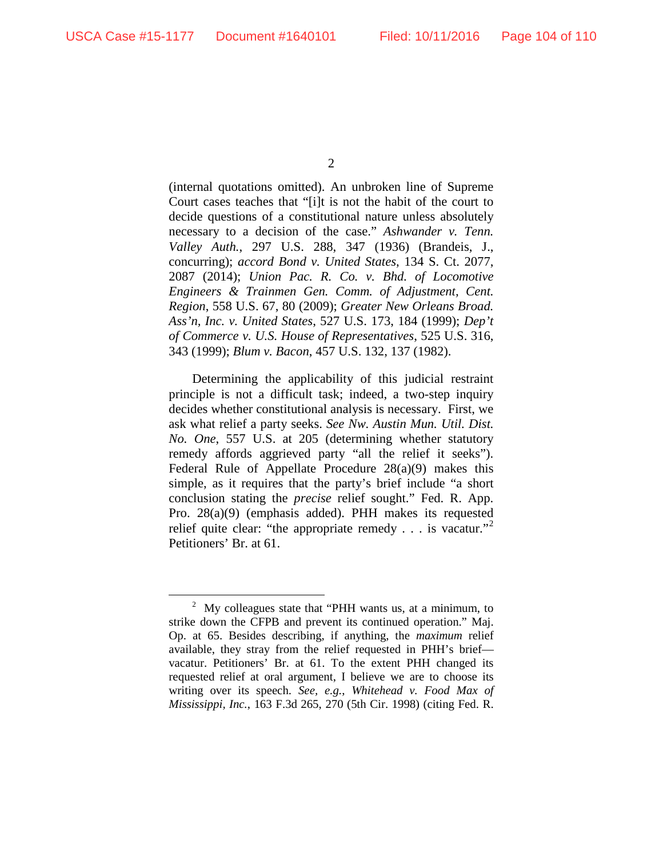(internal quotations omitted). An unbroken line of Supreme Court cases teaches that "[i]t is not the habit of the court to decide questions of a constitutional nature unless absolutely necessary to a decision of the case." *Ashwander v. Tenn. Valley Auth.*, 297 U.S. 288, 347 (1936) (Brandeis, J., concurring); *accord Bond v. United States*, 134 S. Ct. 2077, 2087 (2014); *Union Pac. R. Co. v. Bhd. of Locomotive Engineers & Trainmen Gen. Comm. of Adjustment, Cent. Region*, 558 U.S. 67, 80 (2009); *Greater New Orleans Broad. Ass'n, Inc. v. United States*, 527 U.S. 173, 184 (1999); *Dep't of Commerce v. U.S. House of Representatives*, 525 U.S. 316, 343 (1999); *Blum v. Bacon*, 457 U.S. 132, 137 (1982).

Determining the applicability of this judicial restraint principle is not a difficult task; indeed, a two-step inquiry decides whether constitutional analysis is necessary. First, we ask what relief a party seeks. *See Nw. Austin Mun. Util. Dist. No. One*, 557 U.S. at 205 (determining whether statutory remedy affords aggrieved party "all the relief it seeks"). Federal Rule of Appellate Procedure 28(a)(9) makes this simple, as it requires that the party's brief include "a short conclusion stating the *precise* relief sought." Fed. R. App. Pro. 28(a)(9) (emphasis added). PHH makes its requested relief quite clear: "the appropriate remedy . . . is vacatur."<sup>[2](#page-103-0)</sup> Petitioners' Br. at 61.

<span id="page-103-0"></span> $2^{\circ}$  My colleagues state that "PHH wants us, at a minimum, to strike down the CFPB and prevent its continued operation." Maj. Op. at 65. Besides describing, if anything, the *maximum* relief available, they stray from the relief requested in PHH's brief vacatur. Petitioners' Br. at 61. To the extent PHH changed its requested relief at oral argument, I believe we are to choose its writing over its speech. *See, e.g.*, *Whitehead v. Food Max of Mississippi, Inc.*, 163 F.3d 265, 270 (5th Cir. 1998) (citing Fed. R.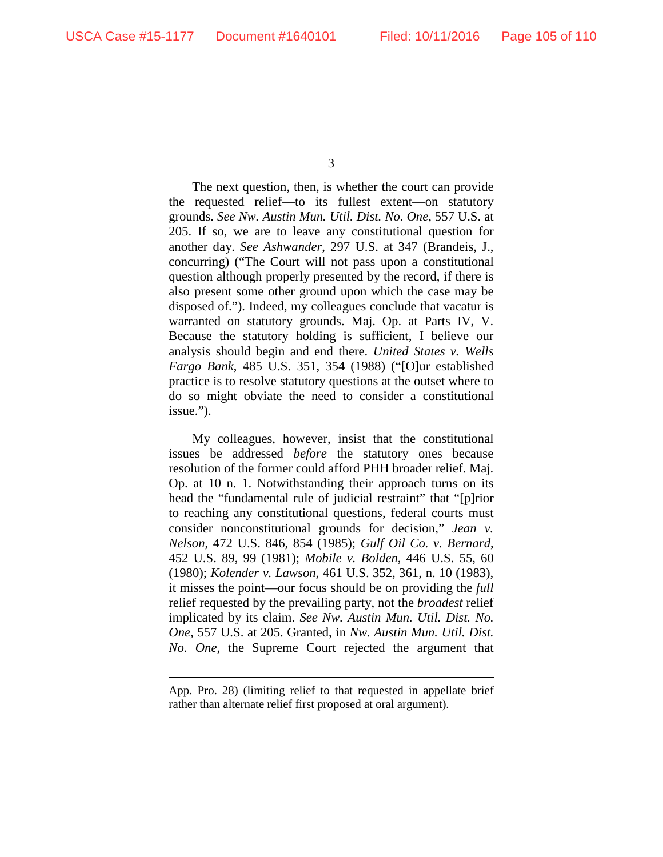The next question, then, is whether the court can provide the requested relief—to its fullest extent—on statutory grounds. *See Nw. Austin Mun. Util. Dist. No. One*, 557 U.S. at 205. If so, we are to leave any constitutional question for another day. *See Ashwander*, 297 U.S. at 347 (Brandeis, J., concurring) ("The Court will not pass upon a constitutional question although properly presented by the record, if there is also present some other ground upon which the case may be disposed of."). Indeed, my colleagues conclude that vacatur is warranted on statutory grounds. Maj. Op. at Parts IV, V. Because the statutory holding is sufficient, I believe our analysis should begin and end there. *United States v. Wells Fargo Bank*, 485 U.S. 351, 354 (1988) ("[O]ur established practice is to resolve statutory questions at the outset where to do so might obviate the need to consider a constitutional issue.").

My colleagues, however, insist that the constitutional issues be addressed *before* the statutory ones because resolution of the former could afford PHH broader relief. Maj. Op. at 10 n. 1. Notwithstanding their approach turns on its head the "fundamental rule of judicial restraint" that "[p]rior to reaching any constitutional questions, federal courts must consider nonconstitutional grounds for decision," *Jean v. Nelson*, 472 U.S. 846, 854 (1985); *Gulf Oil Co. v. Bernard*, 452 U.S. 89, 99 (1981); *Mobile v. Bolden*, 446 U.S. 55, 60 (1980); *Kolender v. Lawson*, 461 U.S. 352, 361, n. 10 (1983), it misses the point—our focus should be on providing the *full*  relief requested by the prevailing party, not the *broadest* relief implicated by its claim. *See Nw. Austin Mun. Util. Dist. No. One*, 557 U.S. at 205. Granted, in *Nw. Austin Mun. Util. Dist. No. One*, the Supreme Court rejected the argument that

 $\overline{a}$ 

App. Pro. 28) (limiting relief to that requested in appellate brief rather than alternate relief first proposed at oral argument).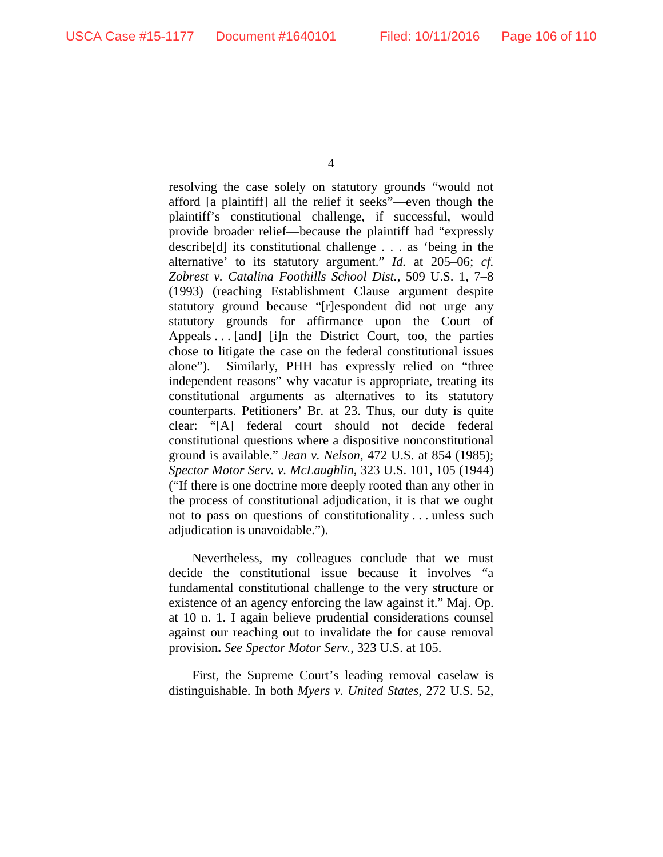resolving the case solely on statutory grounds "would not afford [a plaintiff] all the relief it seeks"—even though the plaintiff's constitutional challenge, if successful, would provide broader relief—because the plaintiff had "expressly describe[d] its constitutional challenge . . . as 'being in the alternative' to its statutory argument." *Id.* at 205–06; *cf. Zobrest v. Catalina Foothills School Dist.*, 509 U.S. 1, 7–8 (1993) (reaching Establishment Clause argument despite statutory ground because "[r]espondent did not urge any statutory grounds for affirmance upon the Court of Appeals . . . [and] [i]n the District Court, too, the parties chose to litigate the case on the federal constitutional issues alone"). Similarly, PHH has expressly relied on "three independent reasons" why vacatur is appropriate, treating its constitutional arguments as alternatives to its statutory counterparts. Petitioners' Br. at 23. Thus, our duty is quite clear: "[A] federal court should not decide federal constitutional questions where a dispositive nonconstitutional ground is available." *Jean v. Nelson*, 472 U.S. at 854 (1985); *Spector Motor Serv. v. McLaughlin*, 323 U.S. 101, 105 (1944) ("If there is one doctrine more deeply rooted than any other in the process of constitutional adjudication, it is that we ought not to pass on questions of constitutionality . . . unless such adjudication is unavoidable.").

Nevertheless, my colleagues conclude that we must decide the constitutional issue because it involves "a fundamental constitutional challenge to the very structure or existence of an agency enforcing the law against it." Maj. Op. at 10 n. 1. I again believe prudential considerations counsel against our reaching out to invalidate the for cause removal provision**.** *See Spector Motor Serv.*, 323 U.S. at 105.

First, the Supreme Court's leading removal caselaw is distinguishable. In both *Myers v. United States*, 272 U.S. 52,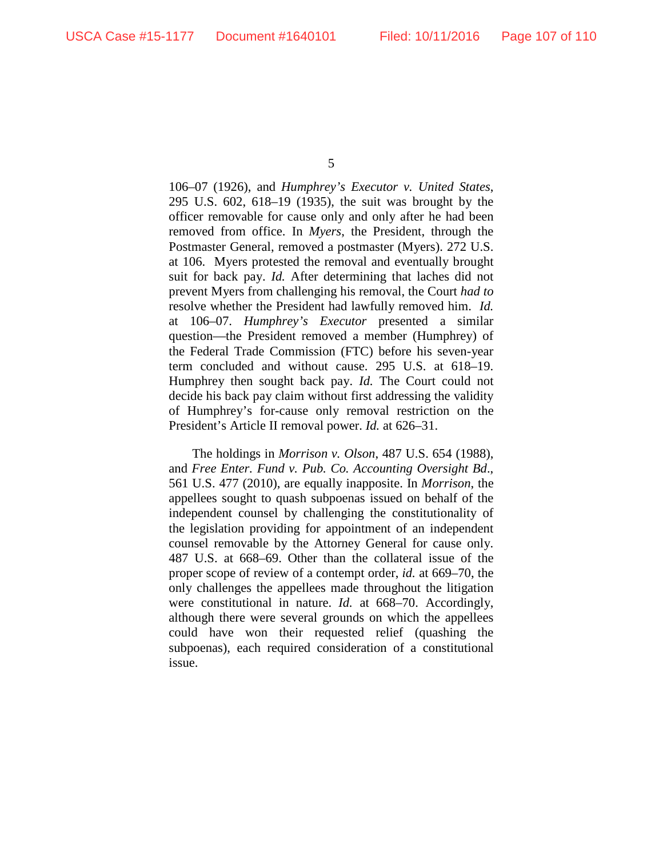106–07 (1926), and *Humphrey's Executor v. United States*, 295 U.S. 602, 618–19 (1935), the suit was brought by the officer removable for cause only and only after he had been removed from office. In *Myers*, the President, through the Postmaster General, removed a postmaster (Myers). 272 U.S. at 106. Myers protested the removal and eventually brought suit for back pay. *Id.* After determining that laches did not prevent Myers from challenging his removal, the Court *had to* resolve whether the President had lawfully removed him. *Id.*  at 106–07. *Humphrey's Executor* presented a similar question—the President removed a member (Humphrey) of the Federal Trade Commission (FTC) before his seven-year term concluded and without cause. 295 U.S. at 618–19. Humphrey then sought back pay. *Id.* The Court could not decide his back pay claim without first addressing the validity of Humphrey's for-cause only removal restriction on the President's Article II removal power. *Id.* at 626–31.

The holdings in *Morrison v. Olson*, 487 U.S. 654 (1988), and *Free Enter. Fund v. Pub. Co. Accounting Oversight Bd*., 561 U.S. 477 (2010), are equally inapposite. In *Morrison*, the appellees sought to quash subpoenas issued on behalf of the independent counsel by challenging the constitutionality of the legislation providing for appointment of an independent counsel removable by the Attorney General for cause only. 487 U.S. at 668–69. Other than the collateral issue of the proper scope of review of a contempt order, *id.* at 669–70, the only challenges the appellees made throughout the litigation were constitutional in nature. *Id.* at 668–70. Accordingly, although there were several grounds on which the appellees could have won their requested relief (quashing the subpoenas), each required consideration of a constitutional issue.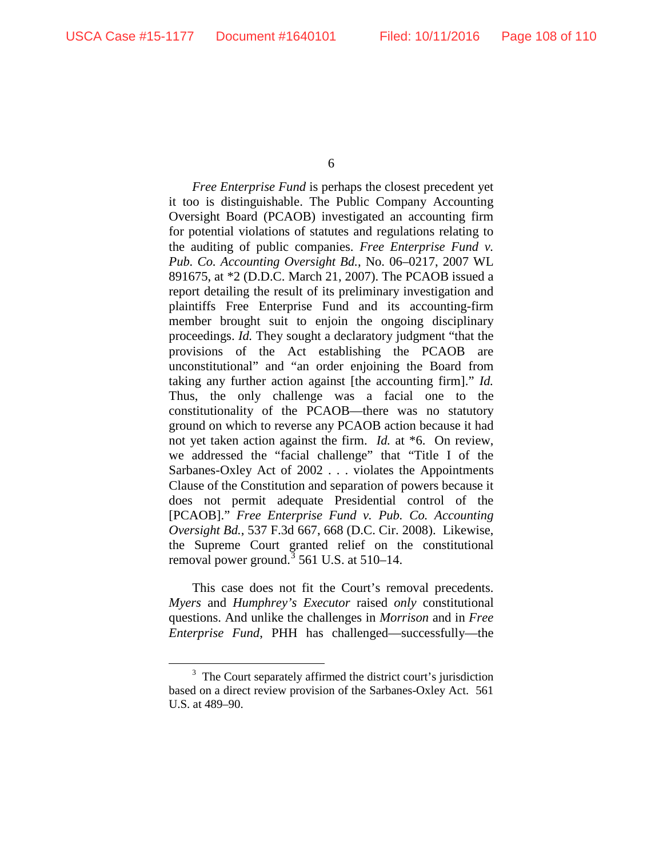*Free Enterprise Fund* is perhaps the closest precedent yet it too is distinguishable. The Public Company Accounting Oversight Board (PCAOB) investigated an accounting firm for potential violations of statutes and regulations relating to the auditing of public companies. *Free Enterprise Fund v. Pub. Co. Accounting Oversight Bd.*, No. 06–0217, 2007 WL 891675, at \*2 (D.D.C. March 21, 2007). The PCAOB issued a report detailing the result of its preliminary investigation and plaintiffs Free Enterprise Fund and its accounting-firm member brought suit to enjoin the ongoing disciplinary proceedings. *Id.* They sought a declaratory judgment "that the provisions of the Act establishing the PCAOB are unconstitutional" and "an order enjoining the Board from taking any further action against [the accounting firm]." *Id.* Thus, the only challenge was a facial one to the constitutionality of the PCAOB—there was no statutory ground on which to reverse any PCAOB action because it had not yet taken action against the firm. *Id.* at \*6. On review, we addressed the "facial challenge" that "Title I of the Sarbanes-Oxley Act of 2002 . . . violates the Appointments Clause of the Constitution and separation of powers because it does not permit adequate Presidential control of the [PCAOB]." *Free Enterprise Fund v. Pub. Co. Accounting Oversight Bd.*, 537 F.3d 667, 668 (D.C. Cir. 2008). Likewise, the Supreme Court granted relief on the constitutional removal power ground.<sup>[3](#page-107-0)</sup> 561 U.S. at 510–14.

This case does not fit the Court's removal precedents. *Myers* and *Humphrey's Executor* raised *only* constitutional questions. And unlike the challenges in *Morrison* and in *Free Enterprise Fund*, PHH has challenged—successfully—the

<span id="page-107-0"></span> $\frac{1}{3}$  $3$  The Court separately affirmed the district court's jurisdiction based on a direct review provision of the Sarbanes-Oxley Act. 561 U.S. at 489–90.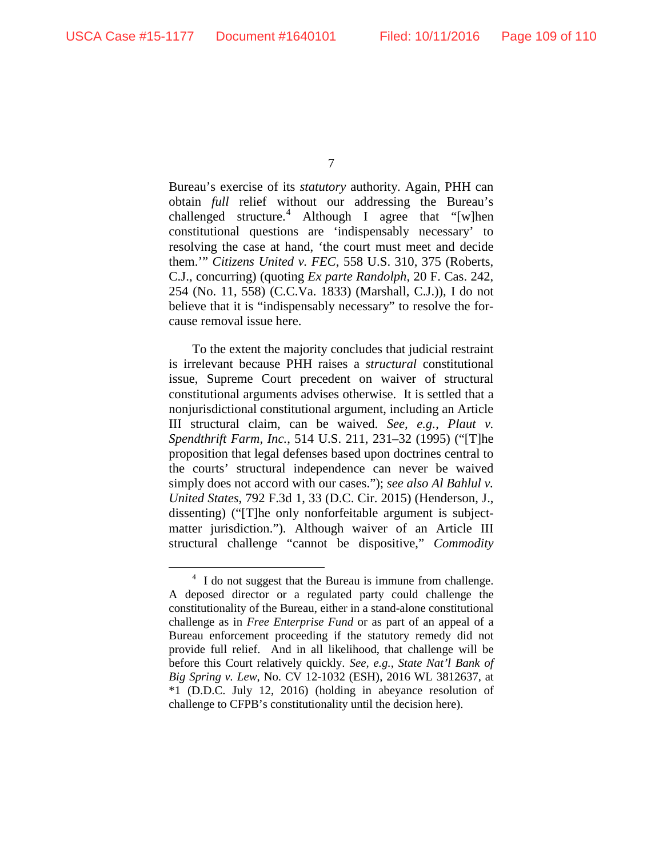7

Bureau's exercise of its *statutory* authority. Again, PHH can obtain *full* relief without our addressing the Bureau's challenged structure. [4](#page-108-0) Although I agree that "[w]hen constitutional questions are 'indispensably necessary' to resolving the case at hand, 'the court must meet and decide them.'" *Citizens United v. FEC*, 558 U.S. 310, 375 (Roberts, C.J., concurring) (quoting *Ex parte Randolph*, 20 F. Cas. 242, 254 (No. 11, 558) (C.C.Va. 1833) (Marshall, C.J.)), I do not believe that it is "indispensably necessary" to resolve the forcause removal issue here.

To the extent the majority concludes that judicial restraint is irrelevant because PHH raises a *structural* constitutional issue, Supreme Court precedent on waiver of structural constitutional arguments advises otherwise. It is settled that a nonjurisdictional constitutional argument, including an Article III structural claim, can be waived. *See, e.g.*, *Plaut v. Spendthrift Farm, Inc.*, 514 U.S. 211, 231–32 (1995) ("[T]he proposition that legal defenses based upon doctrines central to the courts' structural independence can never be waived simply does not accord with our cases."); *see also Al Bahlul v. United States*, 792 F.3d 1, 33 (D.C. Cir. 2015) (Henderson, J., dissenting) ("[T]he only nonforfeitable argument is subjectmatter jurisdiction."). Although waiver of an Article III structural challenge "cannot be dispositive," *Commodity* 

<span id="page-108-0"></span><sup>&</sup>lt;sup>4</sup> I do not suggest that the Bureau is immune from challenge. A deposed director or a regulated party could challenge the constitutionality of the Bureau, either in a stand-alone constitutional challenge as in *Free Enterprise Fund* or as part of an appeal of a Bureau enforcement proceeding if the statutory remedy did not provide full relief. And in all likelihood, that challenge will be before this Court relatively quickly. *See, e.g.*, *State Nat'l Bank of Big Spring v. Lew*, No. CV 12-1032 (ESH), 2016 WL 3812637, at \*1 (D.D.C. July 12, 2016) (holding in abeyance resolution of challenge to CFPB's constitutionality until the decision here).